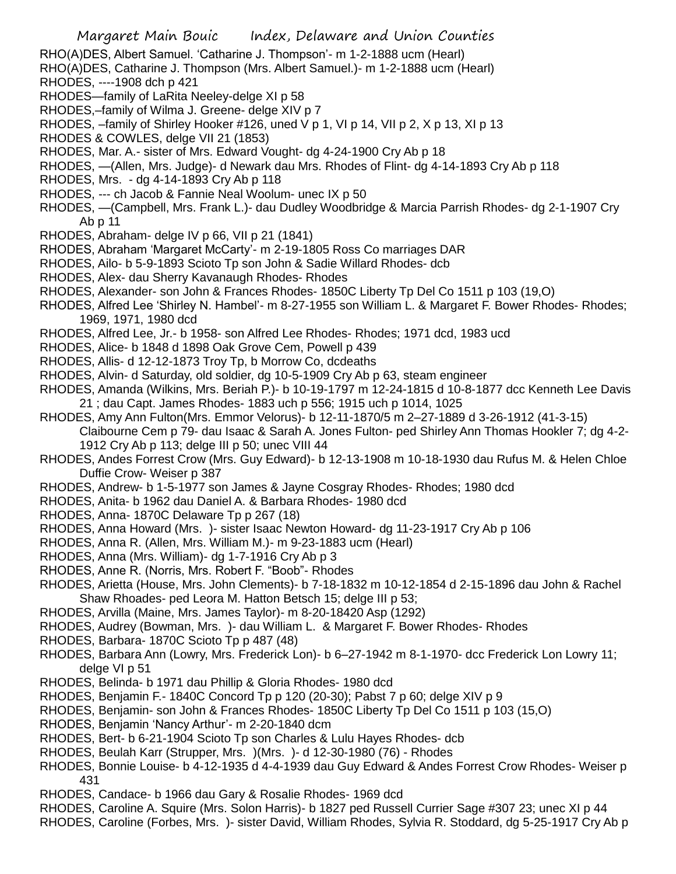RHO(A)DES, Albert Samuel. 'Catharine J. Thompson'- m 1-2-1888 ucm (Hearl)

RHO(A)DES, Catharine J. Thompson (Mrs. Albert Samuel.)- m 1-2-1888 ucm (Hearl)

- RHODES, ----1908 dch p 421
- RHODES—family of LaRita Neeley-delge XI p 58
- RHODES,–family of Wilma J. Greene- delge XIV p 7
- RHODES,  $-$ family of Shirley Hooker #126, uned V p 1, VI p 14, VII p 2, X p 13, XI p 13
- RHODES & COWLES, delge VII 21 (1853)
- RHODES, Mar. A.- sister of Mrs. Edward Vought- dg 4-24-1900 Cry Ab p 18
- RHODES, —(Allen, Mrs. Judge)- d Newark dau Mrs. Rhodes of Flint- dg 4-14-1893 Cry Ab p 118
- RHODES, Mrs. dg 4-14-1893 Cry Ab p 118
- RHODES, --- ch Jacob & Fannie Neal Woolum- unec IX p 50
- RHODES, —(Campbell, Mrs. Frank L.)- dau Dudley Woodbridge & Marcia Parrish Rhodes- dg 2-1-1907 Cry Ab p 11
- RHODES, Abraham- delge IV p 66, VII p 21 (1841)
- RHODES, Abraham 'Margaret McCarty'- m 2-19-1805 Ross Co marriages DAR
- RHODES, Ailo- b 5-9-1893 Scioto Tp son John & Sadie Willard Rhodes- dcb
- RHODES, Alex- dau Sherry Kavanaugh Rhodes- Rhodes
- RHODES, Alexander- son John & Frances Rhodes- 1850C Liberty Tp Del Co 1511 p 103 (19,O)
- RHODES, Alfred Lee 'Shirley N. Hambel'- m 8-27-1955 son William L. & Margaret F. Bower Rhodes- Rhodes; 1969, 1971, 1980 dcd
- RHODES, Alfred Lee, Jr.- b 1958- son Alfred Lee Rhodes- Rhodes; 1971 dcd, 1983 ucd
- RHODES, Alice- b 1848 d 1898 Oak Grove Cem, Powell p 439
- RHODES, Allis- d 12-12-1873 Troy Tp, b Morrow Co, dcdeaths
- RHODES, Alvin- d Saturday, old soldier, dg 10-5-1909 Cry Ab p 63, steam engineer
- RHODES, Amanda (Wilkins, Mrs. Beriah P.)- b 10-19-1797 m 12-24-1815 d 10-8-1877 dcc Kenneth Lee Davis 21 ; dau Capt. James Rhodes- 1883 uch p 556; 1915 uch p 1014, 1025
- RHODES, Amy Ann Fulton(Mrs. Emmor Velorus)- b 12-11-1870/5 m 2–27-1889 d 3-26-1912 (41-3-15) Claibourne Cem p 79- dau Isaac & Sarah A. Jones Fulton- ped Shirley Ann Thomas Hookler 7; dg 4-2- 1912 Cry Ab p 113; delge III p 50; unec VIII 44
- RHODES, Andes Forrest Crow (Mrs. Guy Edward)- b 12-13-1908 m 10-18-1930 dau Rufus M. & Helen Chloe Duffie Crow- Weiser p 387
- RHODES, Andrew- b 1-5-1977 son James & Jayne Cosgray Rhodes- Rhodes; 1980 dcd
- RHODES, Anita- b 1962 dau Daniel A. & Barbara Rhodes- 1980 dcd
- RHODES, Anna- 1870C Delaware Tp p 267 (18)
- RHODES, Anna Howard (Mrs. )- sister Isaac Newton Howard- dg 11-23-1917 Cry Ab p 106
- RHODES, Anna R. (Allen, Mrs. William M.)- m 9-23-1883 ucm (Hearl)
- RHODES, Anna (Mrs. William)- dg 1-7-1916 Cry Ab p 3
- RHODES, Anne R. (Norris, Mrs. Robert F. "Boob"- Rhodes
- RHODES, Arietta (House, Mrs. John Clements)- b 7-18-1832 m 10-12-1854 d 2-15-1896 dau John & Rachel Shaw Rhoades- ped Leora M. Hatton Betsch 15; delge III p 53;
- RHODES, Arvilla (Maine, Mrs. James Taylor)- m 8-20-18420 Asp (1292)
- RHODES, Audrey (Bowman, Mrs. )- dau William L. & Margaret F. Bower Rhodes- Rhodes
- RHODES, Barbara- 1870C Scioto Tp p 487 (48)
- RHODES, Barbara Ann (Lowry, Mrs. Frederick Lon)- b 6–27-1942 m 8-1-1970- dcc Frederick Lon Lowry 11; delge VI p 51
- RHODES, Belinda- b 1971 dau Phillip & Gloria Rhodes- 1980 dcd
- RHODES, Benjamin F.- 1840C Concord Tp p 120 (20-30); Pabst 7 p 60; delge XIV p 9
- RHODES, Benjamin- son John & Frances Rhodes- 1850C Liberty Tp Del Co 1511 p 103 (15,O)
- RHODES, Benjamin 'Nancy Arthur'- m 2-20-1840 dcm
- RHODES, Bert- b 6-21-1904 Scioto Tp son Charles & Lulu Hayes Rhodes- dcb
- RHODES, Beulah Karr (Strupper, Mrs. )(Mrs. )- d 12-30-1980 (76) Rhodes
- RHODES, Bonnie Louise- b 4-12-1935 d 4-4-1939 dau Guy Edward & Andes Forrest Crow Rhodes- Weiser p 431
- RHODES, Candace- b 1966 dau Gary & Rosalie Rhodes- 1969 dcd
- RHODES, Caroline A. Squire (Mrs. Solon Harris)- b 1827 ped Russell Currier Sage #307 23; unec XI p 44
- RHODES, Caroline (Forbes, Mrs. )- sister David, William Rhodes, Sylvia R. Stoddard, dg 5-25-1917 Cry Ab p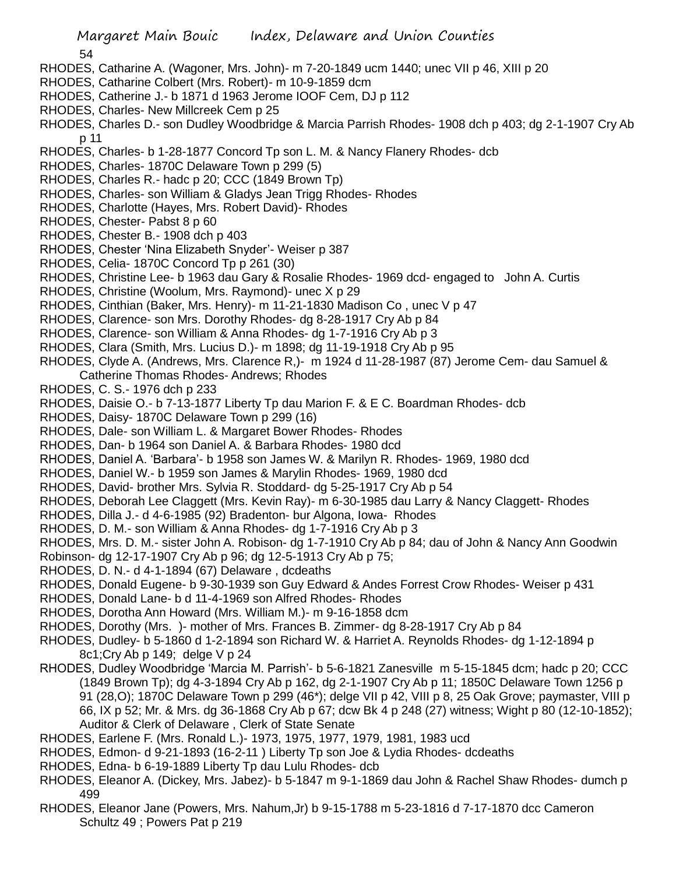54

- RHODES, Catharine A. (Wagoner, Mrs. John)- m 7-20-1849 ucm 1440; unec VII p 46, XIII p 20
- RHODES, Catharine Colbert (Mrs. Robert)- m 10-9-1859 dcm
- RHODES, Catherine J.- b 1871 d 1963 Jerome IOOF Cem, DJ p 112
- RHODES, Charles- New Millcreek Cem p 25
- RHODES, Charles D.- son Dudley Woodbridge & Marcia Parrish Rhodes- 1908 dch p 403; dg 2-1-1907 Cry Ab p 11
- RHODES, Charles- b 1-28-1877 Concord Tp son L. M. & Nancy Flanery Rhodes- dcb
- RHODES, Charles- 1870C Delaware Town p 299 (5)
- RHODES, Charles R.- hadc p 20; CCC (1849 Brown Tp)
- RHODES, Charles- son William & Gladys Jean Trigg Rhodes- Rhodes
- RHODES, Charlotte (Hayes, Mrs. Robert David)- Rhodes
- RHODES, Chester- Pabst 8 p 60
- RHODES, Chester B.- 1908 dch p 403
- RHODES, Chester 'Nina Elizabeth Snyder'- Weiser p 387
- RHODES, Celia- 1870C Concord Tp p 261 (30)
- RHODES, Christine Lee- b 1963 dau Gary & Rosalie Rhodes- 1969 dcd- engaged to John A. Curtis
- RHODES, Christine (Woolum, Mrs. Raymond)- unec X p 29
- RHODES, Cinthian (Baker, Mrs. Henry)- m 11-21-1830 Madison Co , unec V p 47
- RHODES, Clarence- son Mrs. Dorothy Rhodes- dg 8-28-1917 Cry Ab p 84
- RHODES, Clarence- son William & Anna Rhodes- dg 1-7-1916 Cry Ab p 3
- RHODES, Clara (Smith, Mrs. Lucius D.)- m 1898; dg 11-19-1918 Cry Ab p 95
- RHODES, Clyde A. (Andrews, Mrs. Clarence R,)- m 1924 d 11-28-1987 (87) Jerome Cem- dau Samuel & Catherine Thomas Rhodes- Andrews; Rhodes
- RHODES, C. S.- 1976 dch p 233
- RHODES, Daisie O.- b 7-13-1877 Liberty Tp dau Marion F. & E C. Boardman Rhodes- dcb
- RHODES, Daisy- 1870C Delaware Town p 299 (16)
- RHODES, Dale- son William L. & Margaret Bower Rhodes- Rhodes
- RHODES, Dan- b 1964 son Daniel A. & Barbara Rhodes- 1980 dcd
- RHODES, Daniel A. 'Barbara'- b 1958 son James W. & Marilyn R. Rhodes- 1969, 1980 dcd
- RHODES, Daniel W.- b 1959 son James & Marylin Rhodes- 1969, 1980 dcd
- RHODES, David- brother Mrs. Sylvia R. Stoddard- dg 5-25-1917 Cry Ab p 54
- RHODES, Deborah Lee Claggett (Mrs. Kevin Ray)- m 6-30-1985 dau Larry & Nancy Claggett- Rhodes
- RHODES, Dilla J.- d 4-6-1985 (92) Bradenton- bur Algona, Iowa- Rhodes
- RHODES, D. M.- son William & Anna Rhodes- dg 1-7-1916 Cry Ab p 3
- RHODES, Mrs. D. M.- sister John A. Robison- dg 1-7-1910 Cry Ab p 84; dau of John & Nancy Ann Goodwin
- Robinson- dg 12-17-1907 Cry Ab p 96; dg 12-5-1913 Cry Ab p 75;
- RHODES, D. N.- d 4-1-1894 (67) Delaware , dcdeaths
- RHODES, Donald Eugene- b 9-30-1939 son Guy Edward & Andes Forrest Crow Rhodes- Weiser p 431
- RHODES, Donald Lane- b d 11-4-1969 son Alfred Rhodes- Rhodes
- RHODES, Dorotha Ann Howard (Mrs. William M.)- m 9-16-1858 dcm
- RHODES, Dorothy (Mrs. )- mother of Mrs. Frances B. Zimmer- dg 8-28-1917 Cry Ab p 84
- RHODES, Dudley- b 5-1860 d 1-2-1894 son Richard W. & Harriet A. Reynolds Rhodes- dg 1-12-1894 p 8c1;Cry Ab p 149; delge V p 24
- RHODES, Dudley Woodbridge 'Marcia M. Parrish'- b 5-6-1821 Zanesville m 5-15-1845 dcm; hadc p 20; CCC (1849 Brown Tp); dg 4-3-1894 Cry Ab p 162, dg 2-1-1907 Cry Ab p 11; 1850C Delaware Town 1256 p 91 (28,O); 1870C Delaware Town p 299 (46\*); delge VII p 42, VIII p 8, 25 Oak Grove; paymaster, VIII p 66, IX p 52; Mr. & Mrs. dg 36-1868 Cry Ab p 67; dcw Bk 4 p 248 (27) witness; Wight p 80 (12-10-1852); Auditor & Clerk of Delaware , Clerk of State Senate
- RHODES, Earlene F. (Mrs. Ronald L.)- 1973, 1975, 1977, 1979, 1981, 1983 ucd
- RHODES, Edmon- d 9-21-1893 (16-2-11 ) Liberty Tp son Joe & Lydia Rhodes- dcdeaths
- RHODES, Edna- b 6-19-1889 Liberty Tp dau Lulu Rhodes- dcb
- RHODES, Eleanor A. (Dickey, Mrs. Jabez)- b 5-1847 m 9-1-1869 dau John & Rachel Shaw Rhodes- dumch p 499
- RHODES, Eleanor Jane (Powers, Mrs. Nahum,Jr) b 9-15-1788 m 5-23-1816 d 7-17-1870 dcc Cameron Schultz 49 ; Powers Pat p 219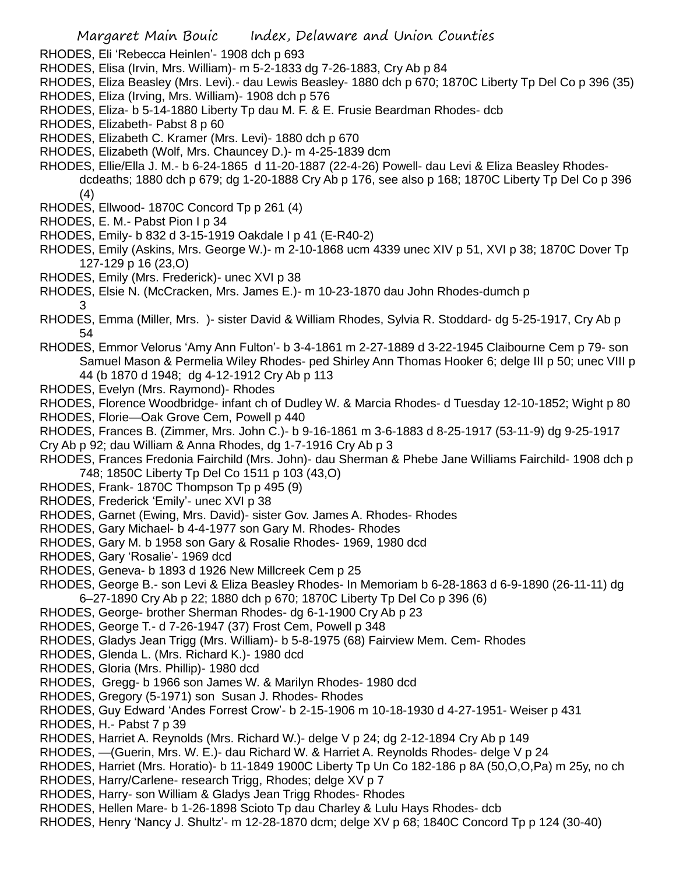- RHODES, Eli 'Rebecca Heinlen'- 1908 dch p 693
- RHODES, Elisa (Irvin, Mrs. William)- m 5-2-1833 dg 7-26-1883, Cry Ab p 84
- RHODES, Eliza Beasley (Mrs. Levi).- dau Lewis Beasley- 1880 dch p 670; 1870C Liberty Tp Del Co p 396 (35)
- RHODES, Eliza (Irving, Mrs. William)- 1908 dch p 576
- RHODES, Eliza- b 5-14-1880 Liberty Tp dau M. F. & E. Frusie Beardman Rhodes- dcb
- RHODES, Elizabeth- Pabst 8 p 60
- RHODES, Elizabeth C. Kramer (Mrs. Levi)- 1880 dch p 670
- RHODES, Elizabeth (Wolf, Mrs. Chauncey D.)- m 4-25-1839 dcm
- RHODES, Ellie/Ella J. M.- b 6-24-1865 d 11-20-1887 (22-4-26) Powell- dau Levi & Eliza Beasley Rhodes
	- dcdeaths; 1880 dch p 679; dg 1-20-1888 Cry Ab p 176, see also p 168; 1870C Liberty Tp Del Co p 396 (4)
- RHODES, Ellwood- 1870C Concord Tp p 261 (4)
- RHODES, E. M.- Pabst Pion I p 34
- RHODES, Emily- b 832 d 3-15-1919 Oakdale I p 41 (E-R40-2)
- RHODES, Emily (Askins, Mrs. George W.)- m 2-10-1868 ucm 4339 unec XIV p 51, XVI p 38; 1870C Dover Tp 127-129 p 16 (23,O)
- RHODES, Emily (Mrs. Frederick)- unec XVI p 38
- RHODES, Elsie N. (McCracken, Mrs. James E.)- m 10-23-1870 dau John Rhodes-dumch p 3
- RHODES, Emma (Miller, Mrs. )- sister David & William Rhodes, Sylvia R. Stoddard- dg 5-25-1917, Cry Ab p 54
- RHODES, Emmor Velorus 'Amy Ann Fulton'- b 3-4-1861 m 2-27-1889 d 3-22-1945 Claibourne Cem p 79- son Samuel Mason & Permelia Wiley Rhodes- ped Shirley Ann Thomas Hooker 6; delge III p 50; unec VIII p 44 (b 1870 d 1948; dg 4-12-1912 Cry Ab p 113
- RHODES, Evelyn (Mrs. Raymond)- Rhodes
- RHODES, Florence Woodbridge- infant ch of Dudley W. & Marcia Rhodes- d Tuesday 12-10-1852; Wight p 80
- RHODES, Florie—Oak Grove Cem, Powell p 440
- RHODES, Frances B. (Zimmer, Mrs. John C.)- b 9-16-1861 m 3-6-1883 d 8-25-1917 (53-11-9) dg 9-25-1917
- Cry Ab p 92; dau William & Anna Rhodes, dg 1-7-1916 Cry Ab p 3
- RHODES, Frances Fredonia Fairchild (Mrs. John)- dau Sherman & Phebe Jane Williams Fairchild- 1908 dch p 748; 1850C Liberty Tp Del Co 1511 p 103 (43,O)
- RHODES, Frank- 1870C Thompson Tp p 495 (9)
- RHODES, Frederick 'Emily'- unec XVI p 38
- RHODES, Garnet (Ewing, Mrs. David)- sister Gov. James A. Rhodes- Rhodes
- RHODES, Gary Michael- b 4-4-1977 son Gary M. Rhodes- Rhodes
- RHODES, Gary M. b 1958 son Gary & Rosalie Rhodes- 1969, 1980 dcd
- RHODES, Gary 'Rosalie'- 1969 dcd
- RHODES, Geneva- b 1893 d 1926 New Millcreek Cem p 25
- RHODES, George B.- son Levi & Eliza Beasley Rhodes- In Memoriam b 6-28-1863 d 6-9-1890 (26-11-11) dg 6–27-1890 Cry Ab p 22; 1880 dch p 670; 1870C Liberty Tp Del Co p 396 (6)
- RHODES, George- brother Sherman Rhodes- dg 6-1-1900 Cry Ab p 23
- RHODES, George T.- d 7-26-1947 (37) Frost Cem, Powell p 348
- RHODES, Gladys Jean Trigg (Mrs. William)- b 5-8-1975 (68) Fairview Mem. Cem- Rhodes
- RHODES, Glenda L. (Mrs. Richard K.)- 1980 dcd
- RHODES, Gloria (Mrs. Phillip)- 1980 dcd
- RHODES, Gregg- b 1966 son James W. & Marilyn Rhodes- 1980 dcd
- RHODES, Gregory (5-1971) son Susan J. Rhodes- Rhodes
- RHODES, Guy Edward 'Andes Forrest Crow'- b 2-15-1906 m 10-18-1930 d 4-27-1951- Weiser p 431
- RHODES, H.- Pabst 7 p 39
- RHODES, Harriet A. Reynolds (Mrs. Richard W.)- delge V p 24; dg 2-12-1894 Cry Ab p 149
- RHODES, —(Guerin, Mrs. W. E.)- dau Richard W. & Harriet A. Reynolds Rhodes- delge V p 24
- RHODES, Harriet (Mrs. Horatio)- b 11-1849 1900C Liberty Tp Un Co 182-186 p 8A (50,O,O,Pa) m 25y, no ch
- RHODES, Harry/Carlene- research Trigg, Rhodes; delge XV p 7
- RHODES, Harry- son William & Gladys Jean Trigg Rhodes- Rhodes
- RHODES, Hellen Mare- b 1-26-1898 Scioto Tp dau Charley & Lulu Hays Rhodes- dcb
- RHODES, Henry 'Nancy J. Shultz'- m 12-28-1870 dcm; delge XV p 68; 1840C Concord Tp p 124 (30-40)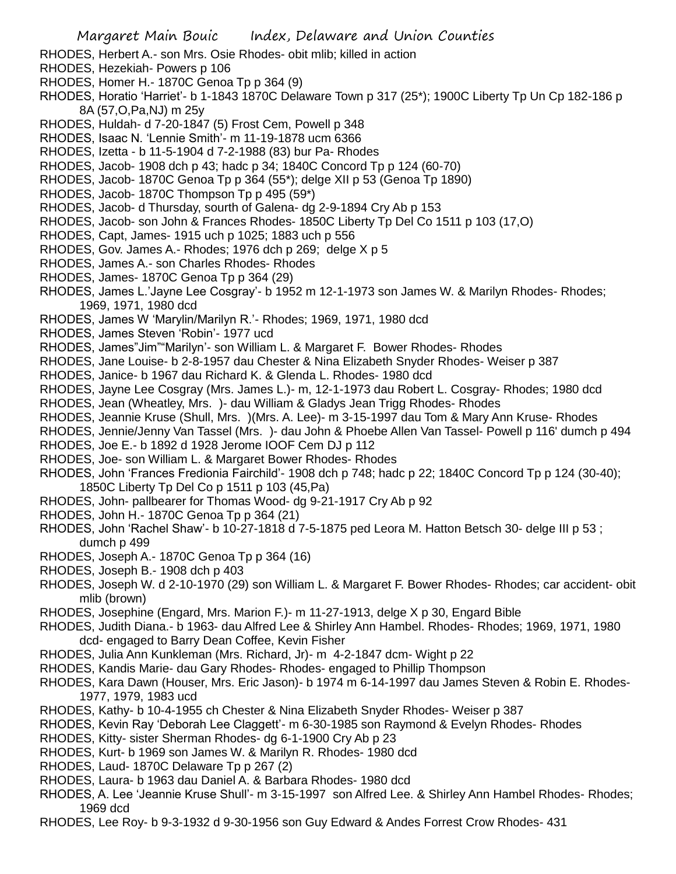- RHODES, Herbert A.- son Mrs. Osie Rhodes- obit mlib; killed in action
- RHODES, Hezekiah- Powers p 106
- RHODES, Homer H.- 1870C Genoa Tp p 364 (9)
- RHODES, Horatio 'Harriet'- b 1-1843 1870C Delaware Town p 317 (25\*); 1900C Liberty Tp Un Cp 182-186 p 8A (57,O,Pa,NJ) m 25y
- RHODES, Huldah- d 7-20-1847 (5) Frost Cem, Powell p 348
- RHODES, Isaac N. 'Lennie Smith'- m 11-19-1878 ucm 6366
- RHODES, Izetta b 11-5-1904 d 7-2-1988 (83) bur Pa- Rhodes
- RHODES, Jacob- 1908 dch p 43; hadc p 34; 1840C Concord Tp p 124 (60-70)
- RHODES, Jacob- 1870C Genoa Tp p 364 (55\*); delge XII p 53 (Genoa Tp 1890)
- RHODES, Jacob- 1870C Thompson Tp p 495 (59\*)
- RHODES, Jacob- d Thursday, sourth of Galena- dg 2-9-1894 Cry Ab p 153
- RHODES, Jacob- son John & Frances Rhodes- 1850C Liberty Tp Del Co 1511 p 103 (17,O)
- RHODES, Capt, James- 1915 uch p 1025; 1883 uch p 556
- RHODES, Gov. James A.- Rhodes; 1976 dch p 269; delge X p 5
- RHODES, James A.- son Charles Rhodes- Rhodes
- RHODES, James- 1870C Genoa Tp p 364 (29)
- RHODES, James L.'Jayne Lee Cosgray'- b 1952 m 12-1-1973 son James W. & Marilyn Rhodes- Rhodes;
- 1969, 1971, 1980 dcd
- RHODES, James W 'Marylin/Marilyn R.'- Rhodes; 1969, 1971, 1980 dcd
- RHODES, James Steven 'Robin'- 1977 ucd
- RHODES, James"Jim""Marilyn'- son William L. & Margaret F. Bower Rhodes- Rhodes
- RHODES, Jane Louise- b 2-8-1957 dau Chester & Nina Elizabeth Snyder Rhodes- Weiser p 387
- RHODES, Janice- b 1967 dau Richard K. & Glenda L. Rhodes- 1980 dcd
- RHODES, Jayne Lee Cosgray (Mrs. James L.)- m, 12-1-1973 dau Robert L. Cosgray- Rhodes; 1980 dcd
- RHODES, Jean (Wheatley, Mrs. )- dau William & Gladys Jean Trigg Rhodes- Rhodes
- RHODES, Jeannie Kruse (Shull, Mrs. )(Mrs. A. Lee)- m 3-15-1997 dau Tom & Mary Ann Kruse- Rhodes
- RHODES, Jennie/Jenny Van Tassel (Mrs. )- dau John & Phoebe Allen Van Tassel- Powell p 116' dumch p 494
- RHODES, Joe E.- b 1892 d 1928 Jerome IOOF Cem DJ p 112
- RHODES, Joe- son William L. & Margaret Bower Rhodes- Rhodes
- RHODES, John 'Frances Fredionia Fairchild'- 1908 dch p 748; hadc p 22; 1840C Concord Tp p 124 (30-40);
- 1850C Liberty Tp Del Co p 1511 p 103 (45,Pa)
- RHODES, John- pallbearer for Thomas Wood- dg 9-21-1917 Cry Ab p 92
- RHODES, John H.- 1870C Genoa Tp p 364 (21)
- RHODES, John 'Rachel Shaw'- b 10-27-1818 d 7-5-1875 ped Leora M. Hatton Betsch 30- delge III p 53 ; dumch p 499
- RHODES, Joseph A.- 1870C Genoa Tp p 364 (16)
- RHODES, Joseph B.- 1908 dch p 403
- RHODES, Joseph W. d 2-10-1970 (29) son William L. & Margaret F. Bower Rhodes- Rhodes; car accident- obit mlib (brown)
- RHODES, Josephine (Engard, Mrs. Marion F.)- m 11-27-1913, delge X p 30, Engard Bible
- RHODES, Judith Diana.- b 1963- dau Alfred Lee & Shirley Ann Hambel. Rhodes- Rhodes; 1969, 1971, 1980 dcd- engaged to Barry Dean Coffee, Kevin Fisher
- RHODES, Julia Ann Kunkleman (Mrs. Richard, Jr)- m 4-2-1847 dcm- Wight p 22
- RHODES, Kandis Marie- dau Gary Rhodes- Rhodes- engaged to Phillip Thompson
- RHODES, Kara Dawn (Houser, Mrs. Eric Jason)- b 1974 m 6-14-1997 dau James Steven & Robin E. Rhodes-1977, 1979, 1983 ucd
- RHODES, Kathy- b 10-4-1955 ch Chester & Nina Elizabeth Snyder Rhodes- Weiser p 387
- RHODES, Kevin Ray 'Deborah Lee Claggett'- m 6-30-1985 son Raymond & Evelyn Rhodes- Rhodes
- RHODES, Kitty- sister Sherman Rhodes- dg 6-1-1900 Cry Ab p 23
- RHODES, Kurt- b 1969 son James W. & Marilyn R. Rhodes- 1980 dcd
- RHODES, Laud- 1870C Delaware Tp p 267 (2)
- RHODES, Laura- b 1963 dau Daniel A. & Barbara Rhodes- 1980 dcd
- RHODES, A. Lee 'Jeannie Kruse Shull'- m 3-15-1997 son Alfred Lee. & Shirley Ann Hambel Rhodes- Rhodes; 1969 dcd
- RHODES, Lee Roy- b 9-3-1932 d 9-30-1956 son Guy Edward & Andes Forrest Crow Rhodes- 431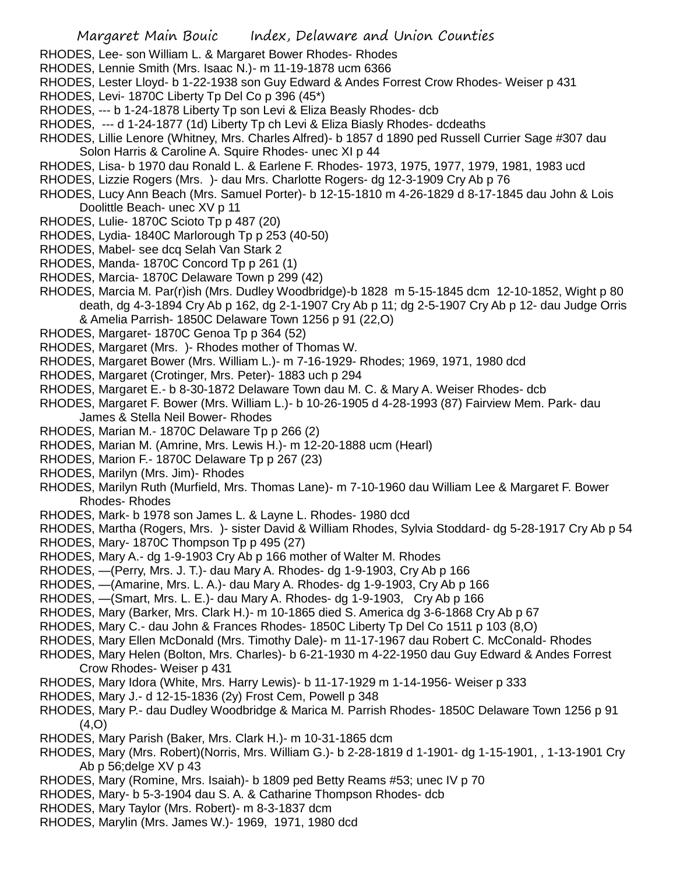- RHODES, Lee- son William L. & Margaret Bower Rhodes- Rhodes
- RHODES, Lennie Smith (Mrs. Isaac N.)- m 11-19-1878 ucm 6366
- RHODES, Lester Lloyd- b 1-22-1938 son Guy Edward & Andes Forrest Crow Rhodes- Weiser p 431
- RHODES, Levi- 1870C Liberty Tp Del Co p 396 (45\*)
- RHODES, --- b 1-24-1878 Liberty Tp son Levi & Eliza Beasly Rhodes- dcb
- RHODES, --- d 1-24-1877 (1d) Liberty Tp ch Levi & Eliza Biasly Rhodes- dcdeaths
- RHODES, Lillie Lenore (Whitney, Mrs. Charles Alfred)- b 1857 d 1890 ped Russell Currier Sage #307 dau Solon Harris & Caroline A. Squire Rhodes- unec XI p 44
- RHODES, Lisa- b 1970 dau Ronald L. & Earlene F. Rhodes- 1973, 1975, 1977, 1979, 1981, 1983 ucd
- RHODES, Lizzie Rogers (Mrs. )- dau Mrs. Charlotte Rogers- dg 12-3-1909 Cry Ab p 76
- RHODES, Lucy Ann Beach (Mrs. Samuel Porter)- b 12-15-1810 m 4-26-1829 d 8-17-1845 dau John & Lois Doolittle Beach- unec XV p 11
- RHODES, Lulie- 1870C Scioto Tp p 487 (20)
- RHODES, Lydia- 1840C Marlorough Tp p 253 (40-50)
- RHODES, Mabel- see dcq Selah Van Stark 2
- RHODES, Manda- 1870C Concord Tp p 261 (1)
- RHODES, Marcia- 1870C Delaware Town p 299 (42)
- RHODES, Marcia M. Par(r)ish (Mrs. Dudley Woodbridge)-b 1828 m 5-15-1845 dcm 12-10-1852, Wight p 80 death, dg 4-3-1894 Cry Ab p 162, dg 2-1-1907 Cry Ab p 11; dg 2-5-1907 Cry Ab p 12- dau Judge Orris & Amelia Parrish- 1850C Delaware Town 1256 p 91 (22,O)
- RHODES, Margaret- 1870C Genoa Tp p 364 (52)
- RHODES, Margaret (Mrs. )- Rhodes mother of Thomas W.
- RHODES, Margaret Bower (Mrs. William L.)- m 7-16-1929- Rhodes; 1969, 1971, 1980 dcd
- RHODES, Margaret (Crotinger, Mrs. Peter)- 1883 uch p 294
- RHODES, Margaret E.- b 8-30-1872 Delaware Town dau M. C. & Mary A. Weiser Rhodes- dcb
- RHODES, Margaret F. Bower (Mrs. William L.)- b 10-26-1905 d 4-28-1993 (87) Fairview Mem. Park- dau James & Stella Neil Bower- Rhodes
- RHODES, Marian M.- 1870C Delaware Tp p 266 (2)
- RHODES, Marian M. (Amrine, Mrs. Lewis H.)- m 12-20-1888 ucm (Hearl)
- RHODES, Marion F.- 1870C Delaware Tp p 267 (23)
- RHODES, Marilyn (Mrs. Jim)- Rhodes
- RHODES, Marilyn Ruth (Murfield, Mrs. Thomas Lane)- m 7-10-1960 dau William Lee & Margaret F. Bower Rhodes- Rhodes
- RHODES, Mark- b 1978 son James L. & Layne L. Rhodes- 1980 dcd
- RHODES, Martha (Rogers, Mrs. )- sister David & William Rhodes, Sylvia Stoddard- dg 5-28-1917 Cry Ab p 54
- RHODES, Mary- 1870C Thompson Tp p 495 (27)
- RHODES, Mary A.- dg 1-9-1903 Cry Ab p 166 mother of Walter M. Rhodes
- RHODES, —(Perry, Mrs. J. T.)- dau Mary A. Rhodes- dg 1-9-1903, Cry Ab p 166
- RHODES, —(Amarine, Mrs. L. A.)- dau Mary A. Rhodes- dg 1-9-1903, Cry Ab p 166
- RHODES, —(Smart, Mrs. L. E.)- dau Mary A. Rhodes- dg 1-9-1903, Cry Ab p 166
- RHODES, Mary (Barker, Mrs. Clark H.)- m 10-1865 died S. America dg 3-6-1868 Cry Ab p 67
- RHODES, Mary C.- dau John & Frances Rhodes- 1850C Liberty Tp Del Co 1511 p 103 (8,O)
- RHODES, Mary Ellen McDonald (Mrs. Timothy Dale)- m 11-17-1967 dau Robert C. McConald- Rhodes
- RHODES, Mary Helen (Bolton, Mrs. Charles)- b 6-21-1930 m 4-22-1950 dau Guy Edward & Andes Forrest Crow Rhodes- Weiser p 431
- RHODES, Mary Idora (White, Mrs. Harry Lewis)- b 11-17-1929 m 1-14-1956- Weiser p 333
- RHODES, Mary J.- d 12-15-1836 (2y) Frost Cem, Powell p 348
- RHODES, Mary P.- dau Dudley Woodbridge & Marica M. Parrish Rhodes- 1850C Delaware Town 1256 p 91 (4,O)
- RHODES, Mary Parish (Baker, Mrs. Clark H.)- m 10-31-1865 dcm
- RHODES, Mary (Mrs. Robert)(Norris, Mrs. William G.)- b 2-28-1819 d 1-1901- dg 1-15-1901, , 1-13-1901 Cry Ab p 56;delge XV p 43
- RHODES, Mary (Romine, Mrs. Isaiah)- b 1809 ped Betty Reams #53; unec IV p 70
- RHODES, Mary- b 5-3-1904 dau S. A. & Catharine Thompson Rhodes- dcb
- RHODES, Mary Taylor (Mrs. Robert)- m 8-3-1837 dcm
- RHODES, Marylin (Mrs. James W.)- 1969, 1971, 1980 dcd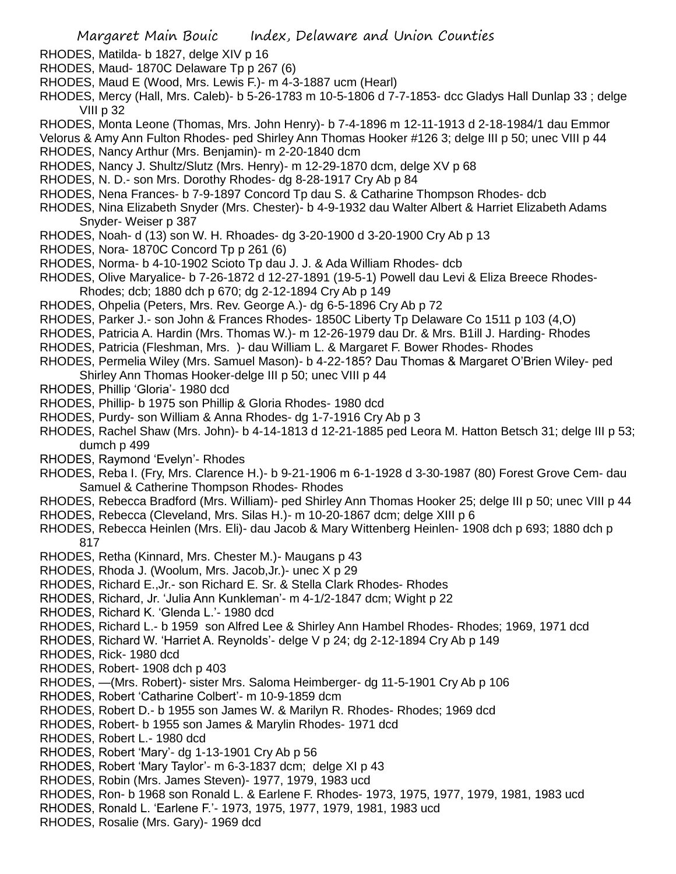- RHODES, Matilda- b 1827, delge XIV p 16
- RHODES, Maud- 1870C Delaware Tp p 267 (6)
- RHODES, Maud E (Wood, Mrs. Lewis F.)- m 4-3-1887 ucm (Hearl)
- RHODES, Mercy (Hall, Mrs. Caleb)- b 5-26-1783 m 10-5-1806 d 7-7-1853- dcc Gladys Hall Dunlap 33 ; delge VIII p 32
- RHODES, Monta Leone (Thomas, Mrs. John Henry)- b 7-4-1896 m 12-11-1913 d 2-18-1984/1 dau Emmor
- Velorus & Amy Ann Fulton Rhodes- ped Shirley Ann Thomas Hooker #126 3; delge III p 50; unec VIII p 44 RHODES, Nancy Arthur (Mrs. Benjamin)- m 2-20-1840 dcm
- RHODES, Nancy J. Shultz/Slutz (Mrs. Henry)- m 12-29-1870 dcm, delge XV p 68
- RHODES, N. D.- son Mrs. Dorothy Rhodes- dg 8-28-1917 Cry Ab p 84
- RHODES, Nena Frances- b 7-9-1897 Concord Tp dau S. & Catharine Thompson Rhodes- dcb
- RHODES, Nina Elizabeth Snyder (Mrs. Chester)- b 4-9-1932 dau Walter Albert & Harriet Elizabeth Adams Snyder- Weiser p 387
- RHODES, Noah- d (13) son W. H. Rhoades- dg 3-20-1900 d 3-20-1900 Cry Ab p 13
- RHODES, Nora- 1870C Concord Tp p 261 (6)
- RHODES, Norma- b 4-10-1902 Scioto Tp dau J. J. & Ada William Rhodes- dcb
- RHODES, Olive Maryalice- b 7-26-1872 d 12-27-1891 (19-5-1) Powell dau Levi & Eliza Breece Rhodes-Rhodes; dcb; 1880 dch p 670; dg 2-12-1894 Cry Ab p 149
- RHODES, Ohpelia (Peters, Mrs. Rev. George A.)- dg 6-5-1896 Cry Ab p 72
- RHODES, Parker J.- son John & Frances Rhodes- 1850C Liberty Tp Delaware Co 1511 p 103 (4,O)
- RHODES, Patricia A. Hardin (Mrs. Thomas W.)- m 12-26-1979 dau Dr. & Mrs. B1ill J. Harding- Rhodes
- RHODES, Patricia (Fleshman, Mrs. )- dau William L. & Margaret F. Bower Rhodes- Rhodes
- RHODES, Permelia Wiley (Mrs. Samuel Mason)- b 4-22-185? Dau Thomas & Margaret O'Brien Wiley- ped Shirley Ann Thomas Hooker-delge III p 50; unec VIII p 44
- RHODES, Phillip 'Gloria'- 1980 dcd
- RHODES, Phillip- b 1975 son Phillip & Gloria Rhodes- 1980 dcd
- RHODES, Purdy- son William & Anna Rhodes- dg 1-7-1916 Cry Ab p 3
- RHODES, Rachel Shaw (Mrs. John)- b 4-14-1813 d 12-21-1885 ped Leora M. Hatton Betsch 31; delge III p 53; dumch p 499
- RHODES, Raymond 'Evelyn'- Rhodes
- RHODES, Reba I. (Fry, Mrs. Clarence H.)- b 9-21-1906 m 6-1-1928 d 3-30-1987 (80) Forest Grove Cem- dau Samuel & Catherine Thompson Rhodes- Rhodes
- RHODES, Rebecca Bradford (Mrs. William)- ped Shirley Ann Thomas Hooker 25; delge III p 50; unec VIII p 44
- RHODES, Rebecca (Cleveland, Mrs. Silas H.)- m 10-20-1867 dcm; delge XIII p 6
- RHODES, Rebecca Heinlen (Mrs. Eli)- dau Jacob & Mary Wittenberg Heinlen- 1908 dch p 693; 1880 dch p 817
- RHODES, Retha (Kinnard, Mrs. Chester M.)- Maugans p 43
- RHODES, Rhoda J. (Woolum, Mrs. Jacob,Jr.)- unec X p 29
- RHODES, Richard E.,Jr.- son Richard E. Sr. & Stella Clark Rhodes- Rhodes
- RHODES, Richard, Jr. 'Julia Ann Kunkleman'- m 4-1/2-1847 dcm; Wight p 22
- RHODES, Richard K. 'Glenda L.'- 1980 dcd
- RHODES, Richard L.- b 1959 son Alfred Lee & Shirley Ann Hambel Rhodes- Rhodes; 1969, 1971 dcd
- RHODES, Richard W. 'Harriet A. Reynolds'- delge V p 24; dg 2-12-1894 Cry Ab p 149
- RHODES, Rick- 1980 dcd
- RHODES, Robert- 1908 dch p 403
- RHODES, —(Mrs. Robert)- sister Mrs. Saloma Heimberger- dg 11-5-1901 Cry Ab p 106
- RHODES, Robert 'Catharine Colbert'- m 10-9-1859 dcm
- RHODES, Robert D.- b 1955 son James W. & Marilyn R. Rhodes- Rhodes; 1969 dcd
- RHODES, Robert- b 1955 son James & Marylin Rhodes- 1971 dcd
- RHODES, Robert L.- 1980 dcd
- RHODES, Robert 'Mary'- dg 1-13-1901 Cry Ab p 56
- RHODES, Robert 'Mary Taylor'- m 6-3-1837 dcm; delge XI p 43
- RHODES, Robin (Mrs. James Steven)- 1977, 1979, 1983 ucd
- RHODES, Ron- b 1968 son Ronald L. & Earlene F. Rhodes- 1973, 1975, 1977, 1979, 1981, 1983 ucd
- RHODES, Ronald L. 'Earlene F.'- 1973, 1975, 1977, 1979, 1981, 1983 ucd
- RHODES, Rosalie (Mrs. Gary)- 1969 dcd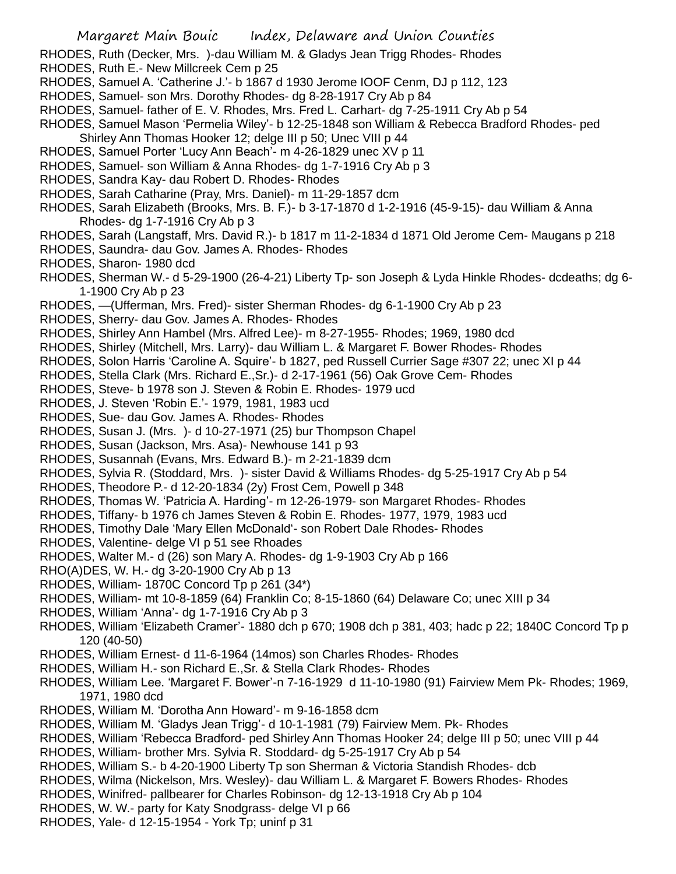- RHODES, Ruth (Decker, Mrs. )-dau William M. & Gladys Jean Trigg Rhodes- Rhodes
- RHODES, Ruth E.- New Millcreek Cem p 25
- RHODES, Samuel A. 'Catherine J.'- b 1867 d 1930 Jerome IOOF Cenm, DJ p 112, 123
- RHODES, Samuel- son Mrs. Dorothy Rhodes- dg 8-28-1917 Cry Ab p 84
- RHODES, Samuel- father of E. V. Rhodes, Mrs. Fred L. Carhart- dg 7-25-1911 Cry Ab p 54
- RHODES, Samuel Mason 'Permelia Wiley'- b 12-25-1848 son William & Rebecca Bradford Rhodes- ped
- Shirley Ann Thomas Hooker 12; delge III p 50; Unec VIII p 44
- RHODES, Samuel Porter 'Lucy Ann Beach'- m 4-26-1829 unec XV p 11
- RHODES, Samuel- son William & Anna Rhodes- dg 1-7-1916 Cry Ab p 3
- RHODES, Sandra Kay- dau Robert D. Rhodes- Rhodes
- RHODES, Sarah Catharine (Pray, Mrs. Daniel)- m 11-29-1857 dcm
- RHODES, Sarah Elizabeth (Brooks, Mrs. B. F.)- b 3-17-1870 d 1-2-1916 (45-9-15)- dau William & Anna Rhodes- dg 1-7-1916 Cry Ab p 3
- RHODES, Sarah (Langstaff, Mrs. David R.)- b 1817 m 11-2-1834 d 1871 Old Jerome Cem- Maugans p 218
- RHODES, Saundra- dau Gov. James A. Rhodes- Rhodes
- RHODES, Sharon- 1980 dcd
- RHODES, Sherman W.- d 5-29-1900 (26-4-21) Liberty Tp- son Joseph & Lyda Hinkle Rhodes- dcdeaths; dg 6- 1-1900 Cry Ab p 23
- RHODES, —(Ufferman, Mrs. Fred)- sister Sherman Rhodes- dg 6-1-1900 Cry Ab p 23
- RHODES, Sherry- dau Gov. James A. Rhodes- Rhodes
- RHODES, Shirley Ann Hambel (Mrs. Alfred Lee)- m 8-27-1955- Rhodes; 1969, 1980 dcd
- RHODES, Shirley (Mitchell, Mrs. Larry)- dau William L. & Margaret F. Bower Rhodes- Rhodes
- RHODES, Solon Harris 'Caroline A. Squire'- b 1827, ped Russell Currier Sage #307 22; unec XI p 44
- RHODES, Stella Clark (Mrs. Richard E.,Sr.)- d 2-17-1961 (56) Oak Grove Cem- Rhodes
- RHODES, Steve- b 1978 son J. Steven & Robin E. Rhodes- 1979 ucd
- RHODES, J. Steven 'Robin E.'- 1979, 1981, 1983 ucd
- RHODES, Sue- dau Gov. James A. Rhodes- Rhodes
- RHODES, Susan J. (Mrs. )- d 10-27-1971 (25) bur Thompson Chapel
- RHODES, Susan (Jackson, Mrs. Asa)- Newhouse 141 p 93
- RHODES, Susannah (Evans, Mrs. Edward B.)- m 2-21-1839 dcm
- RHODES, Sylvia R. (Stoddard, Mrs. )- sister David & Williams Rhodes- dg 5-25-1917 Cry Ab p 54
- RHODES, Theodore P.- d 12-20-1834 (2y) Frost Cem, Powell p 348
- RHODES, Thomas W. 'Patricia A. Harding'- m 12-26-1979- son Margaret Rhodes- Rhodes
- RHODES, Tiffany- b 1976 ch James Steven & Robin E. Rhodes- 1977, 1979, 1983 ucd
- RHODES, Timothy Dale 'Mary Ellen McDonald'- son Robert Dale Rhodes- Rhodes
- RHODES, Valentine- delge VI p 51 see Rhoades
- RHODES, Walter M.- d (26) son Mary A. Rhodes- dg 1-9-1903 Cry Ab p 166
- RHO(A)DES, W. H.- dg 3-20-1900 Cry Ab p 13
- RHODES, William- 1870C Concord Tp p 261 (34\*)
- RHODES, William- mt 10-8-1859 (64) Franklin Co; 8-15-1860 (64) Delaware Co; unec XIII p 34
- RHODES, William 'Anna'- dg 1-7-1916 Cry Ab p 3
- RHODES, William 'Elizabeth Cramer'- 1880 dch p 670; 1908 dch p 381, 403; hadc p 22; 1840C Concord Tp p 120 (40-50)
- RHODES, William Ernest- d 11-6-1964 (14mos) son Charles Rhodes- Rhodes
- RHODES, William H.- son Richard E.,Sr. & Stella Clark Rhodes- Rhodes
- RHODES, William Lee. 'Margaret F. Bower'-n 7-16-1929 d 11-10-1980 (91) Fairview Mem Pk- Rhodes; 1969, 1971, 1980 dcd
- RHODES, William M. 'Dorotha Ann Howard'- m 9-16-1858 dcm
- RHODES, William M. 'Gladys Jean Trigg'- d 10-1-1981 (79) Fairview Mem. Pk- Rhodes
- RHODES, William 'Rebecca Bradford- ped Shirley Ann Thomas Hooker 24; delge III p 50; unec VIII p 44
- RHODES, William- brother Mrs. Sylvia R. Stoddard- dg 5-25-1917 Cry Ab p 54
- RHODES, William S.- b 4-20-1900 Liberty Tp son Sherman & Victoria Standish Rhodes- dcb
- RHODES, Wilma (Nickelson, Mrs. Wesley)- dau William L. & Margaret F. Bowers Rhodes- Rhodes
- RHODES, Winifred- pallbearer for Charles Robinson- dg 12-13-1918 Cry Ab p 104
- RHODES, W. W.- party for Katy Snodgrass- delge VI p 66
- RHODES, Yale- d 12-15-1954 York Tp; uninf p 31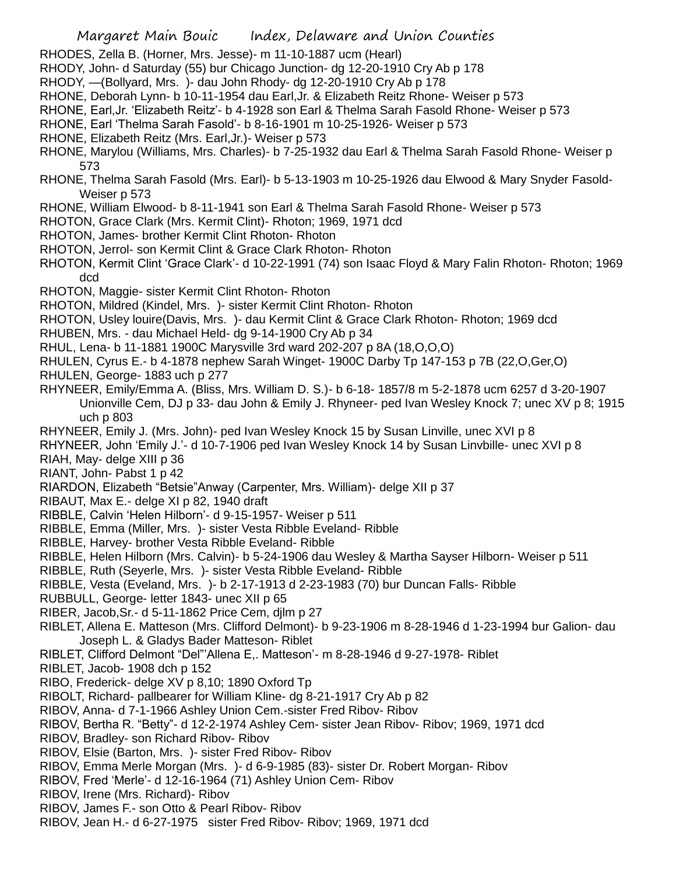- RHODES, Zella B. (Horner, Mrs. Jesse)- m 11-10-1887 ucm (Hearl)
- RHODY, John- d Saturday (55) bur Chicago Junction- dg 12-20-1910 Cry Ab p 178
- RHODY, —(Bollyard, Mrs. )- dau John Rhody- dg 12-20-1910 Cry Ab p 178
- RHONE, Deborah Lynn- b 10-11-1954 dau Earl,Jr. & Elizabeth Reitz Rhone- Weiser p 573
- RHONE, Earl,Jr. 'Elizabeth Reitz'- b 4-1928 son Earl & Thelma Sarah Fasold Rhone- Weiser p 573
- RHONE, Earl 'Thelma Sarah Fasold'- b 8-16-1901 m 10-25-1926- Weiser p 573
- RHONE, Elizabeth Reitz (Mrs. Earl,Jr.)- Weiser p 573
- RHONE, Marylou (Williams, Mrs. Charles)- b 7-25-1932 dau Earl & Thelma Sarah Fasold Rhone- Weiser p 573
- RHONE, Thelma Sarah Fasold (Mrs. Earl)- b 5-13-1903 m 10-25-1926 dau Elwood & Mary Snyder Fasold-Weiser p 573
- RHONE, William Elwood- b 8-11-1941 son Earl & Thelma Sarah Fasold Rhone- Weiser p 573
- RHOTON, Grace Clark (Mrs. Kermit Clint)- Rhoton; 1969, 1971 dcd
- RHOTON, James- brother Kermit Clint Rhoton- Rhoton
- RHOTON, Jerrol- son Kermit Clint & Grace Clark Rhoton- Rhoton
- RHOTON, Kermit Clint 'Grace Clark'- d 10-22-1991 (74) son Isaac Floyd & Mary Falin Rhoton- Rhoton; 1969 dcd
- RHOTON, Maggie- sister Kermit Clint Rhoton- Rhoton
- RHOTON, Mildred (Kindel, Mrs. )- sister Kermit Clint Rhoton- Rhoton
- RHOTON, Usley louire(Davis, Mrs. )- dau Kermit Clint & Grace Clark Rhoton- Rhoton; 1969 dcd
- RHUBEN, Mrs. dau Michael Held- dg 9-14-1900 Cry Ab p 34
- RHUL, Lena- b 11-1881 1900C Marysville 3rd ward 202-207 p 8A (18,O,O,O)
- RHULEN, Cyrus E.- b 4-1878 nephew Sarah Winget- 1900C Darby Tp 147-153 p 7B (22,O,Ger,O)
- RHULEN, George- 1883 uch p 277
- RHYNEER, Emily/Emma A. (Bliss, Mrs. William D. S.)- b 6-18- 1857/8 m 5-2-1878 ucm 6257 d 3-20-1907 Unionville Cem, DJ p 33- dau John & Emily J. Rhyneer- ped Ivan Wesley Knock 7; unec XV p 8; 1915 uch p 803
- RHYNEER, Emily J. (Mrs. John)- ped Ivan Wesley Knock 15 by Susan Linville, unec XVI p 8
- RHYNEER, John 'Emily J.'- d 10-7-1906 ped Ivan Wesley Knock 14 by Susan Linvbille- unec XVI p 8
- RIAH, May- delge XIII p 36
- RIANT, John- Pabst 1 p 42
- RIARDON, Elizabeth "Betsie"Anway (Carpenter, Mrs. William)- delge XII p 37
- RIBAUT, Max E.- delge XI p 82, 1940 draft
- RIBBLE, Calvin 'Helen Hilborn'- d 9-15-1957- Weiser p 511
- RIBBLE, Emma (Miller, Mrs. )- sister Vesta Ribble Eveland- Ribble
- RIBBLE, Harvey- brother Vesta Ribble Eveland- Ribble
- RIBBLE, Helen Hilborn (Mrs. Calvin)- b 5-24-1906 dau Wesley & Martha Sayser Hilborn- Weiser p 511
- RIBBLE, Ruth (Seyerle, Mrs. )- sister Vesta Ribble Eveland- Ribble
- RIBBLE, Vesta (Eveland, Mrs. )- b 2-17-1913 d 2-23-1983 (70) bur Duncan Falls- Ribble
- RUBBULL, George- letter 1843- unec XII p 65
- RIBER, Jacob,Sr.- d 5-11-1862 Price Cem, djlm p 27
- RIBLET, Allena E. Matteson (Mrs. Clifford Delmont)- b 9-23-1906 m 8-28-1946 d 1-23-1994 bur Galion- dau Joseph L. & Gladys Bader Matteson- Riblet
- RIBLET, Clifford Delmont "Del"'Allena E,. Matteson'- m 8-28-1946 d 9-27-1978- Riblet
- RIBLET, Jacob- 1908 dch p 152
- RIBO, Frederick- delge XV p 8,10; 1890 Oxford Tp
- RIBOLT, Richard- pallbearer for William Kline- dg 8-21-1917 Cry Ab p 82
- RIBOV, Anna- d 7-1-1966 Ashley Union Cem.-sister Fred Ribov- Ribov
- RIBOV, Bertha R. "Betty"- d 12-2-1974 Ashley Cem- sister Jean Ribov- Ribov; 1969, 1971 dcd
- RIBOV, Bradley- son Richard Ribov- Ribov
- RIBOV, Elsie (Barton, Mrs. )- sister Fred Ribov- Ribov
- RIBOV, Emma Merle Morgan (Mrs. )- d 6-9-1985 (83)- sister Dr. Robert Morgan- Ribov
- RIBOV, Fred 'Merle'- d 12-16-1964 (71) Ashley Union Cem- Ribov
- RIBOV, Irene (Mrs. Richard)- Ribov
- RIBOV, James F.- son Otto & Pearl Ribov- Ribov
- RIBOV, Jean H.- d 6-27-1975 sister Fred Ribov- Ribov; 1969, 1971 dcd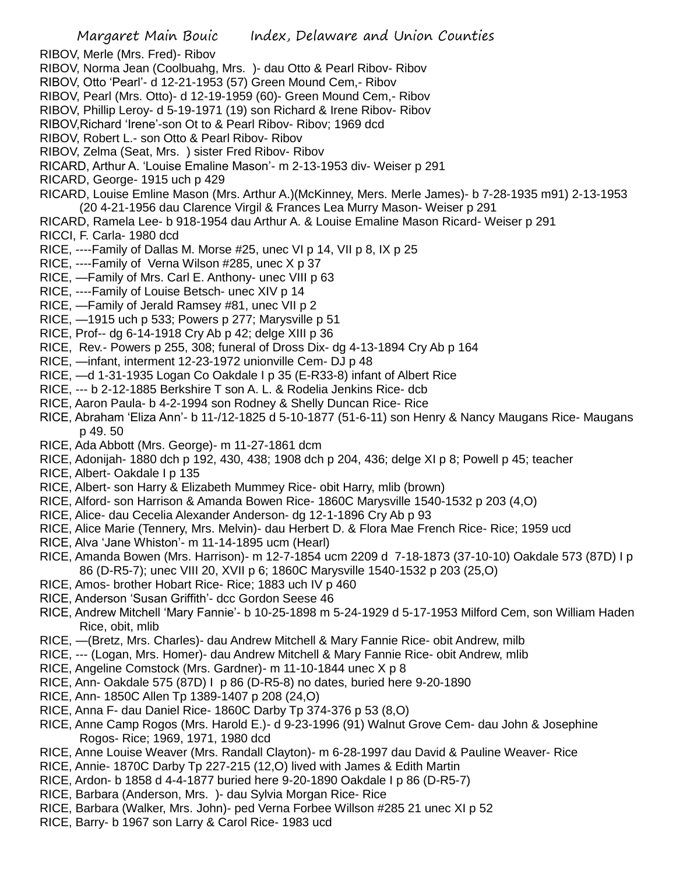- RIBOV, Merle (Mrs. Fred)- Ribov
- RIBOV, Norma Jean (Coolbuahg, Mrs. )- dau Otto & Pearl Ribov- Ribov
- RIBOV, Otto 'Pearl'- d 12-21-1953 (57) Green Mound Cem,- Ribov
- RIBOV, Pearl (Mrs. Otto)- d 12-19-1959 (60)- Green Mound Cem,- Ribov
- RIBOV, Phillip Leroy- d 5-19-1971 (19) son Richard & Irene Ribov- Ribov
- RIBOV,Richard 'Irene'-son Ot to & Pearl Ribov- Ribov; 1969 dcd
- RIBOV, Robert L.- son Otto & Pearl Ribov- Ribov
- RIBOV, Zelma (Seat, Mrs. ) sister Fred Ribov- Ribov
- RICARD, Arthur A. 'Louise Emaline Mason'- m 2-13-1953 div- Weiser p 291
- RICARD, George- 1915 uch p 429
- RICARD, Louise Emline Mason (Mrs. Arthur A.)(McKinney, Mers. Merle James)- b 7-28-1935 m91) 2-13-1953 (20 4-21-1956 dau Clarence Virgil & Frances Lea Murry Mason- Weiser p 291
- RICARD, Ramela Lee- b 918-1954 dau Arthur A. & Louise Emaline Mason Ricard- Weiser p 291
- RICCI, F. Carla- 1980 dcd
- RICE, ----Family of Dallas M. Morse #25, unec VI p 14, VII p 8, IX p 25
- RICE, ----Family of Verna Wilson #285, unec X p 37
- RICE, —Family of Mrs. Carl E. Anthony- unec VIII p 63
- RICE, ----Family of Louise Betsch- unec XIV p 14
- RICE, —Family of Jerald Ramsey #81, unec VII p 2
- RICE, —1915 uch p 533; Powers p 277; Marysville p 51
- RICE, Prof-- dg 6-14-1918 Cry Ab p 42; delge XIII p 36
- RICE, Rev.- Powers p 255, 308; funeral of Dross Dix- dg 4-13-1894 Cry Ab p 164
- RICE, —infant, interment 12-23-1972 unionville Cem- DJ p 48
- RICE, —d 1-31-1935 Logan Co Oakdale I p 35 (E-R33-8) infant of Albert Rice
- RICE, --- b 2-12-1885 Berkshire T son A. L. & Rodelia Jenkins Rice- dcb
- RICE, Aaron Paula- b 4-2-1994 son Rodney & Shelly Duncan Rice- Rice
- RICE, Abraham 'Eliza Ann'- b 11-/12-1825 d 5-10-1877 (51-6-11) son Henry & Nancy Maugans Rice- Maugans p 49. 50
- RICE, Ada Abbott (Mrs. George)- m 11-27-1861 dcm
- RICE, Adonijah- 1880 dch p 192, 430, 438; 1908 dch p 204, 436; delge XI p 8; Powell p 45; teacher
- RICE, Albert- Oakdale I p 135
- RICE, Albert- son Harry & Elizabeth Mummey Rice- obit Harry, mlib (brown)
- RICE, Alford- son Harrison & Amanda Bowen Rice- 1860C Marysville 1540-1532 p 203 (4,O)
- RICE, Alice- dau Cecelia Alexander Anderson- dg 12-1-1896 Cry Ab p 93
- RICE, Alice Marie (Tennery, Mrs. Melvin)- dau Herbert D. & Flora Mae French Rice- Rice; 1959 ucd
- RICE, Alva 'Jane Whiston'- m 11-14-1895 ucm (Hearl)
- RICE, Amanda Bowen (Mrs. Harrison)- m 12-7-1854 ucm 2209 d 7-18-1873 (37-10-10) Oakdale 573 (87D) I p 86 (D-R5-7); unec VIII 20, XVII p 6; 1860C Marysville 1540-1532 p 203 (25,O)
- RICE, Amos- brother Hobart Rice- Rice; 1883 uch IV p 460
- RICE, Anderson 'Susan Griffith'- dcc Gordon Seese 46
- RICE, Andrew Mitchell 'Mary Fannie'- b 10-25-1898 m 5-24-1929 d 5-17-1953 Milford Cem, son William Haden Rice, obit, mlib
- RICE, —(Bretz, Mrs. Charles)- dau Andrew Mitchell & Mary Fannie Rice- obit Andrew, milb
- RICE, --- (Logan, Mrs. Homer)- dau Andrew Mitchell & Mary Fannie Rice- obit Andrew, mlib
- RICE, Angeline Comstock (Mrs. Gardner)- m 11-10-1844 unec X p 8
- RICE, Ann- Oakdale 575 (87D) I p 86 (D-R5-8) no dates, buried here 9-20-1890
- RICE, Ann- 1850C Allen Tp 1389-1407 p 208 (24,O)
- RICE, Anna F- dau Daniel Rice- 1860C Darby Tp 374-376 p 53 (8,O)
- RICE, Anne Camp Rogos (Mrs. Harold E.)- d 9-23-1996 (91) Walnut Grove Cem- dau John & Josephine Rogos- Rice; 1969, 1971, 1980 dcd
- RICE, Anne Louise Weaver (Mrs. Randall Clayton)- m 6-28-1997 dau David & Pauline Weaver- Rice
- RICE, Annie- 1870C Darby Tp 227-215 (12,O) lived with James & Edith Martin
- RICE, Ardon- b 1858 d 4-4-1877 buried here 9-20-1890 Oakdale I p 86 (D-R5-7)
- RICE, Barbara (Anderson, Mrs. )- dau Sylvia Morgan Rice- Rice
- RICE, Barbara (Walker, Mrs. John)- ped Verna Forbee Willson #285 21 unec XI p 52
- RICE, Barry- b 1967 son Larry & Carol Rice- 1983 ucd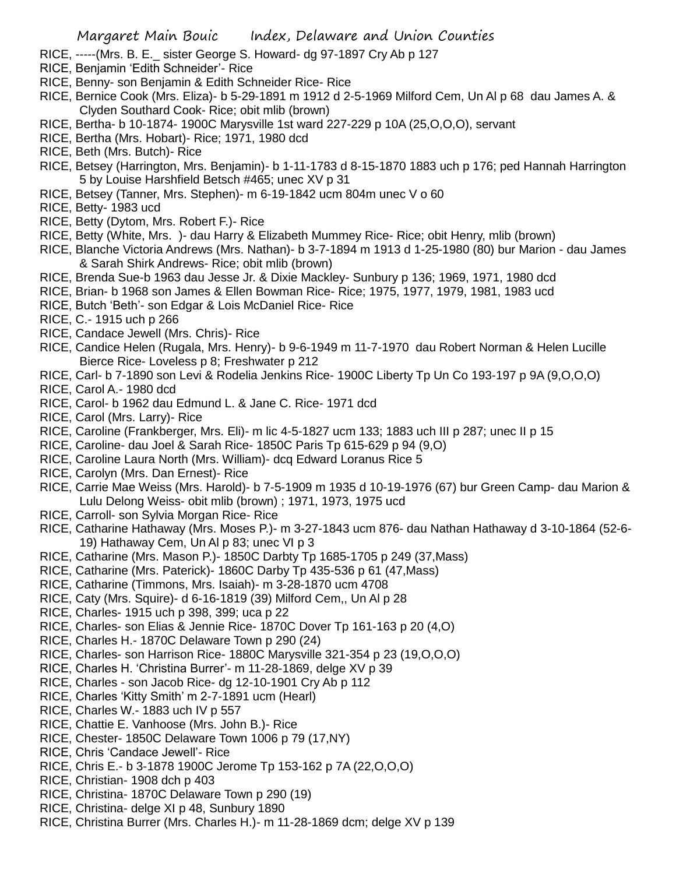- RICE, -----(Mrs. B. E.\_ sister George S. Howard- dg 97-1897 Cry Ab p 127
- RICE, Benjamin 'Edith Schneider'- Rice
- RICE, Benny- son Benjamin & Edith Schneider Rice- Rice
- RICE, Bernice Cook (Mrs. Eliza)- b 5-29-1891 m 1912 d 2-5-1969 Milford Cem, Un Al p 68 dau James A. & Clyden Southard Cook- Rice; obit mlib (brown)
- RICE, Bertha- b 10-1874- 1900C Marysville 1st ward 227-229 p 10A (25,O,O,O), servant
- RICE, Bertha (Mrs. Hobart)- Rice; 1971, 1980 dcd
- RICE, Beth (Mrs. Butch)- Rice
- RICE, Betsey (Harrington, Mrs. Benjamin)- b 1-11-1783 d 8-15-1870 1883 uch p 176; ped Hannah Harrington 5 by Louise Harshfield Betsch #465; unec XV p 31
- RICE, Betsey (Tanner, Mrs. Stephen)- m 6-19-1842 ucm 804m unec V o 60
- RICE, Betty- 1983 ucd
- RICE, Betty (Dytom, Mrs. Robert F.)- Rice
- RICE, Betty (White, Mrs. )- dau Harry & Elizabeth Mummey Rice- Rice; obit Henry, mlib (brown)
- RICE, Blanche Victoria Andrews (Mrs. Nathan)- b 3-7-1894 m 1913 d 1-25-1980 (80) bur Marion dau James & Sarah Shirk Andrews- Rice; obit mlib (brown)
- RICE, Brenda Sue-b 1963 dau Jesse Jr. & Dixie Mackley- Sunbury p 136; 1969, 1971, 1980 dcd
- RICE, Brian- b 1968 son James & Ellen Bowman Rice- Rice; 1975, 1977, 1979, 1981, 1983 ucd
- RICE, Butch 'Beth'- son Edgar & Lois McDaniel Rice- Rice
- RICE, C.- 1915 uch p 266
- RICE, Candace Jewell (Mrs. Chris)- Rice
- RICE, Candice Helen (Rugala, Mrs. Henry)- b 9-6-1949 m 11-7-1970 dau Robert Norman & Helen Lucille Bierce Rice- Loveless p 8; Freshwater p 212
- RICE, Carl- b 7-1890 son Levi & Rodelia Jenkins Rice- 1900C Liberty Tp Un Co 193-197 p 9A (9,O,O,O)
- RICE, Carol A.- 1980 dcd
- RICE, Carol- b 1962 dau Edmund L. & Jane C. Rice- 1971 dcd
- RICE, Carol (Mrs. Larry)- Rice
- RICE, Caroline (Frankberger, Mrs. Eli)- m lic 4-5-1827 ucm 133; 1883 uch III p 287; unec II p 15
- RICE, Caroline- dau Joel & Sarah Rice- 1850C Paris Tp 615-629 p 94 (9,O)
- RICE, Caroline Laura North (Mrs. William)- dcq Edward Loranus Rice 5
- RICE, Carolyn (Mrs. Dan Ernest)- Rice
- RICE, Carrie Mae Weiss (Mrs. Harold)- b 7-5-1909 m 1935 d 10-19-1976 (67) bur Green Camp- dau Marion & Lulu Delong Weiss- obit mlib (brown) ; 1971, 1973, 1975 ucd
- RICE, Carroll- son Sylvia Morgan Rice- Rice
- RICE, Catharine Hathaway (Mrs. Moses P.)- m 3-27-1843 ucm 876- dau Nathan Hathaway d 3-10-1864 (52-6- 19) Hathaway Cem, Un Al p 83; unec VI p 3
- RICE, Catharine (Mrs. Mason P.)- 1850C Darbty Tp 1685-1705 p 249 (37,Mass)
- RICE, Catharine (Mrs. Paterick)- 1860C Darby Tp 435-536 p 61 (47,Mass)
- RICE, Catharine (Timmons, Mrs. Isaiah)- m 3-28-1870 ucm 4708
- RICE, Caty (Mrs. Squire)- d 6-16-1819 (39) Milford Cem,, Un Al p 28
- RICE, Charles- 1915 uch p 398, 399; uca p 22
- RICE, Charles- son Elias & Jennie Rice- 1870C Dover Tp 161-163 p 20 (4,O)
- RICE, Charles H.- 1870C Delaware Town p 290 (24)
- RICE, Charles- son Harrison Rice- 1880C Marysville 321-354 p 23 (19,O,O,O)
- RICE, Charles H. 'Christina Burrer'- m 11-28-1869, delge XV p 39
- RICE, Charles son Jacob Rice- dg 12-10-1901 Cry Ab p 112
- RICE, Charles 'Kitty Smith' m 2-7-1891 ucm (Hearl)
- RICE, Charles W.- 1883 uch IV p 557
- RICE, Chattie E. Vanhoose (Mrs. John B.)- Rice
- RICE, Chester- 1850C Delaware Town 1006 p 79 (17,NY)
- RICE, Chris 'Candace Jewell'- Rice
- RICE, Chris E.- b 3-1878 1900C Jerome Tp 153-162 p 7A (22,O,O,O)
- RICE, Christian- 1908 dch p 403
- RICE, Christina- 1870C Delaware Town p 290 (19)
- RICE, Christina- delge XI p 48, Sunbury 1890
- RICE, Christina Burrer (Mrs. Charles H.)- m 11-28-1869 dcm; delge XV p 139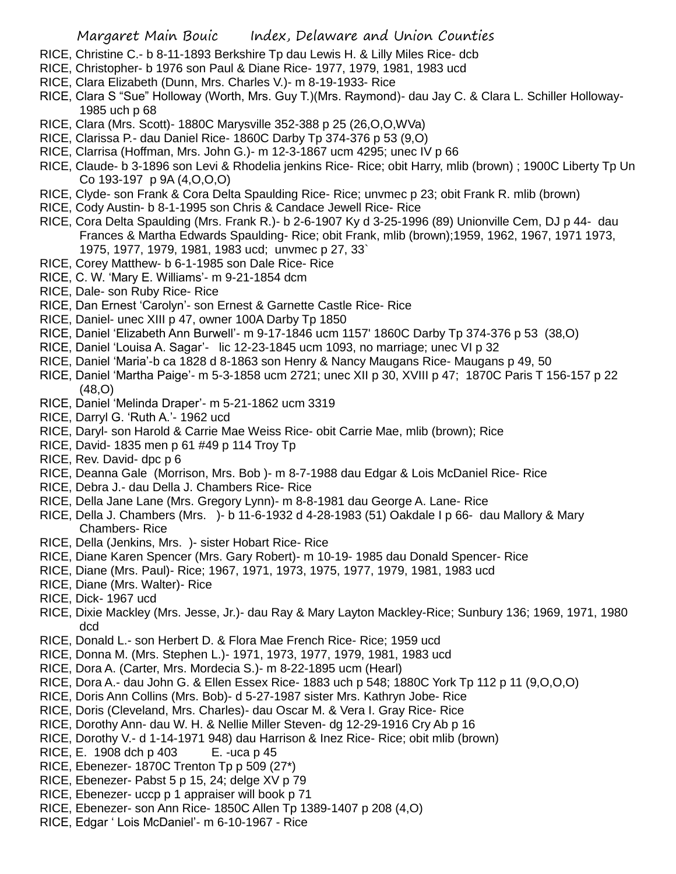## Margaret Main Bouic Index, Delaware and Union Counties

- RICE, Christine C.- b 8-11-1893 Berkshire Tp dau Lewis H. & Lilly Miles Rice- dcb
- RICE, Christopher- b 1976 son Paul & Diane Rice- 1977, 1979, 1981, 1983 ucd
- RICE, Clara Elizabeth (Dunn, Mrs. Charles V.)- m 8-19-1933- Rice
- RICE, Clara S "Sue" Holloway (Worth, Mrs. Guy T.)(Mrs. Raymond)- dau Jay C. & Clara L. Schiller Holloway-1985 uch p 68
- RICE, Clara (Mrs. Scott)- 1880C Marysville 352-388 p 25 (26,O,O,WVa)
- RICE, Clarissa P.- dau Daniel Rice- 1860C Darby Tp 374-376 p 53 (9,O)
- RICE, Clarrisa (Hoffman, Mrs. John G.)- m 12-3-1867 ucm 4295; unec IV p 66
- RICE, Claude- b 3-1896 son Levi & Rhodelia jenkins Rice- Rice; obit Harry, mlib (brown) ; 1900C Liberty Tp Un Co 193-197 p 9A (4,O,O,O)
- RICE, Clyde- son Frank & Cora Delta Spaulding Rice- Rice; unvmec p 23; obit Frank R. mlib (brown)
- RICE, Cody Austin- b 8-1-1995 son Chris & Candace Jewell Rice- Rice
- RICE, Cora Delta Spaulding (Mrs. Frank R.)- b 2-6-1907 Ky d 3-25-1996 (89) Unionville Cem, DJ p 44- dau Frances & Martha Edwards Spaulding- Rice; obit Frank, mlib (brown);1959, 1962, 1967, 1971 1973, 1975, 1977, 1979, 1981, 1983 ucd; unvmec p 27, 33`
- RICE, Corey Matthew- b 6-1-1985 son Dale Rice- Rice
- RICE, C. W. 'Mary E. Williams'- m 9-21-1854 dcm
- RICE, Dale- son Ruby Rice- Rice
- RICE, Dan Ernest 'Carolyn'- son Ernest & Garnette Castle Rice- Rice
- RICE, Daniel- unec XIII p 47, owner 100A Darby Tp 1850
- RICE, Daniel 'Elizabeth Ann Burwell'- m 9-17-1846 ucm 1157' 1860C Darby Tp 374-376 p 53 (38,O)
- RICE, Daniel 'Louisa A. Sagar'- lic 12-23-1845 ucm 1093, no marriage; unec VI p 32
- RICE, Daniel 'Maria'-b ca 1828 d 8-1863 son Henry & Nancy Maugans Rice- Maugans p 49, 50
- RICE, Daniel 'Martha Paige'- m 5-3-1858 ucm 2721; unec XII p 30, XVIII p 47; 1870C Paris T 156-157 p 22 (48,O)
- RICE, Daniel 'Melinda Draper'- m 5-21-1862 ucm 3319
- RICE, Darryl G. 'Ruth A.'- 1962 ucd
- RICE, Daryl- son Harold & Carrie Mae Weiss Rice- obit Carrie Mae, mlib (brown); Rice
- RICE, David- 1835 men p 61 #49 p 114 Troy Tp
- RICE, Rev. David- dpc p 6
- RICE, Deanna Gale (Morrison, Mrs. Bob )- m 8-7-1988 dau Edgar & Lois McDaniel Rice- Rice
- RICE, Debra J.- dau Della J. Chambers Rice- Rice
- RICE, Della Jane Lane (Mrs. Gregory Lynn)- m 8-8-1981 dau George A. Lane- Rice
- RICE, Della J. Chambers (Mrs. )- b 11-6-1932 d 4-28-1983 (51) Oakdale I p 66- dau Mallory & Mary Chambers- Rice
- RICE, Della (Jenkins, Mrs. )- sister Hobart Rice- Rice
- RICE, Diane Karen Spencer (Mrs. Gary Robert)- m 10-19- 1985 dau Donald Spencer- Rice
- RICE, Diane (Mrs. Paul)- Rice; 1967, 1971, 1973, 1975, 1977, 1979, 1981, 1983 ucd
- RICE, Diane (Mrs. Walter)- Rice
- RICE, Dick- 1967 ucd
- RICE, Dixie Mackley (Mrs. Jesse, Jr.)- dau Ray & Mary Layton Mackley-Rice; Sunbury 136; 1969, 1971, 1980 dcd
- RICE, Donald L.- son Herbert D. & Flora Mae French Rice- Rice; 1959 ucd
- RICE, Donna M. (Mrs. Stephen L.)- 1971, 1973, 1977, 1979, 1981, 1983 ucd
- RICE, Dora A. (Carter, Mrs. Mordecia S.)- m 8-22-1895 ucm (Hearl)
- RICE, Dora A.- dau John G. & Ellen Essex Rice- 1883 uch p 548; 1880C York Tp 112 p 11 (9,O,O,O)
- RICE, Doris Ann Collins (Mrs. Bob)- d 5-27-1987 sister Mrs. Kathryn Jobe- Rice
- RICE, Doris (Cleveland, Mrs. Charles)- dau Oscar M. & Vera I. Gray Rice- Rice
- RICE, Dorothy Ann- dau W. H. & Nellie Miller Steven- dg 12-29-1916 Cry Ab p 16
- RICE, Dorothy V.- d 1-14-1971 948) dau Harrison & Inez Rice- Rice; obit mlib (brown)
- RICE, E. 1908 dch p 403 E. -uca p 45
- RICE, Ebenezer- 1870C Trenton Tp p 509 (27\*)
- RICE, Ebenezer- Pabst 5 p 15, 24; delge XV p 79
- RICE, Ebenezer- uccp p 1 appraiser will book p 71
- RICE, Ebenezer- son Ann Rice- 1850C Allen Tp 1389-1407 p 208 (4,O)
- RICE, Edgar ' Lois McDaniel'- m 6-10-1967 Rice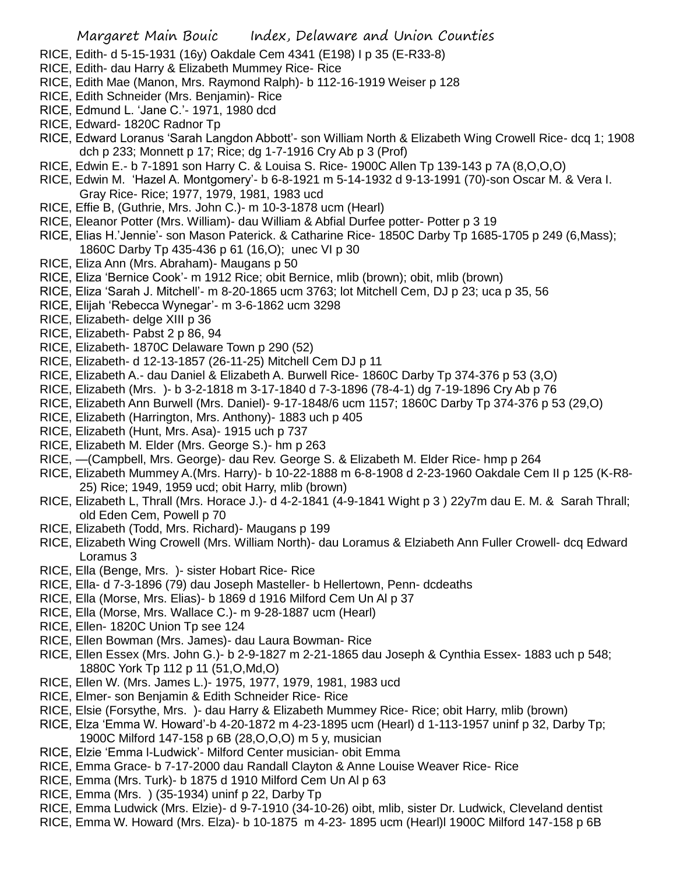- RICE, Edith- d 5-15-1931 (16y) Oakdale Cem 4341 (E198) I p 35 (E-R33-8)
- RICE, Edith- dau Harry & Elizabeth Mummey Rice- Rice
- RICE, Edith Mae (Manon, Mrs. Raymond Ralph)- b 112-16-1919 Weiser p 128
- RICE, Edith Schneider (Mrs. Benjamin)- Rice
- RICE, Edmund L. 'Jane C.'- 1971, 1980 dcd
- RICE, Edward- 1820C Radnor Tp
- RICE, Edward Loranus 'Sarah Langdon Abbott'- son William North & Elizabeth Wing Crowell Rice- dcq 1; 1908 dch p 233; Monnett p 17; Rice; dg 1-7-1916 Cry Ab p 3 (Prof)
- RICE, Edwin E.- b 7-1891 son Harry C. & Louisa S. Rice- 1900C Allen Tp 139-143 p 7A (8,O,O,O)
- RICE, Edwin M. 'Hazel A. Montgomery'- b 6-8-1921 m 5-14-1932 d 9-13-1991 (70)-son Oscar M. & Vera I. Gray Rice- Rice; 1977, 1979, 1981, 1983 ucd
- RICE, Effie B, (Guthrie, Mrs. John C.)- m 10-3-1878 ucm (Hearl)
- RICE, Eleanor Potter (Mrs. William)- dau William & Abfial Durfee potter- Potter p 3 19
- RICE, Elias H.'Jennie'- son Mason Paterick. & Catharine Rice- 1850C Darby Tp 1685-1705 p 249 (6,Mass); 1860C Darby Tp 435-436 p 61 (16,O); unec VI p 30
- RICE, Eliza Ann (Mrs. Abraham)- Maugans p 50
- RICE, Eliza 'Bernice Cook'- m 1912 Rice; obit Bernice, mlib (brown); obit, mlib (brown)
- RICE, Eliza 'Sarah J. Mitchell'- m 8-20-1865 ucm 3763; lot Mitchell Cem, DJ p 23; uca p 35, 56
- RICE, Elijah 'Rebecca Wynegar'- m 3-6-1862 ucm 3298
- RICE, Elizabeth- delge XIII p 36
- RICE, Elizabeth- Pabst 2 p 86, 94
- RICE, Elizabeth- 1870C Delaware Town p 290 (52)
- RICE, Elizabeth- d 12-13-1857 (26-11-25) Mitchell Cem DJ p 11
- RICE, Elizabeth A.- dau Daniel & Elizabeth A. Burwell Rice- 1860C Darby Tp 374-376 p 53 (3,O)
- RICE, Elizabeth (Mrs. )- b 3-2-1818 m 3-17-1840 d 7-3-1896 (78-4-1) dg 7-19-1896 Cry Ab p 76
- RICE, Elizabeth Ann Burwell (Mrs. Daniel)- 9-17-1848/6 ucm 1157; 1860C Darby Tp 374-376 p 53 (29,O)
- RICE, Elizabeth (Harrington, Mrs. Anthony)- 1883 uch p 405
- RICE, Elizabeth (Hunt, Mrs. Asa)- 1915 uch p 737
- RICE, Elizabeth M. Elder (Mrs. George S.)- hm p 263
- RICE, —(Campbell, Mrs. George)- dau Rev. George S. & Elizabeth M. Elder Rice- hmp p 264
- RICE, Elizabeth Mummey A.(Mrs. Harry)- b 10-22-1888 m 6-8-1908 d 2-23-1960 Oakdale Cem II p 125 (K-R8- 25) Rice; 1949, 1959 ucd; obit Harry, mlib (brown)
- RICE, Elizabeth L, Thrall (Mrs. Horace J.)- d 4-2-1841 (4-9-1841 Wight p 3 ) 22y7m dau E. M. & Sarah Thrall; old Eden Cem, Powell p 70
- RICE, Elizabeth (Todd, Mrs. Richard)- Maugans p 199
- RICE, Elizabeth Wing Crowell (Mrs. William North)- dau Loramus & Elziabeth Ann Fuller Crowell- dcq Edward Loramus 3
- RICE, Ella (Benge, Mrs. )- sister Hobart Rice- Rice
- RICE, Ella- d 7-3-1896 (79) dau Joseph Masteller- b Hellertown, Penn- dcdeaths
- RICE, Ella (Morse, Mrs. Elias)- b 1869 d 1916 Milford Cem Un Al p 37
- RICE, Ella (Morse, Mrs. Wallace C.)- m 9-28-1887 ucm (Hearl)
- RICE, Ellen- 1820C Union Tp see 124
- RICE, Ellen Bowman (Mrs. James)- dau Laura Bowman- Rice
- RICE, Ellen Essex (Mrs. John G.)- b 2-9-1827 m 2-21-1865 dau Joseph & Cynthia Essex- 1883 uch p 548; 1880C York Tp 112 p 11 (51,O,Md,O)
- RICE, Ellen W. (Mrs. James L.)- 1975, 1977, 1979, 1981, 1983 ucd
- RICE, Elmer- son Benjamin & Edith Schneider Rice- Rice
- RICE, Elsie (Forsythe, Mrs. )- dau Harry & Elizabeth Mummey Rice- Rice; obit Harry, mlib (brown)
- RICE, Elza 'Emma W. Howard'-b 4-20-1872 m 4-23-1895 ucm (Hearl) d 1-113-1957 uninf p 32, Darby Tp; 1900C Milford 147-158 p 6B (28,O,O,O) m 5 y, musician
- RICE, Elzie 'Emma l-Ludwick'- Milford Center musician- obit Emma
- RICE, Emma Grace- b 7-17-2000 dau Randall Clayton & Anne Louise Weaver Rice- Rice
- RICE, Emma (Mrs. Turk)- b 1875 d 1910 Milford Cem Un Al p 63
- RICE, Emma (Mrs. ) (35-1934) uninf p 22, Darby Tp
- RICE, Emma Ludwick (Mrs. Elzie)- d 9-7-1910 (34-10-26) oibt, mlib, sister Dr. Ludwick, Cleveland dentist
- RICE, Emma W. Howard (Mrs. Elza)- b 10-1875 m 4-23- 1895 ucm (Hearl)l 1900C Milford 147-158 p 6B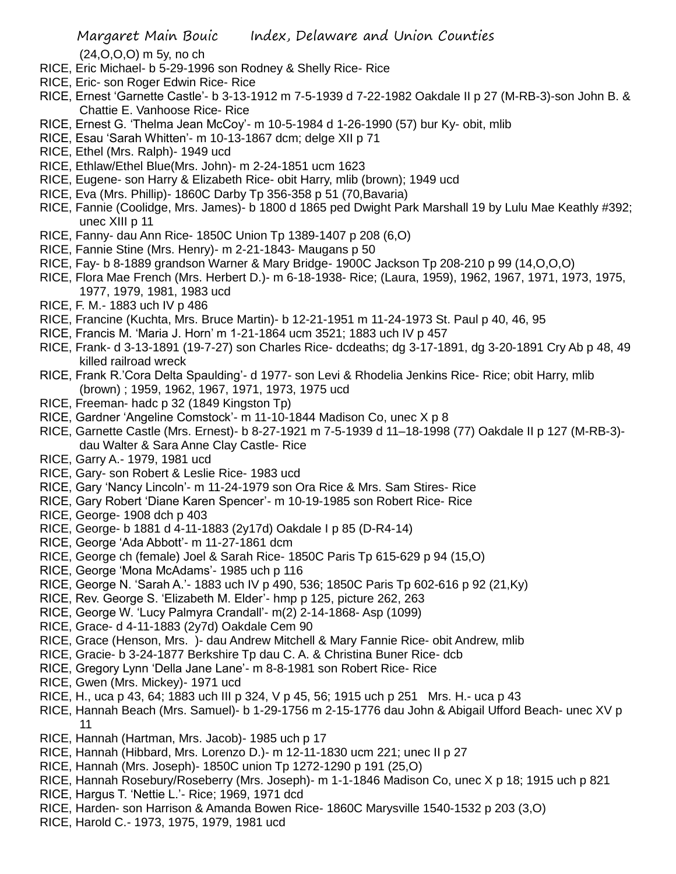(24,O,O,O) m 5y, no ch

- RICE, Eric Michael- b 5-29-1996 son Rodney & Shelly Rice- Rice
- RICE, Eric- son Roger Edwin Rice- Rice
- RICE, Ernest 'Garnette Castle'- b 3-13-1912 m 7-5-1939 d 7-22-1982 Oakdale II p 27 (M-RB-3)-son John B. & Chattie E. Vanhoose Rice- Rice
- RICE, Ernest G. 'Thelma Jean McCoy'- m 10-5-1984 d 1-26-1990 (57) bur Ky- obit, mlib
- RICE, Esau 'Sarah Whitten'- m 10-13-1867 dcm; delge XII p 71
- RICE, Ethel (Mrs. Ralph)- 1949 ucd
- RICE, Ethlaw/Ethel Blue(Mrs. John)- m 2-24-1851 ucm 1623
- RICE, Eugene- son Harry & Elizabeth Rice- obit Harry, mlib (brown); 1949 ucd
- RICE, Eva (Mrs. Phillip)- 1860C Darby Tp 356-358 p 51 (70,Bavaria)
- RICE, Fannie (Coolidge, Mrs. James)- b 1800 d 1865 ped Dwight Park Marshall 19 by Lulu Mae Keathly #392; unec XIII p 11
- RICE, Fanny- dau Ann Rice- 1850C Union Tp 1389-1407 p 208 (6,O)
- RICE, Fannie Stine (Mrs. Henry)- m 2-21-1843- Maugans p 50
- RICE, Fay- b 8-1889 grandson Warner & Mary Bridge- 1900C Jackson Tp 208-210 p 99 (14,O,O,O)
- RICE, Flora Mae French (Mrs. Herbert D.)- m 6-18-1938- Rice; (Laura, 1959), 1962, 1967, 1971, 1973, 1975, 1977, 1979, 1981, 1983 ucd
- RICE, F. M.- 1883 uch IV p 486
- RICE, Francine (Kuchta, Mrs. Bruce Martin)- b 12-21-1951 m 11-24-1973 St. Paul p 40, 46, 95
- RICE, Francis M. 'Maria J. Horn' m 1-21-1864 ucm 3521; 1883 uch IV p 457
- RICE, Frank- d 3-13-1891 (19-7-27) son Charles Rice- dcdeaths; dg 3-17-1891, dg 3-20-1891 Cry Ab p 48, 49 killed railroad wreck
- RICE, Frank R.'Cora Delta Spaulding'- d 1977- son Levi & Rhodelia Jenkins Rice- Rice; obit Harry, mlib (brown) ; 1959, 1962, 1967, 1971, 1973, 1975 ucd
- RICE, Freeman- hadc p 32 (1849 Kingston Tp)
- RICE, Gardner 'Angeline Comstock'- m 11-10-1844 Madison Co, unec X p 8
- RICE, Garnette Castle (Mrs. Ernest)- b 8-27-1921 m 7-5-1939 d 11–18-1998 (77) Oakdale II p 127 (M-RB-3) dau Walter & Sara Anne Clay Castle- Rice
- RICE, Garry A.- 1979, 1981 ucd
- RICE, Gary- son Robert & Leslie Rice- 1983 ucd
- RICE, Gary 'Nancy Lincoln'- m 11-24-1979 son Ora Rice & Mrs. Sam Stires- Rice
- RICE, Gary Robert 'Diane Karen Spencer'- m 10-19-1985 son Robert Rice- Rice
- RICE, George- 1908 dch p 403
- RICE, George- b 1881 d 4-11-1883 (2y17d) Oakdale I p 85 (D-R4-14)
- RICE, George 'Ada Abbott'- m 11-27-1861 dcm
- RICE, George ch (female) Joel & Sarah Rice- 1850C Paris Tp 615-629 p 94 (15,O)
- RICE, George 'Mona McAdams'- 1985 uch p 116
- RICE, George N. 'Sarah A.'- 1883 uch IV p 490, 536; 1850C Paris Tp 602-616 p 92 (21,Ky)
- RICE, Rev. George S. 'Elizabeth M. Elder'- hmp p 125, picture 262, 263
- RICE, George W. 'Lucy Palmyra Crandall'- m(2) 2-14-1868- Asp (1099)
- RICE, Grace- d 4-11-1883 (2y7d) Oakdale Cem 90
- RICE, Grace (Henson, Mrs. )- dau Andrew Mitchell & Mary Fannie Rice- obit Andrew, mlib
- RICE, Gracie- b 3-24-1877 Berkshire Tp dau C. A. & Christina Buner Rice- dcb
- RICE, Gregory Lynn 'Della Jane Lane'- m 8-8-1981 son Robert Rice- Rice
- RICE, Gwen (Mrs. Mickey)- 1971 ucd
- RICE, H., uca p 43, 64; 1883 uch III p 324, V p 45, 56; 1915 uch p 251 Mrs. H.- uca p 43
- RICE, Hannah Beach (Mrs. Samuel)- b 1-29-1756 m 2-15-1776 dau John & Abigail Ufford Beach- unec XV p 11
- RICE, Hannah (Hartman, Mrs. Jacob)- 1985 uch p 17
- RICE, Hannah (Hibbard, Mrs. Lorenzo D.)- m 12-11-1830 ucm 221; unec II p 27
- RICE, Hannah (Mrs. Joseph)- 1850C union Tp 1272-1290 p 191 (25,O)
- RICE, Hannah Rosebury/Roseberry (Mrs. Joseph)- m 1-1-1846 Madison Co, unec X p 18; 1915 uch p 821
- RICE, Hargus T. 'Nettie L.'- Rice; 1969, 1971 dcd
- RICE, Harden- son Harrison & Amanda Bowen Rice- 1860C Marysville 1540-1532 p 203 (3,O)
- RICE, Harold C.- 1973, 1975, 1979, 1981 ucd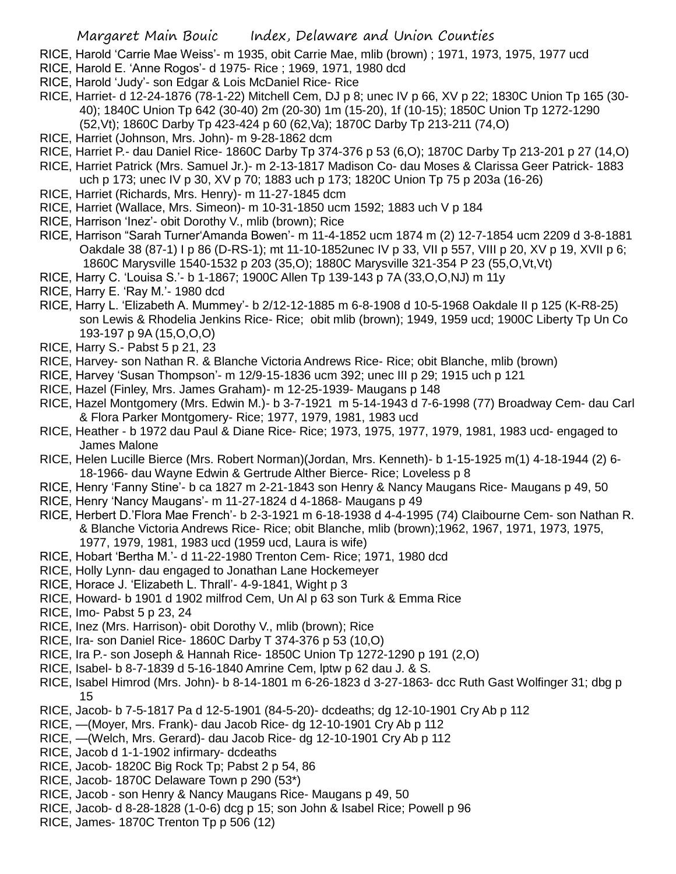- RICE, Harold 'Carrie Mae Weiss'- m 1935, obit Carrie Mae, mlib (brown) ; 1971, 1973, 1975, 1977 ucd
- RICE, Harold E. 'Anne Rogos'- d 1975- Rice ; 1969, 1971, 1980 dcd
- RICE, Harold 'Judy'- son Edgar & Lois McDaniel Rice- Rice
- RICE, Harriet- d 12-24-1876 (78-1-22) Mitchell Cem, DJ p 8; unec IV p 66, XV p 22; 1830C Union Tp 165 (30- 40); 1840C Union Tp 642 (30-40) 2m (20-30) 1m (15-20), 1f (10-15); 1850C Union Tp 1272-1290 (52,Vt); 1860C Darby Tp 423-424 p 60 (62,Va); 1870C Darby Tp 213-211 (74,O)
- RICE, Harriet (Johnson, Mrs. John)- m 9-28-1862 dcm
- RICE, Harriet P.- dau Daniel Rice- 1860C Darby Tp 374-376 p 53 (6,O); 1870C Darby Tp 213-201 p 27 (14,O)
- RICE, Harriet Patrick (Mrs. Samuel Jr.)- m 2-13-1817 Madison Co- dau Moses & Clarissa Geer Patrick- 1883 uch p 173; unec IV p 30, XV p 70; 1883 uch p 173; 1820C Union Tp 75 p 203a (16-26)
- RICE, Harriet (Richards, Mrs. Henry)- m 11-27-1845 dcm
- RICE, Harriet (Wallace, Mrs. Simeon)- m 10-31-1850 ucm 1592; 1883 uch V p 184
- RICE, Harrison 'Inez'- obit Dorothy V., mlib (brown); Rice
- RICE, Harrison "Sarah Turner'Amanda Bowen'- m 11-4-1852 ucm 1874 m (2) 12-7-1854 ucm 2209 d 3-8-1881 Oakdale 38 (87-1) I p 86 (D-RS-1); mt 11-10-1852unec IV p 33, VII p 557, VIII p 20, XV p 19, XVII p 6; 1860C Marysville 1540-1532 p 203 (35,O); 1880C Marysville 321-354 P 23 (55,O,Vt,Vt)
- RICE, Harry C. 'Louisa S.'- b 1-1867; 1900C Allen Tp 139-143 p 7A (33,O,O,NJ) m 11y
- RICE, Harry E. 'Ray M.'- 1980 dcd
- RICE, Harry L. 'Elizabeth A. Mummey'- b 2/12-12-1885 m 6-8-1908 d 10-5-1968 Oakdale II p 125 (K-R8-25) son Lewis & Rhodelia Jenkins Rice- Rice; obit mlib (brown); 1949, 1959 ucd; 1900C Liberty Tp Un Co 193-197 p 9A (15,O,O,O)
- RICE, Harry S.- Pabst 5 p 21, 23
- RICE, Harvey- son Nathan R. & Blanche Victoria Andrews Rice- Rice; obit Blanche, mlib (brown)
- RICE, Harvey 'Susan Thompson'- m 12/9-15-1836 ucm 392; unec III p 29; 1915 uch p 121
- RICE, Hazel (Finley, Mrs. James Graham)- m 12-25-1939- Maugans p 148
- RICE, Hazel Montgomery (Mrs. Edwin M.)- b 3-7-1921 m 5-14-1943 d 7-6-1998 (77) Broadway Cem- dau Carl & Flora Parker Montgomery- Rice; 1977, 1979, 1981, 1983 ucd
- RICE, Heather b 1972 dau Paul & Diane Rice- Rice; 1973, 1975, 1977, 1979, 1981, 1983 ucd- engaged to James Malone
- RICE, Helen Lucille Bierce (Mrs. Robert Norman)(Jordan, Mrs. Kenneth)- b 1-15-1925 m(1) 4-18-1944 (2) 6- 18-1966- dau Wayne Edwin & Gertrude Alther Bierce- Rice; Loveless p 8
- RICE, Henry 'Fanny Stine'- b ca 1827 m 2-21-1843 son Henry & Nancy Maugans Rice- Maugans p 49, 50
- RICE, Henry 'Nancy Maugans'- m 11-27-1824 d 4-1868- Maugans p 49
- RICE, Herbert D.'Flora Mae French'- b 2-3-1921 m 6-18-1938 d 4-4-1995 (74) Claibourne Cem- son Nathan R. & Blanche Victoria Andrews Rice- Rice; obit Blanche, mlib (brown);1962, 1967, 1971, 1973, 1975, 1977, 1979, 1981, 1983 ucd (1959 ucd, Laura is wife)
- RICE, Hobart 'Bertha M.'- d 11-22-1980 Trenton Cem- Rice; 1971, 1980 dcd
- RICE, Holly Lynn- dau engaged to Jonathan Lane Hockemeyer
- RICE, Horace J. 'Elizabeth L. Thrall'- 4-9-1841, Wight p 3
- RICE, Howard- b 1901 d 1902 milfrod Cem, Un Al p 63 son Turk & Emma Rice
- RICE, Imo- Pabst 5 p 23, 24
- RICE, Inez (Mrs. Harrison)- obit Dorothy V., mlib (brown); Rice
- RICE, Ira- son Daniel Rice- 1860C Darby T 374-376 p 53 (10,O)
- RICE, Ira P.- son Joseph & Hannah Rice- 1850C Union Tp 1272-1290 p 191 (2,O)
- RICE, Isabel- b 8-7-1839 d 5-16-1840 Amrine Cem, lptw p 62 dau J. & S.
- RICE, Isabel Himrod (Mrs. John)- b 8-14-1801 m 6-26-1823 d 3-27-1863- dcc Ruth Gast Wolfinger 31; dbg p 15
- RICE, Jacob- b 7-5-1817 Pa d 12-5-1901 (84-5-20)- dcdeaths; dg 12-10-1901 Cry Ab p 112
- RICE, —(Moyer, Mrs. Frank)- dau Jacob Rice- dg 12-10-1901 Cry Ab p 112
- RICE, —(Welch, Mrs. Gerard)- dau Jacob Rice- dg 12-10-1901 Cry Ab p 112
- RICE, Jacob d 1-1-1902 infirmary- dcdeaths
- RICE, Jacob- 1820C Big Rock Tp; Pabst 2 p 54, 86
- RICE, Jacob- 1870C Delaware Town p 290 (53\*)
- RICE, Jacob son Henry & Nancy Maugans Rice- Maugans p 49, 50
- RICE, Jacob- d 8-28-1828 (1-0-6) dcg p 15; son John & Isabel Rice; Powell p 96
- RICE, James- 1870C Trenton Tp p 506 (12)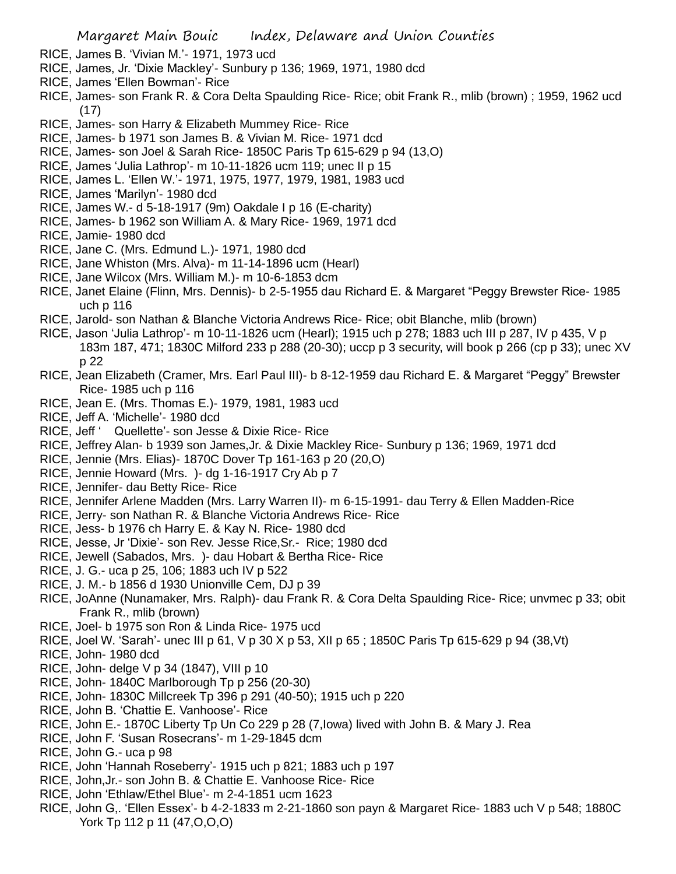- RICE, James B. 'Vivian M.'- 1971, 1973 ucd
- RICE, James, Jr. 'Dixie Mackley'- Sunbury p 136; 1969, 1971, 1980 dcd
- RICE, James 'Ellen Bowman'- Rice
- RICE, James- son Frank R. & Cora Delta Spaulding Rice- Rice; obit Frank R., mlib (brown) ; 1959, 1962 ucd (17)
- RICE, James- son Harry & Elizabeth Mummey Rice- Rice
- RICE, James- b 1971 son James B. & Vivian M. Rice- 1971 dcd
- RICE, James- son Joel & Sarah Rice- 1850C Paris Tp 615-629 p 94 (13,O)
- RICE, James 'Julia Lathrop'- m 10-11-1826 ucm 119; unec II p 15
- RICE, James L. 'Ellen W.'- 1971, 1975, 1977, 1979, 1981, 1983 ucd
- RICE, James 'Marilyn'- 1980 dcd
- RICE, James W.- d 5-18-1917 (9m) Oakdale I p 16 (E-charity)
- RICE, James- b 1962 son William A. & Mary Rice- 1969, 1971 dcd
- RICE, Jamie- 1980 dcd
- RICE, Jane C. (Mrs. Edmund L.)- 1971, 1980 dcd
- RICE, Jane Whiston (Mrs. Alva)- m 11-14-1896 ucm (Hearl)
- RICE, Jane Wilcox (Mrs. William M.)- m 10-6-1853 dcm
- RICE, Janet Elaine (Flinn, Mrs. Dennis)- b 2-5-1955 dau Richard E. & Margaret "Peggy Brewster Rice- 1985 uch p 116
- RICE, Jarold- son Nathan & Blanche Victoria Andrews Rice- Rice; obit Blanche, mlib (brown)
- RICE, Jason 'Julia Lathrop'- m 10-11-1826 ucm (Hearl); 1915 uch p 278; 1883 uch III p 287, IV p 435, V p 183m 187, 471; 1830C Milford 233 p 288 (20-30); uccp p 3 security, will book p 266 (cp p 33); unec XV p 22
- RICE, Jean Elizabeth (Cramer, Mrs. Earl Paul III)- b 8-12-1959 dau Richard E. & Margaret "Peggy" Brewster Rice- 1985 uch p 116
- RICE, Jean E. (Mrs. Thomas E.)- 1979, 1981, 1983 ucd
- RICE, Jeff A. 'Michelle'- 1980 dcd
- RICE, Jeff ' Quellette'- son Jesse & Dixie Rice- Rice
- RICE, Jeffrey Alan- b 1939 son James,Jr. & Dixie Mackley Rice- Sunbury p 136; 1969, 1971 dcd
- RICE, Jennie (Mrs. Elias)- 1870C Dover Tp 161-163 p 20 (20,O)
- RICE, Jennie Howard (Mrs. )- dg 1-16-1917 Cry Ab p 7
- RICE, Jennifer- dau Betty Rice- Rice
- RICE, Jennifer Arlene Madden (Mrs. Larry Warren II)- m 6-15-1991- dau Terry & Ellen Madden-Rice
- RICE, Jerry- son Nathan R. & Blanche Victoria Andrews Rice- Rice
- RICE, Jess- b 1976 ch Harry E. & Kay N. Rice- 1980 dcd
- RICE, Jesse, Jr 'Dixie'- son Rev. Jesse Rice,Sr.- Rice; 1980 dcd
- RICE, Jewell (Sabados, Mrs. )- dau Hobart & Bertha Rice- Rice
- RICE, J. G.- uca p 25, 106; 1883 uch IV p 522
- RICE, J. M.- b 1856 d 1930 Unionville Cem, DJ p 39
- RICE, JoAnne (Nunamaker, Mrs. Ralph)- dau Frank R. & Cora Delta Spaulding Rice- Rice; unvmec p 33; obit Frank R., mlib (brown)
- RICE, Joel- b 1975 son Ron & Linda Rice- 1975 ucd
- RICE, Joel W. 'Sarah'- unec III p 61, V p 30 X p 53, XII p 65 ; 1850C Paris Tp 615-629 p 94 (38,Vt)
- RICE, John- 1980 dcd
- RICE, John- delge V p 34 (1847), VIII p 10
- RICE, John- 1840C Marlborough Tp p 256 (20-30)
- RICE, John- 1830C Millcreek Tp 396 p 291 (40-50); 1915 uch p 220
- RICE, John B. 'Chattie E. Vanhoose'- Rice
- RICE, John E.- 1870C Liberty Tp Un Co 229 p 28 (7,Iowa) lived with John B. & Mary J. Rea
- RICE, John F. 'Susan Rosecrans'- m 1-29-1845 dcm
- RICE, John G.- uca p 98
- RICE, John 'Hannah Roseberry'- 1915 uch p 821; 1883 uch p 197
- RICE, John,Jr.- son John B. & Chattie E. Vanhoose Rice- Rice
- RICE, John 'Ethlaw/Ethel Blue'- m 2-4-1851 ucm 1623
- RICE, John G,. 'Ellen Essex'- b 4-2-1833 m 2-21-1860 son payn & Margaret Rice- 1883 uch V p 548; 1880C York Tp 112 p 11 (47,O,O,O)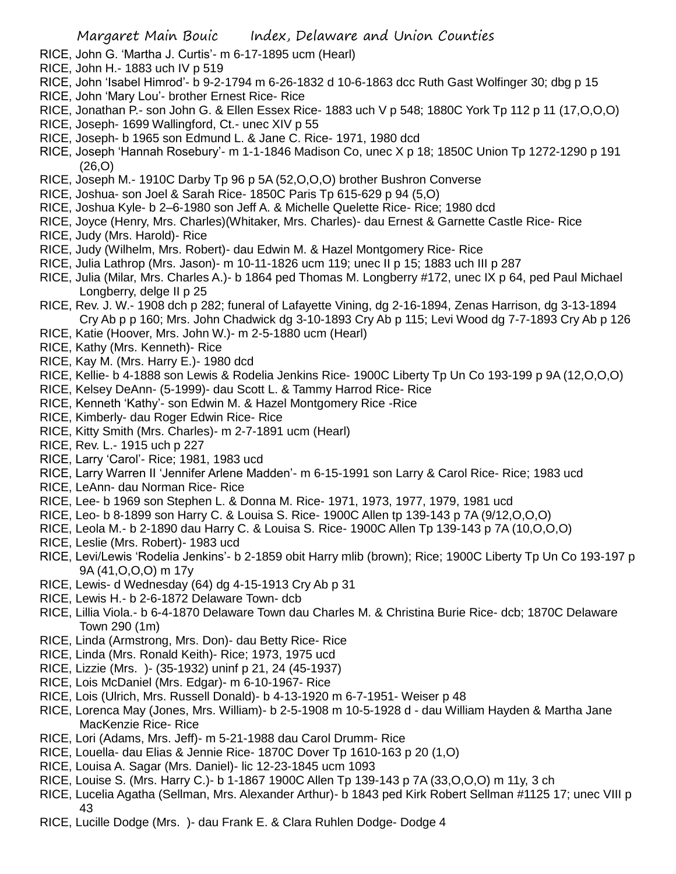- RICE, John G. 'Martha J. Curtis'- m 6-17-1895 ucm (Hearl)
- RICE, John H.- 1883 uch IV p 519
- RICE, John 'Isabel Himrod'- b 9-2-1794 m 6-26-1832 d 10-6-1863 dcc Ruth Gast Wolfinger 30; dbg p 15
- RICE, John 'Mary Lou'- brother Ernest Rice- Rice
- RICE, Jonathan P.- son John G. & Ellen Essex Rice- 1883 uch V p 548; 1880C York Tp 112 p 11 (17,O,O,O)
- RICE, Joseph- 1699 Wallingford, Ct.- unec XIV p 55
- RICE, Joseph- b 1965 son Edmund L. & Jane C. Rice- 1971, 1980 dcd
- RICE, Joseph 'Hannah Rosebury'- m 1-1-1846 Madison Co, unec X p 18; 1850C Union Tp 1272-1290 p 191 (26,O)
- RICE, Joseph M.- 1910C Darby Tp 96 p 5A (52,O,O,O) brother Bushron Converse
- RICE, Joshua- son Joel & Sarah Rice- 1850C Paris Tp 615-629 p 94 (5,O)
- RICE, Joshua Kyle- b 2–6-1980 son Jeff A. & Michelle Quelette Rice- Rice; 1980 dcd
- RICE, Joyce (Henry, Mrs. Charles)(Whitaker, Mrs. Charles)- dau Ernest & Garnette Castle Rice- Rice
- RICE, Judy (Mrs. Harold)- Rice
- RICE, Judy (Wilhelm, Mrs. Robert)- dau Edwin M. & Hazel Montgomery Rice- Rice
- RICE, Julia Lathrop (Mrs. Jason)- m 10-11-1826 ucm 119; unec II p 15; 1883 uch III p 287
- RICE, Julia (Milar, Mrs. Charles A.)- b 1864 ped Thomas M. Longberry #172, unec IX p 64, ped Paul Michael Longberry, delge II p 25
- RICE, Rev. J. W.- 1908 dch p 282; funeral of Lafayette Vining, dg 2-16-1894, Zenas Harrison, dg 3-13-1894 Cry Ab p p 160; Mrs. John Chadwick dg 3-10-1893 Cry Ab p 115; Levi Wood dg 7-7-1893 Cry Ab p 126
- RICE, Katie (Hoover, Mrs. John W.)- m 2-5-1880 ucm (Hearl)
- RICE, Kathy (Mrs. Kenneth)- Rice
- RICE, Kay M. (Mrs. Harry E.)- 1980 dcd
- RICE, Kellie- b 4-1888 son Lewis & Rodelia Jenkins Rice- 1900C Liberty Tp Un Co 193-199 p 9A (12,O,O,O)
- RICE, Kelsey DeAnn- (5-1999)- dau Scott L. & Tammy Harrod Rice- Rice
- RICE, Kenneth 'Kathy'- son Edwin M. & Hazel Montgomery Rice -Rice
- RICE, Kimberly- dau Roger Edwin Rice- Rice
- RICE, Kitty Smith (Mrs. Charles)- m 2-7-1891 ucm (Hearl)
- RICE, Rev. L.- 1915 uch p 227
- RICE, Larry 'Carol'- Rice; 1981, 1983 ucd
- RICE, Larry Warren II 'Jennifer Arlene Madden'- m 6-15-1991 son Larry & Carol Rice- Rice; 1983 ucd
- RICE, LeAnn- dau Norman Rice- Rice
- RICE, Lee- b 1969 son Stephen L. & Donna M. Rice- 1971, 1973, 1977, 1979, 1981 ucd
- RICE, Leo- b 8-1899 son Harry C. & Louisa S. Rice- 1900C Allen tp 139-143 p 7A (9/12,O,O,O)
- RICE, Leola M.- b 2-1890 dau Harry C. & Louisa S. Rice- 1900C Allen Tp 139-143 p 7A (10,O,O,O)
- RICE, Leslie (Mrs. Robert)- 1983 ucd
- RICE, Levi/Lewis 'Rodelia Jenkins'- b 2-1859 obit Harry mlib (brown); Rice; 1900C Liberty Tp Un Co 193-197 p 9A (41,O,O,O) m 17y
- RICE, Lewis- d Wednesday (64) dg 4-15-1913 Cry Ab p 31
- RICE, Lewis H.- b 2-6-1872 Delaware Town- dcb
- RICE, Lillia Viola.- b 6-4-1870 Delaware Town dau Charles M. & Christina Burie Rice- dcb; 1870C Delaware Town 290 (1m)
- RICE, Linda (Armstrong, Mrs. Don)- dau Betty Rice- Rice
- RICE, Linda (Mrs. Ronald Keith)- Rice; 1973, 1975 ucd
- RICE, Lizzie (Mrs. )- (35-1932) uninf p 21, 24 (45-1937)
- RICE, Lois McDaniel (Mrs. Edgar)- m 6-10-1967- Rice
- RICE, Lois (Ulrich, Mrs. Russell Donald)- b 4-13-1920 m 6-7-1951- Weiser p 48
- RICE, Lorenca May (Jones, Mrs. William)- b 2-5-1908 m 10-5-1928 d dau William Hayden & Martha Jane MacKenzie Rice- Rice
- RICE, Lori (Adams, Mrs. Jeff)- m 5-21-1988 dau Carol Drumm- Rice
- RICE, Louella- dau Elias & Jennie Rice- 1870C Dover Tp 1610-163 p 20 (1,O)
- RICE, Louisa A. Sagar (Mrs. Daniel)- lic 12-23-1845 ucm 1093
- RICE, Louise S. (Mrs. Harry C.)- b 1-1867 1900C Allen Tp 139-143 p 7A (33,O,O,O) m 11y, 3 ch
- RICE, Lucelia Agatha (Sellman, Mrs. Alexander Arthur)- b 1843 ped Kirk Robert Sellman #1125 17; unec VIII p 43
- RICE, Lucille Dodge (Mrs. )- dau Frank E. & Clara Ruhlen Dodge- Dodge 4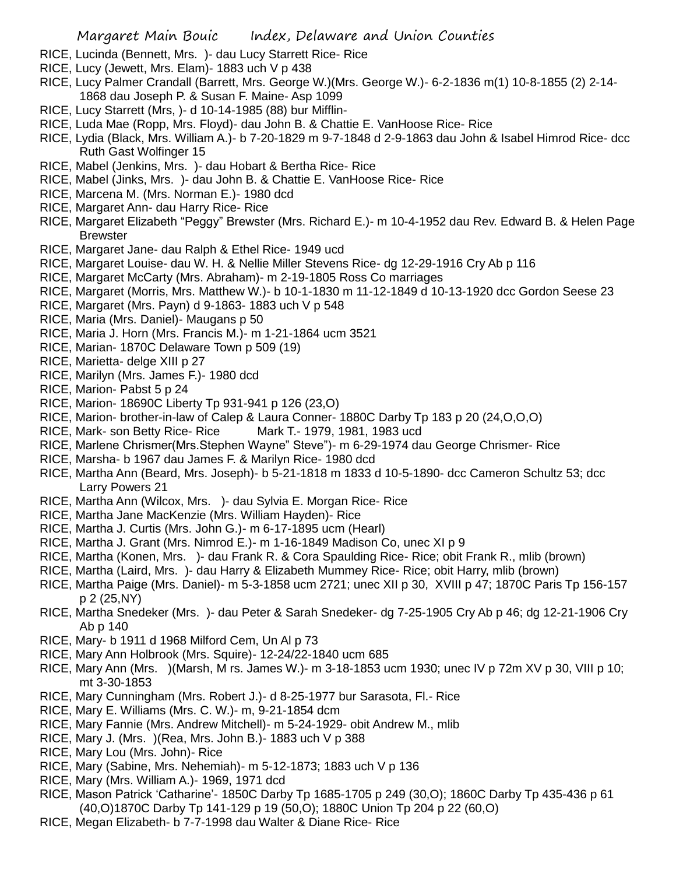- RICE, Lucinda (Bennett, Mrs. )- dau Lucy Starrett Rice- Rice
- RICE, Lucy (Jewett, Mrs. Elam)- 1883 uch V p 438
- RICE, Lucy Palmer Crandall (Barrett, Mrs. George W.)(Mrs. George W.)- 6-2-1836 m(1) 10-8-1855 (2) 2-14- 1868 dau Joseph P. & Susan F. Maine- Asp 1099
- RICE, Lucy Starrett (Mrs, )- d 10-14-1985 (88) bur Mifflin-
- RICE, Luda Mae (Ropp, Mrs. Floyd)- dau John B. & Chattie E. VanHoose Rice- Rice
- RICE, Lydia (Black, Mrs. William A.)- b 7-20-1829 m 9-7-1848 d 2-9-1863 dau John & Isabel Himrod Rice- dcc Ruth Gast Wolfinger 15
- RICE, Mabel (Jenkins, Mrs. )- dau Hobart & Bertha Rice- Rice
- RICE, Mabel (Jinks, Mrs. )- dau John B. & Chattie E. VanHoose Rice- Rice
- RICE, Marcena M. (Mrs. Norman E.)- 1980 dcd
- RICE, Margaret Ann- dau Harry Rice- Rice
- RICE, Margaret Elizabeth "Peggy" Brewster (Mrs. Richard E.)- m 10-4-1952 dau Rev. Edward B. & Helen Page **Brewster**
- RICE, Margaret Jane- dau Ralph & Ethel Rice- 1949 ucd
- RICE, Margaret Louise- dau W. H. & Nellie Miller Stevens Rice- dg 12-29-1916 Cry Ab p 116
- RICE, Margaret McCarty (Mrs. Abraham)- m 2-19-1805 Ross Co marriages
- RICE, Margaret (Morris, Mrs. Matthew W.)- b 10-1-1830 m 11-12-1849 d 10-13-1920 dcc Gordon Seese 23
- RICE, Margaret (Mrs. Payn) d 9-1863- 1883 uch V p 548
- RICE, Maria (Mrs. Daniel)- Maugans p 50
- RICE, Maria J. Horn (Mrs. Francis M.)- m 1-21-1864 ucm 3521
- RICE, Marian- 1870C Delaware Town p 509 (19)
- RICE, Marietta- delge XIII p 27
- RICE, Marilyn (Mrs. James F.)- 1980 dcd
- RICE, Marion- Pabst 5 p 24
- RICE, Marion- 18690C Liberty Tp 931-941 p 126 (23,O)
- RICE, Marion- brother-in-law of Calep & Laura Conner- 1880C Darby Tp 183 p 20 (24,O,O,O)
- RICE, Mark- son Betty Rice- Rice Mark T.- 1979, 1981, 1983 ucd
- RICE, Marlene Chrismer(Mrs.Stephen Wayne" Steve")- m 6-29-1974 dau George Chrismer- Rice
- RICE, Marsha- b 1967 dau James F. & Marilyn Rice- 1980 dcd
- RICE, Martha Ann (Beard, Mrs. Joseph)- b 5-21-1818 m 1833 d 10-5-1890- dcc Cameron Schultz 53; dcc Larry Powers 21
- RICE, Martha Ann (Wilcox, Mrs. )- dau Sylvia E. Morgan Rice- Rice
- RICE, Martha Jane MacKenzie (Mrs. William Hayden)- Rice
- RICE, Martha J. Curtis (Mrs. John G.)- m 6-17-1895 ucm (Hearl)
- RICE, Martha J. Grant (Mrs. Nimrod E.)- m 1-16-1849 Madison Co, unec XI p 9
- RICE, Martha (Konen, Mrs. )- dau Frank R. & Cora Spaulding Rice- Rice; obit Frank R., mlib (brown)
- RICE, Martha (Laird, Mrs. )- dau Harry & Elizabeth Mummey Rice- Rice; obit Harry, mlib (brown)
- RICE, Martha Paige (Mrs. Daniel)- m 5-3-1858 ucm 2721; unec XII p 30, XVIII p 47; 1870C Paris Tp 156-157 p 2 (25,NY)
- RICE, Martha Snedeker (Mrs. )- dau Peter & Sarah Snedeker- dg 7-25-1905 Cry Ab p 46; dg 12-21-1906 Cry Ab p 140
- RICE, Mary- b 1911 d 1968 Milford Cem, Un Al p 73
- RICE, Mary Ann Holbrook (Mrs. Squire)- 12-24/22-1840 ucm 685
- RICE, Mary Ann (Mrs. )(Marsh, M rs. James W.)- m 3-18-1853 ucm 1930; unec IV p 72m XV p 30, VIII p 10; mt 3-30-1853
- RICE, Mary Cunningham (Mrs. Robert J.)- d 8-25-1977 bur Sarasota, Fl.- Rice
- RICE, Mary E. Williams (Mrs. C. W.)- m, 9-21-1854 dcm
- RICE, Mary Fannie (Mrs. Andrew Mitchell)- m 5-24-1929- obit Andrew M., mlib
- RICE, Mary J. (Mrs. )(Rea, Mrs. John B.)- 1883 uch V p 388
- RICE, Mary Lou (Mrs. John)- Rice
- RICE, Mary (Sabine, Mrs. Nehemiah)- m 5-12-1873; 1883 uch V p 136
- RICE, Mary (Mrs. William A.)- 1969, 1971 dcd
- RICE, Mason Patrick 'Catharine'- 1850C Darby Tp 1685-1705 p 249 (30,O); 1860C Darby Tp 435-436 p 61 (40,O)1870C Darby Tp 141-129 p 19 (50,O); 1880C Union Tp 204 p 22 (60,O)
- RICE, Megan Elizabeth- b 7-7-1998 dau Walter & Diane Rice- Rice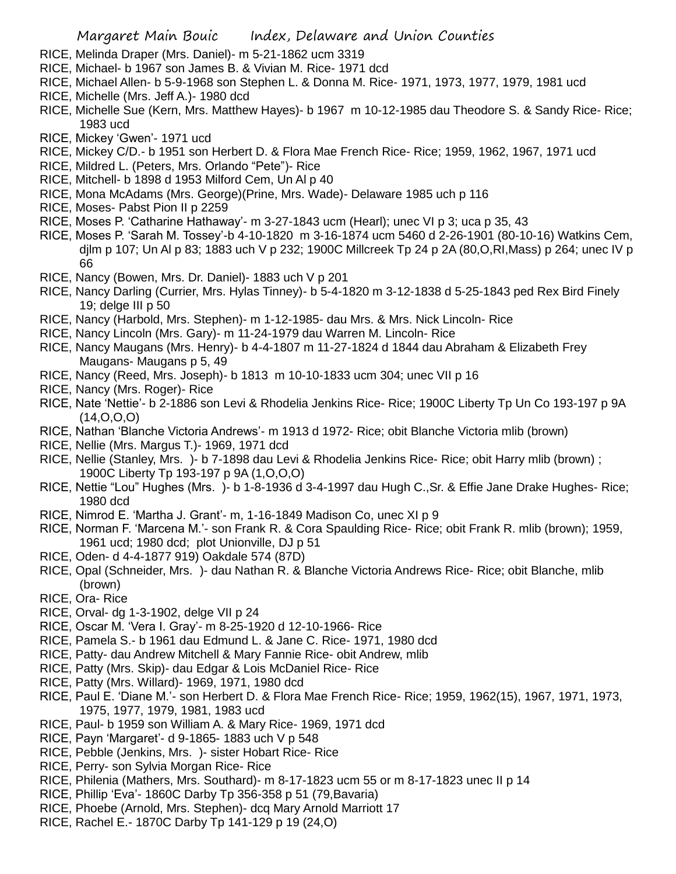- RICE, Melinda Draper (Mrs. Daniel)- m 5-21-1862 ucm 3319
- RICE, Michael- b 1967 son James B. & Vivian M. Rice- 1971 dcd
- RICE, Michael Allen- b 5-9-1968 son Stephen L. & Donna M. Rice- 1971, 1973, 1977, 1979, 1981 ucd
- RICE, Michelle (Mrs. Jeff A.)- 1980 dcd
- RICE, Michelle Sue (Kern, Mrs. Matthew Hayes)- b 1967 m 10-12-1985 dau Theodore S. & Sandy Rice- Rice; 1983 ucd
- RICE, Mickey 'Gwen'- 1971 ucd
- RICE, Mickey C/D.- b 1951 son Herbert D. & Flora Mae French Rice- Rice; 1959, 1962, 1967, 1971 ucd
- RICE, Mildred L. (Peters, Mrs. Orlando "Pete")- Rice
- RICE, Mitchell- b 1898 d 1953 Milford Cem, Un Al p 40
- RICE, Mona McAdams (Mrs. George)(Prine, Mrs. Wade)- Delaware 1985 uch p 116
- RICE, Moses- Pabst Pion II p 2259
- RICE, Moses P. 'Catharine Hathaway'- m 3-27-1843 ucm (Hearl); unec VI p 3; uca p 35, 43
- RICE, Moses P. 'Sarah M. Tossey'-b 4-10-1820 m 3-16-1874 ucm 5460 d 2-26-1901 (80-10-16) Watkins Cem, djlm p 107; Un Al p 83; 1883 uch V p 232; 1900C Millcreek Tp 24 p 2A (80,O,RI,Mass) p 264; unec IV p 66
- RICE, Nancy (Bowen, Mrs. Dr. Daniel)- 1883 uch V p 201
- RICE, Nancy Darling (Currier, Mrs. Hylas Tinney)- b 5-4-1820 m 3-12-1838 d 5-25-1843 ped Rex Bird Finely 19; delge III p 50
- RICE, Nancy (Harbold, Mrs. Stephen)- m 1-12-1985- dau Mrs. & Mrs. Nick Lincoln- Rice
- RICE, Nancy Lincoln (Mrs. Gary)- m 11-24-1979 dau Warren M. Lincoln- Rice
- RICE, Nancy Maugans (Mrs. Henry)- b 4-4-1807 m 11-27-1824 d 1844 dau Abraham & Elizabeth Frey Maugans- Maugans p 5, 49
- RICE, Nancy (Reed, Mrs. Joseph)- b 1813 m 10-10-1833 ucm 304; unec VII p 16
- RICE, Nancy (Mrs. Roger)- Rice
- RICE, Nate 'Nettie'- b 2-1886 son Levi & Rhodelia Jenkins Rice- Rice; 1900C Liberty Tp Un Co 193-197 p 9A  $(14, 0, 0, 0)$
- RICE, Nathan 'Blanche Victoria Andrews'- m 1913 d 1972- Rice; obit Blanche Victoria mlib (brown)
- RICE, Nellie (Mrs. Margus T.)- 1969, 1971 dcd
- RICE, Nellie (Stanley, Mrs. )- b 7-1898 dau Levi & Rhodelia Jenkins Rice- Rice; obit Harry mlib (brown) ; 1900C Liberty Tp 193-197 p 9A (1,O,O,O)
- RICE, Nettie "Lou" Hughes (Mrs. )- b 1-8-1936 d 3-4-1997 dau Hugh C.,Sr. & Effie Jane Drake Hughes- Rice; 1980 dcd
- RICE, Nimrod E. 'Martha J. Grant'- m, 1-16-1849 Madison Co, unec XI p 9
- RICE, Norman F. 'Marcena M.'- son Frank R. & Cora Spaulding Rice- Rice; obit Frank R. mlib (brown); 1959, 1961 ucd; 1980 dcd; plot Unionville, DJ p 51
- RICE, Oden- d 4-4-1877 919) Oakdale 574 (87D)
- RICE, Opal (Schneider, Mrs. )- dau Nathan R. & Blanche Victoria Andrews Rice- Rice; obit Blanche, mlib (brown)
- RICE, Ora- Rice
- RICE, Orval- dg 1-3-1902, delge VII p 24
- RICE, Oscar M. 'Vera I. Gray'- m 8-25-1920 d 12-10-1966- Rice
- RICE, Pamela S.- b 1961 dau Edmund L. & Jane C. Rice- 1971, 1980 dcd
- RICE, Patty- dau Andrew Mitchell & Mary Fannie Rice- obit Andrew, mlib
- RICE, Patty (Mrs. Skip)- dau Edgar & Lois McDaniel Rice- Rice
- RICE, Patty (Mrs. Willard)- 1969, 1971, 1980 dcd
- RICE, Paul E. 'Diane M.'- son Herbert D. & Flora Mae French Rice- Rice; 1959, 1962(15), 1967, 1971, 1973, 1975, 1977, 1979, 1981, 1983 ucd
- RICE, Paul- b 1959 son William A. & Mary Rice- 1969, 1971 dcd
- RICE, Payn 'Margaret'- d 9-1865- 1883 uch V p 548
- RICE, Pebble (Jenkins, Mrs. )- sister Hobart Rice- Rice
- RICE, Perry- son Sylvia Morgan Rice- Rice
- RICE, Philenia (Mathers, Mrs. Southard)- m 8-17-1823 ucm 55 or m 8-17-1823 unec II p 14
- RICE, Phillip 'Eva'- 1860C Darby Tp 356-358 p 51 (79,Bavaria)
- RICE, Phoebe (Arnold, Mrs. Stephen)- dcq Mary Arnold Marriott 17
- RICE, Rachel E.- 1870C Darby Tp 141-129 p 19 (24,O)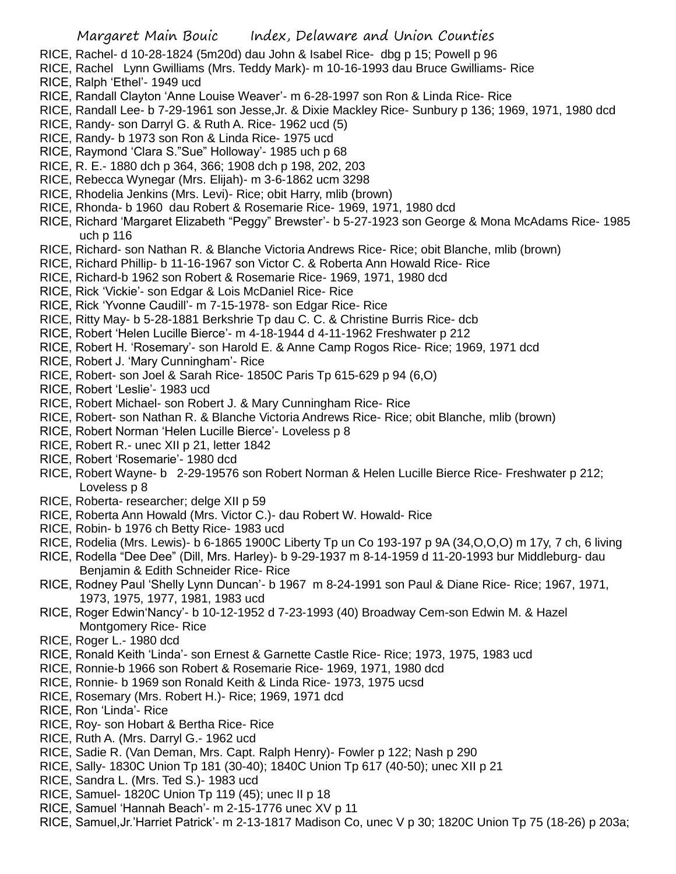- RICE, Rachel- d 10-28-1824 (5m20d) dau John & Isabel Rice- dbg p 15; Powell p 96
- RICE, Rachel Lynn Gwilliams (Mrs. Teddy Mark)- m 10-16-1993 dau Bruce Gwilliams- Rice
- RICE, Ralph 'Ethel'- 1949 ucd
- RICE, Randall Clayton 'Anne Louise Weaver'- m 6-28-1997 son Ron & Linda Rice- Rice
- RICE, Randall Lee- b 7-29-1961 son Jesse,Jr. & Dixie Mackley Rice- Sunbury p 136; 1969, 1971, 1980 dcd
- RICE, Randy- son Darryl G. & Ruth A. Rice- 1962 ucd (5)
- RICE, Randy- b 1973 son Ron & Linda Rice- 1975 ucd
- RICE, Raymond 'Clara S."Sue" Holloway'- 1985 uch p 68
- RICE, R. E.- 1880 dch p 364, 366; 1908 dch p 198, 202, 203
- RICE, Rebecca Wynegar (Mrs. Elijah)- m 3-6-1862 ucm 3298
- RICE, Rhodelia Jenkins (Mrs. Levi)- Rice; obit Harry, mlib (brown)
- RICE, Rhonda- b 1960 dau Robert & Rosemarie Rice- 1969, 1971, 1980 dcd
- RICE, Richard 'Margaret Elizabeth "Peggy" Brewster'- b 5-27-1923 son George & Mona McAdams Rice- 1985 uch p 116
- RICE, Richard- son Nathan R. & Blanche Victoria Andrews Rice- Rice; obit Blanche, mlib (brown)
- RICE, Richard Phillip- b 11-16-1967 son Victor C. & Roberta Ann Howald Rice- Rice
- RICE, Richard-b 1962 son Robert & Rosemarie Rice- 1969, 1971, 1980 dcd
- RICE, Rick 'Vickie'- son Edgar & Lois McDaniel Rice- Rice
- RICE, Rick 'Yvonne Caudill'- m 7-15-1978- son Edgar Rice- Rice
- RICE, Ritty May- b 5-28-1881 Berkshrie Tp dau C. C. & Christine Burris Rice- dcb
- RICE, Robert 'Helen Lucille Bierce'- m 4-18-1944 d 4-11-1962 Freshwater p 212
- RICE, Robert H. 'Rosemary'- son Harold E. & Anne Camp Rogos Rice- Rice; 1969, 1971 dcd
- RICE, Robert J. 'Mary Cunningham'- Rice
- RICE, Robert- son Joel & Sarah Rice- 1850C Paris Tp 615-629 p 94 (6,O)
- RICE, Robert 'Leslie'- 1983 ucd
- RICE, Robert Michael- son Robert J. & Mary Cunningham Rice- Rice
- RICE, Robert- son Nathan R. & Blanche Victoria Andrews Rice- Rice; obit Blanche, mlib (brown)
- RICE, Robert Norman 'Helen Lucille Bierce'- Loveless p 8
- RICE, Robert R.- unec XII p 21, letter 1842
- RICE, Robert 'Rosemarie'- 1980 dcd
- RICE, Robert Wayne- b 2-29-19576 son Robert Norman & Helen Lucille Bierce Rice- Freshwater p 212; Loveless p 8
- RICE, Roberta- researcher; delge XII p 59
- RICE, Roberta Ann Howald (Mrs. Victor C.)- dau Robert W. Howald- Rice
- RICE, Robin- b 1976 ch Betty Rice- 1983 ucd
- RICE, Rodelia (Mrs. Lewis)- b 6-1865 1900C Liberty Tp un Co 193-197 p 9A (34,O,O,O) m 17y, 7 ch, 6 living
- RICE, Rodella "Dee Dee" (Dill, Mrs. Harley)- b 9-29-1937 m 8-14-1959 d 11-20-1993 bur Middleburg- dau Benjamin & Edith Schneider Rice- Rice
- RICE, Rodney Paul 'Shelly Lynn Duncan'- b 1967 m 8-24-1991 son Paul & Diane Rice- Rice; 1967, 1971, 1973, 1975, 1977, 1981, 1983 ucd
- RICE, Roger Edwin'Nancy'- b 10-12-1952 d 7-23-1993 (40) Broadway Cem-son Edwin M. & Hazel Montgomery Rice- Rice
- RICE, Roger L.- 1980 dcd
- RICE, Ronald Keith 'Linda'- son Ernest & Garnette Castle Rice- Rice; 1973, 1975, 1983 ucd
- RICE, Ronnie-b 1966 son Robert & Rosemarie Rice- 1969, 1971, 1980 dcd
- RICE, Ronnie- b 1969 son Ronald Keith & Linda Rice- 1973, 1975 ucsd
- RICE, Rosemary (Mrs. Robert H.)- Rice; 1969, 1971 dcd
- RICE, Ron 'Linda'- Rice
- RICE, Roy- son Hobart & Bertha Rice- Rice
- RICE, Ruth A. (Mrs. Darryl G.- 1962 ucd
- RICE, Sadie R. (Van Deman, Mrs. Capt. Ralph Henry)- Fowler p 122; Nash p 290
- RICE, Sally- 1830C Union Tp 181 (30-40); 1840C Union Tp 617 (40-50); unec XII p 21
- RICE, Sandra L. (Mrs. Ted S.)- 1983 ucd
- RICE, Samuel- 1820C Union Tp 119 (45); unec II p 18
- RICE, Samuel 'Hannah Beach'- m 2-15-1776 unec XV p 11
- RICE, Samuel,Jr.'Harriet Patrick'- m 2-13-1817 Madison Co, unec V p 30; 1820C Union Tp 75 (18-26) p 203a;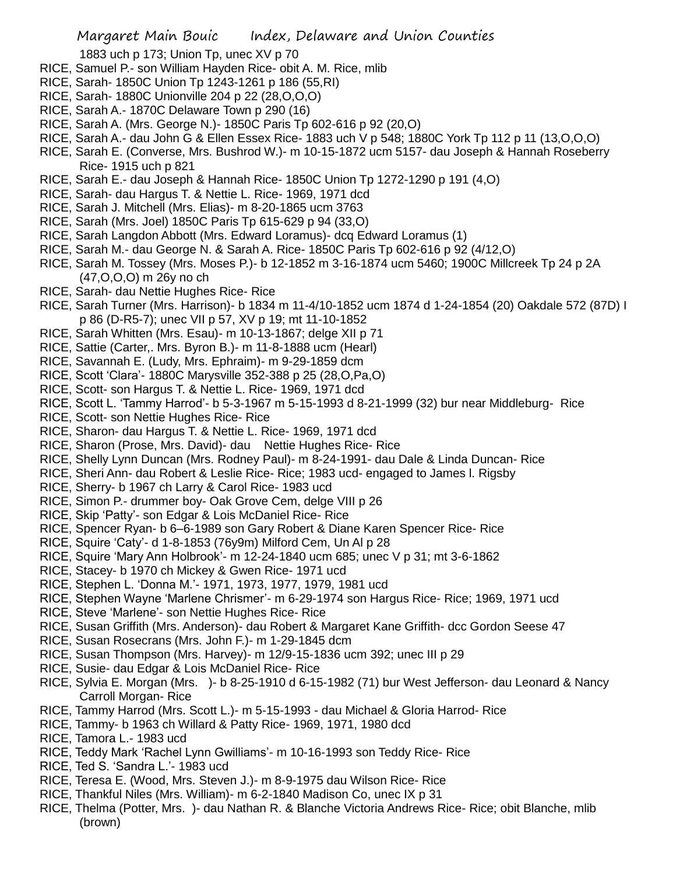1883 uch p 173; Union Tp, unec XV p 70

- RICE, Samuel P.- son William Hayden Rice- obit A. M. Rice, mlib
- RICE, Sarah- 1850C Union Tp 1243-1261 p 186 (55,RI)
- RICE, Sarah- 1880C Unionville 204 p 22 (28,O,O,O)
- RICE, Sarah A.- 1870C Delaware Town p 290 (16)
- RICE, Sarah A. (Mrs. George N.)- 1850C Paris Tp 602-616 p 92 (20,O)
- RICE, Sarah A.- dau John G & Ellen Essex Rice- 1883 uch V p 548; 1880C York Tp 112 p 11 (13,O,O,O)
- RICE, Sarah E. (Converse, Mrs. Bushrod W.)- m 10-15-1872 ucm 5157- dau Joseph & Hannah Roseberry Rice- 1915 uch p 821
- RICE, Sarah E.- dau Joseph & Hannah Rice- 1850C Union Tp 1272-1290 p 191 (4,O)
- RICE, Sarah- dau Hargus T. & Nettie L. Rice- 1969, 1971 dcd
- RICE, Sarah J. Mitchell (Mrs. Elias)- m 8-20-1865 ucm 3763
- RICE, Sarah (Mrs. Joel) 1850C Paris Tp 615-629 p 94 (33,O)
- RICE, Sarah Langdon Abbott (Mrs. Edward Loramus)- dcq Edward Loramus (1)
- RICE, Sarah M.- dau George N. & Sarah A. Rice- 1850C Paris Tp 602-616 p 92 (4/12,O)
- RICE, Sarah M. Tossey (Mrs. Moses P.)- b 12-1852 m 3-16-1874 ucm 5460; 1900C Millcreek Tp 24 p 2A (47,O,O,O) m 26y no ch
- RICE, Sarah- dau Nettie Hughes Rice- Rice
- RICE, Sarah Turner (Mrs. Harrison)- b 1834 m 11-4/10-1852 ucm 1874 d 1-24-1854 (20) Oakdale 572 (87D) I p 86 (D-R5-7); unec VII p 57, XV p 19; mt 11-10-1852
- RICE, Sarah Whitten (Mrs. Esau)- m 10-13-1867; delge XII p 71
- RICE, Sattie (Carter,. Mrs. Byron B.)- m 11-8-1888 ucm (Hearl)
- RICE, Savannah E. (Ludy, Mrs. Ephraim)- m 9-29-1859 dcm
- RICE, Scott 'Clara'- 1880C Marysville 352-388 p 25 (28,O,Pa,O)
- RICE, Scott- son Hargus T. & Nettie L. Rice- 1969, 1971 dcd
- RICE, Scott L. 'Tammy Harrod'- b 5-3-1967 m 5-15-1993 d 8-21-1999 (32) bur near Middleburg- Rice
- RICE, Scott- son Nettie Hughes Rice- Rice
- RICE, Sharon- dau Hargus T. & Nettie L. Rice- 1969, 1971 dcd
- RICE, Sharon (Prose, Mrs. David)- dau Nettie Hughes Rice- Rice
- RICE, Shelly Lynn Duncan (Mrs. Rodney Paul)- m 8-24-1991- dau Dale & Linda Duncan- Rice
- RICE, Sheri Ann- dau Robert & Leslie Rice- Rice; 1983 ucd- engaged to James l. Rigsby
- RICE, Sherry- b 1967 ch Larry & Carol Rice- 1983 ucd
- RICE, Simon P.- drummer boy- Oak Grove Cem, delge VIII p 26
- RICE, Skip 'Patty'- son Edgar & Lois McDaniel Rice- Rice
- RICE, Spencer Ryan- b 6–6-1989 son Gary Robert & Diane Karen Spencer Rice- Rice
- RICE, Squire 'Caty'- d 1-8-1853 (76y9m) Milford Cem, Un Al p 28
- RICE, Squire 'Mary Ann Holbrook'- m 12-24-1840 ucm 685; unec V p 31; mt 3-6-1862
- RICE, Stacey- b 1970 ch Mickey & Gwen Rice- 1971 ucd
- RICE, Stephen L. 'Donna M.'- 1971, 1973, 1977, 1979, 1981 ucd
- RICE, Stephen Wayne 'Marlene Chrismer'- m 6-29-1974 son Hargus Rice- Rice; 1969, 1971 ucd
- RICE, Steve 'Marlene'- son Nettie Hughes Rice- Rice
- RICE, Susan Griffith (Mrs. Anderson)- dau Robert & Margaret Kane Griffith- dcc Gordon Seese 47
- RICE, Susan Rosecrans (Mrs. John F.)- m 1-29-1845 dcm
- RICE, Susan Thompson (Mrs. Harvey)- m 12/9-15-1836 ucm 392; unec III p 29
- RICE, Susie- dau Edgar & Lois McDaniel Rice- Rice
- RICE, Sylvia E. Morgan (Mrs. )- b 8-25-1910 d 6-15-1982 (71) bur West Jefferson- dau Leonard & Nancy Carroll Morgan- Rice
- RICE, Tammy Harrod (Mrs. Scott L.)- m 5-15-1993 dau Michael & Gloria Harrod- Rice
- RICE, Tammy- b 1963 ch Willard & Patty Rice- 1969, 1971, 1980 dcd
- RICE, Tamora L.- 1983 ucd
- RICE, Teddy Mark 'Rachel Lynn Gwilliams'- m 10-16-1993 son Teddy Rice- Rice
- RICE, Ted S. 'Sandra L.'- 1983 ucd
- RICE, Teresa E. (Wood, Mrs. Steven J.)- m 8-9-1975 dau Wilson Rice- Rice
- RICE, Thankful Niles (Mrs. William)- m 6-2-1840 Madison Co, unec IX p 31
- RICE, Thelma (Potter, Mrs. )- dau Nathan R. & Blanche Victoria Andrews Rice- Rice; obit Blanche, mlib (brown)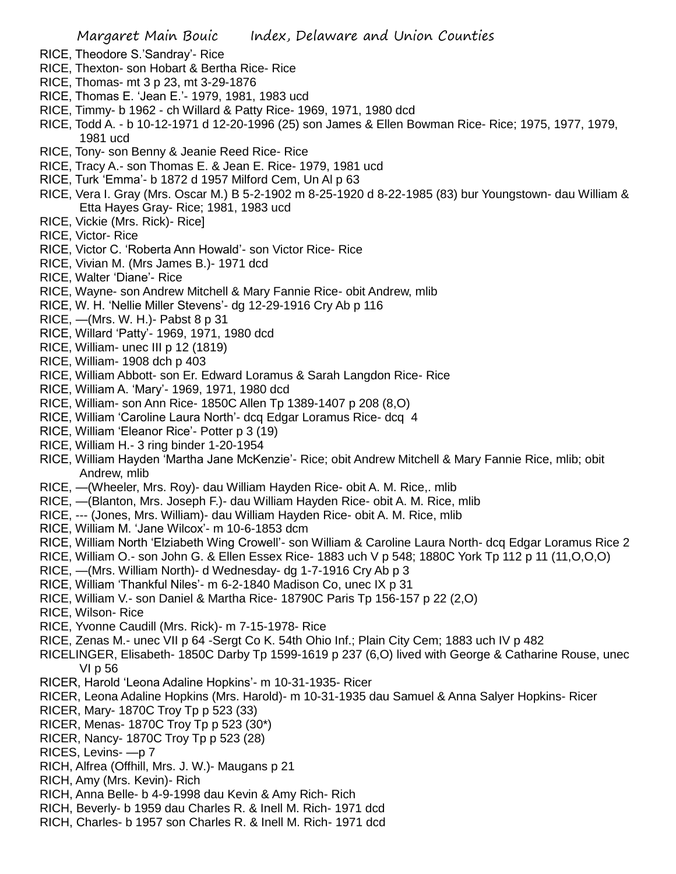- RICE, Theodore S.'Sandray'- Rice
- RICE, Thexton- son Hobart & Bertha Rice- Rice
- RICE, Thomas- mt 3 p 23, mt 3-29-1876
- RICE, Thomas E. 'Jean E.'- 1979, 1981, 1983 ucd
- RICE, Timmy- b 1962 ch Willard & Patty Rice- 1969, 1971, 1980 dcd
- RICE, Todd A. b 10-12-1971 d 12-20-1996 (25) son James & Ellen Bowman Rice- Rice; 1975, 1977, 1979, 1981 ucd
- RICE, Tony- son Benny & Jeanie Reed Rice- Rice
- RICE, Tracy A.- son Thomas E. & Jean E. Rice- 1979, 1981 ucd
- RICE, Turk 'Emma'- b 1872 d 1957 Milford Cem, Un Al p 63
- RICE, Vera I. Gray (Mrs. Oscar M.) B 5-2-1902 m 8-25-1920 d 8-22-1985 (83) bur Youngstown- dau William & Etta Hayes Gray- Rice; 1981, 1983 ucd
- RICE, Vickie (Mrs. Rick)- Rice]
- RICE, Victor- Rice
- RICE, Victor C. 'Roberta Ann Howald'- son Victor Rice- Rice
- RICE, Vivian M. (Mrs James B.)- 1971 dcd
- RICE, Walter 'Diane'- Rice
- RICE, Wayne- son Andrew Mitchell & Mary Fannie Rice- obit Andrew, mlib
- RICE, W. H. 'Nellie Miller Stevens'- dg 12-29-1916 Cry Ab p 116
- RICE, —(Mrs. W. H.)- Pabst 8 p 31
- RICE, Willard 'Patty'- 1969, 1971, 1980 dcd
- RICE, William- unec III p 12 (1819)
- RICE, William- 1908 dch p 403
- RICE, William Abbott- son Er. Edward Loramus & Sarah Langdon Rice- Rice
- RICE, William A. 'Mary'- 1969, 1971, 1980 dcd
- RICE, William- son Ann Rice- 1850C Allen Tp 1389-1407 p 208 (8,O)
- RICE, William 'Caroline Laura North'- dcq Edgar Loramus Rice- dcq 4
- RICE, William 'Eleanor Rice'- Potter p 3 (19)
- RICE, William H.- 3 ring binder 1-20-1954
- RICE, William Hayden 'Martha Jane McKenzie'- Rice; obit Andrew Mitchell & Mary Fannie Rice, mlib; obit Andrew, mlib
- RICE, —(Wheeler, Mrs. Roy)- dau William Hayden Rice- obit A. M. Rice,. mlib
- RICE, —(Blanton, Mrs. Joseph F.)- dau William Hayden Rice- obit A. M. Rice, mlib
- RICE, --- (Jones, Mrs. William)- dau William Hayden Rice- obit A. M. Rice, mlib
- RICE, William M. 'Jane Wilcox'- m 10-6-1853 dcm
- RICE, William North 'Elziabeth Wing Crowell'- son William & Caroline Laura North- dcq Edgar Loramus Rice 2
- RICE, William O.- son John G. & Ellen Essex Rice- 1883 uch V p 548; 1880C York Tp 112 p 11 (11,O,O,O)
- RICE, —(Mrs. William North)- d Wednesday- dg 1-7-1916 Cry Ab p 3
- RICE, William 'Thankful Niles'- m 6-2-1840 Madison Co, unec IX p 31
- RICE, William V.- son Daniel & Martha Rice- 18790C Paris Tp 156-157 p 22 (2,O)
- RICE, Wilson- Rice
- RICE, Yvonne Caudill (Mrs. Rick)- m 7-15-1978- Rice
- RICE, Zenas M.- unec VII p 64 -Sergt Co K. 54th Ohio Inf.; Plain City Cem; 1883 uch IV p 482
- RICELINGER, Elisabeth- 1850C Darby Tp 1599-1619 p 237 (6,O) lived with George & Catharine Rouse, unec VI p 56
- RICER, Harold 'Leona Adaline Hopkins'- m 10-31-1935- Ricer
- RICER, Leona Adaline Hopkins (Mrs. Harold)- m 10-31-1935 dau Samuel & Anna Salyer Hopkins- Ricer
- RICER, Mary- 1870C Troy Tp p 523 (33)
- RICER, Menas- 1870C Troy Tp p 523 (30\*)
- RICER, Nancy- 1870C Troy Tp p 523 (28)
- RICES, Levins- —p 7
- RICH, Alfrea (Offhill, Mrs. J. W.)- Maugans p 21
- RICH, Amy (Mrs. Kevin)- Rich
- RICH, Anna Belle- b 4-9-1998 dau Kevin & Amy Rich- Rich
- RICH, Beverly- b 1959 dau Charles R. & Inell M. Rich- 1971 dcd
- RICH, Charles- b 1957 son Charles R. & Inell M. Rich- 1971 dcd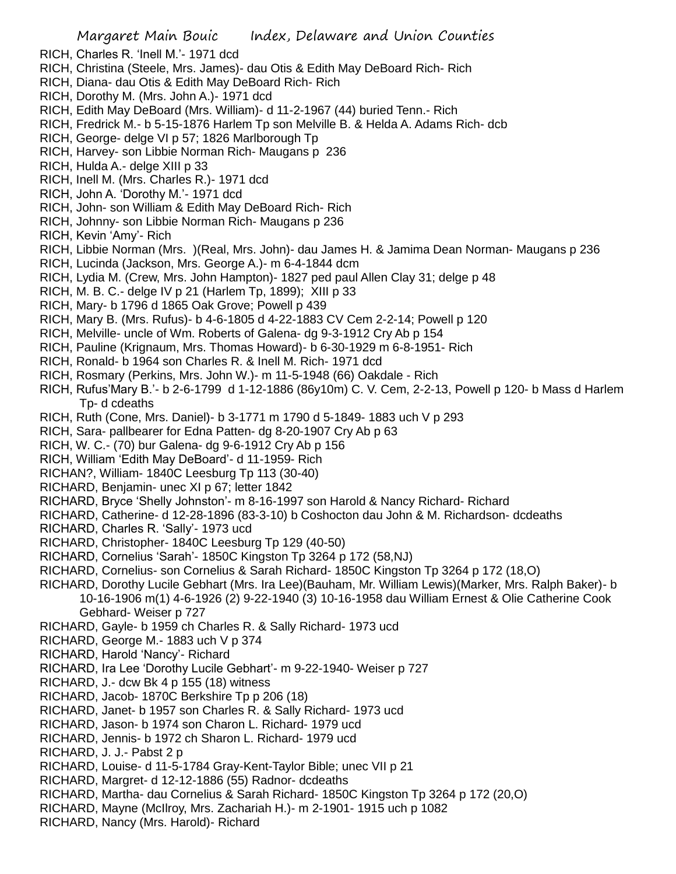- RICH, Charles R. 'Inell M.'- 1971 dcd
- RICH, Christina (Steele, Mrs. James)- dau Otis & Edith May DeBoard Rich- Rich
- RICH, Diana- dau Otis & Edith May DeBoard Rich- Rich
- RICH, Dorothy M. (Mrs. John A.)- 1971 dcd
- RICH, Edith May DeBoard (Mrs. William)- d 11-2-1967 (44) buried Tenn.- Rich
- RICH, Fredrick M.- b 5-15-1876 Harlem Tp son Melville B. & Helda A. Adams Rich- dcb
- RICH, George- delge VI p 57; 1826 Marlborough Tp
- RICH, Harvey- son Libbie Norman Rich- Maugans p 236
- RICH, Hulda A.- delge XIII p 33
- RICH, Inell M. (Mrs. Charles R.)- 1971 dcd
- RICH, John A. 'Dorothy M.'- 1971 dcd
- RICH, John- son William & Edith May DeBoard Rich- Rich
- RICH, Johnny- son Libbie Norman Rich- Maugans p 236
- RICH, Kevin 'Amy'- Rich
- RICH, Libbie Norman (Mrs. )(Real, Mrs. John)- dau James H. & Jamima Dean Norman- Maugans p 236
- RICH, Lucinda (Jackson, Mrs. George A.)- m 6-4-1844 dcm
- RICH, Lydia M. (Crew, Mrs. John Hampton)- 1827 ped paul Allen Clay 31; delge p 48
- RICH, M. B. C.- delge IV p 21 (Harlem Tp, 1899); XIII p 33
- RICH, Mary- b 1796 d 1865 Oak Grove; Powell p 439
- RICH, Mary B. (Mrs. Rufus)- b 4-6-1805 d 4-22-1883 CV Cem 2-2-14; Powell p 120
- RICH, Melville- uncle of Wm. Roberts of Galena- dg 9-3-1912 Cry Ab p 154
- RICH, Pauline (Krignaum, Mrs. Thomas Howard)- b 6-30-1929 m 6-8-1951- Rich
- RICH, Ronald- b 1964 son Charles R. & Inell M. Rich- 1971 dcd
- RICH, Rosmary (Perkins, Mrs. John W.)- m 11-5-1948 (66) Oakdale Rich
- RICH, Rufus'Mary B.'- b 2-6-1799 d 1-12-1886 (86y10m) C. V. Cem, 2-2-13, Powell p 120- b Mass d Harlem Tp- d cdeaths
- RICH, Ruth (Cone, Mrs. Daniel)- b 3-1771 m 1790 d 5-1849- 1883 uch V p 293
- RICH, Sara- pallbearer for Edna Patten- dg 8-20-1907 Cry Ab p 63
- RICH, W. C.- (70) bur Galena- dg 9-6-1912 Cry Ab p 156
- RICH, William 'Edith May DeBoard'- d 11-1959- Rich
- RICHAN?, William- 1840C Leesburg Tp 113 (30-40)
- RICHARD, Benjamin- unec XI p 67; letter 1842
- RICHARD, Bryce 'Shelly Johnston'- m 8-16-1997 son Harold & Nancy Richard- Richard
- RICHARD, Catherine- d 12-28-1896 (83-3-10) b Coshocton dau John & M. Richardson- dcdeaths
- RICHARD, Charles R. 'Sally'- 1973 ucd
- RICHARD, Christopher- 1840C Leesburg Tp 129 (40-50)
- RICHARD, Cornelius 'Sarah'- 1850C Kingston Tp 3264 p 172 (58,NJ)
- RICHARD, Cornelius- son Cornelius & Sarah Richard- 1850C Kingston Tp 3264 p 172 (18,O)
- RICHARD, Dorothy Lucile Gebhart (Mrs. Ira Lee)(Bauham, Mr. William Lewis)(Marker, Mrs. Ralph Baker)- b 10-16-1906 m(1) 4-6-1926 (2) 9-22-1940 (3) 10-16-1958 dau William Ernest & Olie Catherine Cook Gebhard- Weiser p 727
- RICHARD, Gayle- b 1959 ch Charles R. & Sally Richard- 1973 ucd
- RICHARD, George M.- 1883 uch V p 374
- RICHARD, Harold 'Nancy'- Richard
- RICHARD, Ira Lee 'Dorothy Lucile Gebhart'- m 9-22-1940- Weiser p 727
- RICHARD, J.- dcw Bk 4 p 155 (18) witness
- RICHARD, Jacob- 1870C Berkshire Tp p 206 (18)
- RICHARD, Janet- b 1957 son Charles R. & Sally Richard- 1973 ucd
- RICHARD, Jason- b 1974 son Charon L. Richard- 1979 ucd
- RICHARD, Jennis- b 1972 ch Sharon L. Richard- 1979 ucd
- RICHARD, J. J.- Pabst 2 p
- RICHARD, Louise- d 11-5-1784 Gray-Kent-Taylor Bible; unec VII p 21
- RICHARD, Margret- d 12-12-1886 (55) Radnor- dcdeaths
- RICHARD, Martha- dau Cornelius & Sarah Richard- 1850C Kingston Tp 3264 p 172 (20,O)
- RICHARD, Mayne (McIlroy, Mrs. Zachariah H.)- m 2-1901- 1915 uch p 1082
- RICHARD, Nancy (Mrs. Harold)- Richard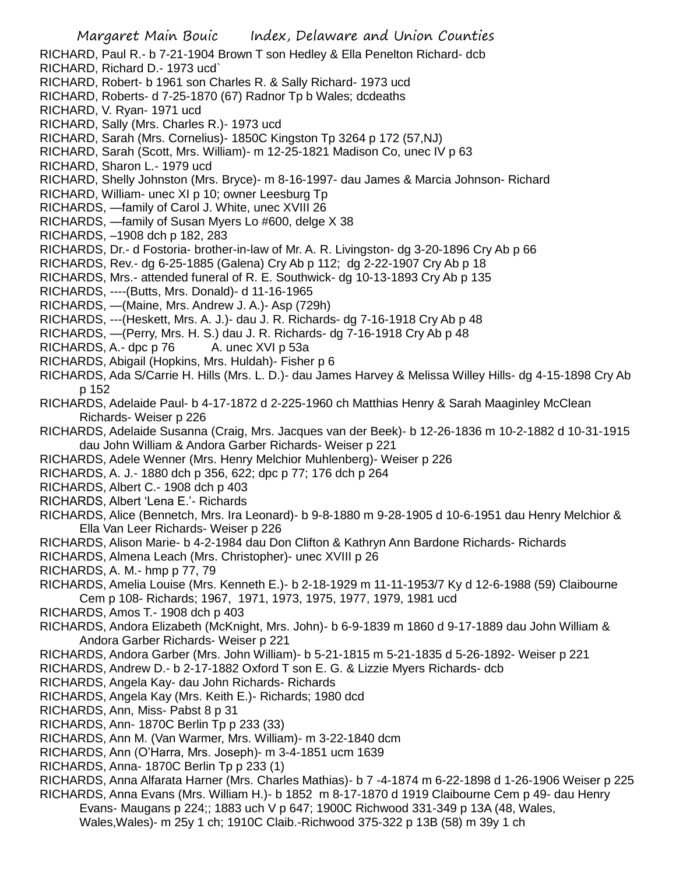- Margaret Main Bouic Index, Delaware and Union Counties RICHARD, Paul R.- b 7-21-1904 Brown T son Hedley & Ella Penelton Richard- dcb RICHARD, Richard D.- 1973 ucd` RICHARD, Robert- b 1961 son Charles R. & Sally Richard- 1973 ucd RICHARD, Roberts- d 7-25-1870 (67) Radnor Tp b Wales; dcdeaths RICHARD, V. Ryan- 1971 ucd RICHARD, Sally (Mrs. Charles R.)- 1973 ucd RICHARD, Sarah (Mrs. Cornelius)- 1850C Kingston Tp 3264 p 172 (57,NJ) RICHARD, Sarah (Scott, Mrs. William)- m 12-25-1821 Madison Co, unec IV p 63 RICHARD, Sharon L.- 1979 ucd RICHARD, Shelly Johnston (Mrs. Bryce)- m 8-16-1997- dau James & Marcia Johnson- Richard RICHARD, William- unec XI p 10; owner Leesburg Tp RICHARDS, —family of Carol J. White, unec XVIII 26 RICHARDS, —family of Susan Myers Lo #600, delge X 38 RICHARDS, –1908 dch p 182, 283 RICHARDS, Dr.- d Fostoria- brother-in-law of Mr. A. R. Livingston- dg 3-20-1896 Cry Ab p 66 RICHARDS, Rev.- dg 6-25-1885 (Galena) Cry Ab p 112; dg 2-22-1907 Cry Ab p 18 RICHARDS, Mrs.- attended funeral of R. E. Southwick- dg 10-13-1893 Cry Ab p 135 RICHARDS, ----(Butts, Mrs. Donald)- d 11-16-1965 RICHARDS, —(Maine, Mrs. Andrew J. A.)- Asp (729h) RICHARDS, ---(Heskett, Mrs. A. J.)- dau J. R. Richards- dg 7-16-1918 Cry Ab p 48 RICHARDS, —(Perry, Mrs. H. S.) dau J. R. Richards- dg 7-16-1918 Cry Ab p 48 RICHARDS, A.- dpc p 76 A. unec XVI p 53a RICHARDS, Abigail (Hopkins, Mrs. Huldah)- Fisher p 6 RICHARDS, Ada S/Carrie H. Hills (Mrs. L. D.)- dau James Harvey & Melissa Willey Hills- dg 4-15-1898 Cry Ab p 152 RICHARDS, Adelaide Paul- b 4-17-1872 d 2-225-1960 ch Matthias Henry & Sarah Maaginley McClean Richards- Weiser p 226 RICHARDS, Adelaide Susanna (Craig, Mrs. Jacques van der Beek)- b 12-26-1836 m 10-2-1882 d 10-31-1915 dau John William & Andora Garber Richards- Weiser p 221 RICHARDS, Adele Wenner (Mrs. Henry Melchior Muhlenberg)- Weiser p 226 RICHARDS, A. J.- 1880 dch p 356, 622; dpc p 77; 176 dch p 264 RICHARDS, Albert C.- 1908 dch p 403 RICHARDS, Albert 'Lena E.'- Richards RICHARDS, Alice (Bennetch, Mrs. Ira Leonard)- b 9-8-1880 m 9-28-1905 d 10-6-1951 dau Henry Melchior & Ella Van Leer Richards- Weiser p 226 RICHARDS, Alison Marie- b 4-2-1984 dau Don Clifton & Kathryn Ann Bardone Richards- Richards RICHARDS, Almena Leach (Mrs. Christopher)- unec XVIII p 26 RICHARDS, A. M.- hmp p 77, 79 RICHARDS, Amelia Louise (Mrs. Kenneth E.)- b 2-18-1929 m 11-11-1953/7 Ky d 12-6-1988 (59) Claibourne Cem p 108- Richards; 1967, 1971, 1973, 1975, 1977, 1979, 1981 ucd RICHARDS, Amos T.- 1908 dch p 403 RICHARDS, Andora Elizabeth (McKnight, Mrs. John)- b 6-9-1839 m 1860 d 9-17-1889 dau John William & Andora Garber Richards- Weiser p 221 RICHARDS, Andora Garber (Mrs. John William)- b 5-21-1815 m 5-21-1835 d 5-26-1892- Weiser p 221 RICHARDS, Andrew D.- b 2-17-1882 Oxford T son E. G. & Lizzie Myers Richards- dcb RICHARDS, Angela Kay- dau John Richards- Richards RICHARDS, Angela Kay (Mrs. Keith E.)- Richards; 1980 dcd RICHARDS, Ann, Miss- Pabst 8 p 31 RICHARDS, Ann- 1870C Berlin Tp p 233 (33) RICHARDS, Ann M. (Van Warmer, Mrs. William)- m 3-22-1840 dcm
- RICHARDS, Ann (O'Harra, Mrs. Joseph)- m 3-4-1851 ucm 1639
- RICHARDS, Anna- 1870C Berlin Tp p 233 (1)
- RICHARDS, Anna Alfarata Harner (Mrs. Charles Mathias)- b 7 -4-1874 m 6-22-1898 d 1-26-1906 Weiser p 225 RICHARDS, Anna Evans (Mrs. William H.)- b 1852 m 8-17-1870 d 1919 Claibourne Cem p 49- dau Henry
	- Evans- Maugans p 224;; 1883 uch V p 647; 1900C Richwood 331-349 p 13A (48, Wales,
		- Wales,Wales)- m 25y 1 ch; 1910C Claib.-Richwood 375-322 p 13B (58) m 39y 1 ch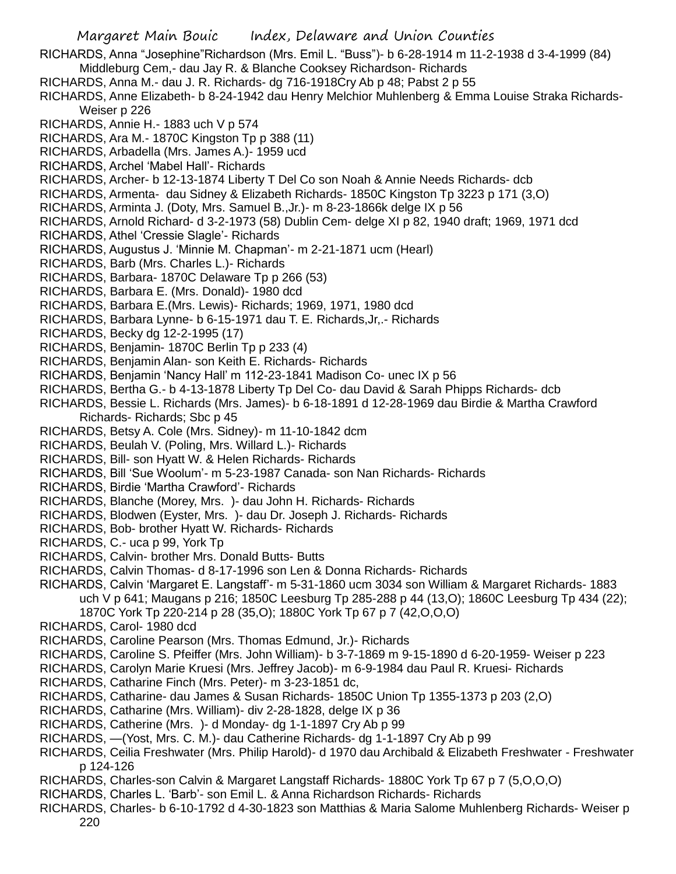- RICHARDS, Anna "Josephine"Richardson (Mrs. Emil L. "Buss")- b 6-28-1914 m 11-2-1938 d 3-4-1999 (84) Middleburg Cem,- dau Jay R. & Blanche Cooksey Richardson- Richards
- RICHARDS, Anna M.- dau J. R. Richards- dg 716-1918Cry Ab p 48; Pabst 2 p 55
- RICHARDS, Anne Elizabeth- b 8-24-1942 dau Henry Melchior Muhlenberg & Emma Louise Straka Richards-Weiser p 226
- RICHARDS, Annie H.- 1883 uch V p 574
- RICHARDS, Ara M.- 1870C Kingston Tp p 388 (11)
- RICHARDS, Arbadella (Mrs. James A.)- 1959 ucd
- RICHARDS, Archel 'Mabel Hall'- Richards
- RICHARDS, Archer- b 12-13-1874 Liberty T Del Co son Noah & Annie Needs Richards- dcb
- RICHARDS, Armenta- dau Sidney & Elizabeth Richards- 1850C Kingston Tp 3223 p 171 (3,O)
- RICHARDS, Arminta J. (Doty, Mrs. Samuel B.,Jr.)- m 8-23-1866k delge IX p 56
- RICHARDS, Arnold Richard- d 3-2-1973 (58) Dublin Cem- delge XI p 82, 1940 draft; 1969, 1971 dcd
- RICHARDS, Athel 'Cressie Slagle'- Richards
- RICHARDS, Augustus J. 'Minnie M. Chapman'- m 2-21-1871 ucm (Hearl)
- RICHARDS, Barb (Mrs. Charles L.)- Richards
- RICHARDS, Barbara- 1870C Delaware Tp p 266 (53)
- RICHARDS, Barbara E. (Mrs. Donald)- 1980 dcd
- RICHARDS, Barbara E.(Mrs. Lewis)- Richards; 1969, 1971, 1980 dcd
- RICHARDS, Barbara Lynne- b 6-15-1971 dau T. E. Richards,Jr,.- Richards
- RICHARDS, Becky dg 12-2-1995 (17)
- RICHARDS, Benjamin- 1870C Berlin Tp p 233 (4)
- RICHARDS, Benjamin Alan- son Keith E. Richards- Richards
- RICHARDS, Benjamin 'Nancy Hall' m 112-23-1841 Madison Co- unec IX p 56
- RICHARDS, Bertha G.- b 4-13-1878 Liberty Tp Del Co- dau David & Sarah Phipps Richards- dcb
- RICHARDS, Bessie L. Richards (Mrs. James)- b 6-18-1891 d 12-28-1969 dau Birdie & Martha Crawford Richards- Richards; Sbc p 45
- RICHARDS, Betsy A. Cole (Mrs. Sidney)- m 11-10-1842 dcm
- RICHARDS, Beulah V. (Poling, Mrs. Willard L.)- Richards
- RICHARDS, Bill- son Hyatt W. & Helen Richards- Richards
- RICHARDS, Bill 'Sue Woolum'- m 5-23-1987 Canada- son Nan Richards- Richards
- RICHARDS, Birdie 'Martha Crawford'- Richards
- RICHARDS, Blanche (Morey, Mrs. )- dau John H. Richards- Richards
- RICHARDS, Blodwen (Eyster, Mrs. )- dau Dr. Joseph J. Richards- Richards
- RICHARDS, Bob- brother Hyatt W. Richards- Richards
- RICHARDS, C.- uca p 99, York Tp
- RICHARDS, Calvin- brother Mrs. Donald Butts- Butts
- RICHARDS, Calvin Thomas- d 8-17-1996 son Len & Donna Richards- Richards
- RICHARDS, Calvin 'Margaret E. Langstaff'- m 5-31-1860 ucm 3034 son William & Margaret Richards- 1883 uch V p 641; Maugans p 216; 1850C Leesburg Tp 285-288 p 44 (13,O); 1860C Leesburg Tp 434 (22); 1870C York Tp 220-214 p 28 (35,O); 1880C York Tp 67 p 7 (42,O,O,O)
- RICHARDS, Carol- 1980 dcd
- RICHARDS, Caroline Pearson (Mrs. Thomas Edmund, Jr.)- Richards
- RICHARDS, Caroline S. Pfeiffer (Mrs. John William)- b 3-7-1869 m 9-15-1890 d 6-20-1959- Weiser p 223
- RICHARDS, Carolyn Marie Kruesi (Mrs. Jeffrey Jacob)- m 6-9-1984 dau Paul R. Kruesi- Richards
- RICHARDS, Catharine Finch (Mrs. Peter)- m 3-23-1851 dc,
- RICHARDS, Catharine- dau James & Susan Richards- 1850C Union Tp 1355-1373 p 203 (2,O)
- RICHARDS, Catharine (Mrs. William)- div 2-28-1828, delge IX p 36
- RICHARDS, Catherine (Mrs. )- d Monday- dg 1-1-1897 Cry Ab p 99
- RICHARDS, —(Yost, Mrs. C. M.)- dau Catherine Richards- dg 1-1-1897 Cry Ab p 99
- RICHARDS, Ceilia Freshwater (Mrs. Philip Harold)- d 1970 dau Archibald & Elizabeth Freshwater Freshwater p 124-126
- RICHARDS, Charles-son Calvin & Margaret Langstaff Richards- 1880C York Tp 67 p 7 (5,O,O,O)
- RICHARDS, Charles L. 'Barb'- son Emil L. & Anna Richardson Richards- Richards
- RICHARDS, Charles- b 6-10-1792 d 4-30-1823 son Matthias & Maria Salome Muhlenberg Richards- Weiser p 220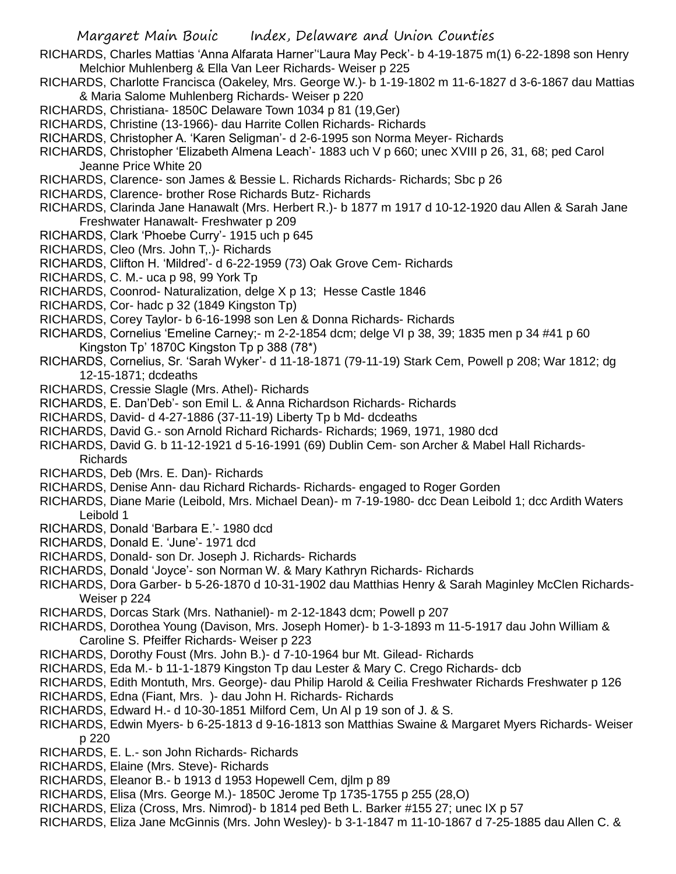- RICHARDS, Charles Mattias 'Anna Alfarata Harner''Laura May Peck'- b 4-19-1875 m(1) 6-22-1898 son Henry Melchior Muhlenberg & Ella Van Leer Richards- Weiser p 225
- RICHARDS, Charlotte Francisca (Oakeley, Mrs. George W.)- b 1-19-1802 m 11-6-1827 d 3-6-1867 dau Mattias & Maria Salome Muhlenberg Richards- Weiser p 220
- RICHARDS, Christiana- 1850C Delaware Town 1034 p 81 (19,Ger)
- RICHARDS, Christine (13-1966)- dau Harrite Collen Richards- Richards
- RICHARDS, Christopher A. 'Karen Seligman'- d 2-6-1995 son Norma Meyer- Richards
- RICHARDS, Christopher 'Elizabeth Almena Leach'- 1883 uch V p 660; unec XVIII p 26, 31, 68; ped Carol Jeanne Price White 20
- RICHARDS, Clarence- son James & Bessie L. Richards Richards- Richards; Sbc p 26
- RICHARDS, Clarence- brother Rose Richards Butz- Richards
- RICHARDS, Clarinda Jane Hanawalt (Mrs. Herbert R.)- b 1877 m 1917 d 10-12-1920 dau Allen & Sarah Jane Freshwater Hanawalt- Freshwater p 209
- RICHARDS, Clark 'Phoebe Curry'- 1915 uch p 645
- RICHARDS, Cleo (Mrs. John T,.)- Richards
- RICHARDS, Clifton H. 'Mildred'- d 6-22-1959 (73) Oak Grove Cem- Richards
- RICHARDS, C. M.- uca p 98, 99 York Tp
- RICHARDS, Coonrod- Naturalization, delge X p 13; Hesse Castle 1846
- RICHARDS, Cor- hadc p 32 (1849 Kingston Tp)
- RICHARDS, Corey Taylor- b 6-16-1998 son Len & Donna Richards- Richards
- RICHARDS, Cornelius 'Emeline Carney;- m 2-2-1854 dcm; delge VI p 38, 39; 1835 men p 34 #41 p 60 Kingston Tp' 1870C Kingston Tp p 388 (78\*)
- RICHARDS, Cornelius, Sr. 'Sarah Wyker'- d 11-18-1871 (79-11-19) Stark Cem, Powell p 208; War 1812; dg 12-15-1871; dcdeaths
- RICHARDS, Cressie Slagle (Mrs. Athel)- Richards
- RICHARDS, E. Dan'Deb'- son Emil L. & Anna Richardson Richards- Richards
- RICHARDS, David- d 4-27-1886 (37-11-19) Liberty Tp b Md- dcdeaths
- RICHARDS, David G.- son Arnold Richard Richards- Richards; 1969, 1971, 1980 dcd
- RICHARDS, David G. b 11-12-1921 d 5-16-1991 (69) Dublin Cem- son Archer & Mabel Hall Richards-Richards
- RICHARDS, Deb (Mrs. E. Dan)- Richards
- RICHARDS, Denise Ann- dau Richard Richards- Richards- engaged to Roger Gorden
- RICHARDS, Diane Marie (Leibold, Mrs. Michael Dean)- m 7-19-1980- dcc Dean Leibold 1; dcc Ardith Waters Leibold 1
- RICHARDS, Donald 'Barbara E.'- 1980 dcd
- RICHARDS, Donald E. 'June'- 1971 dcd
- RICHARDS, Donald- son Dr. Joseph J. Richards- Richards
- RICHARDS, Donald 'Joyce'- son Norman W. & Mary Kathryn Richards- Richards
- RICHARDS, Dora Garber- b 5-26-1870 d 10-31-1902 dau Matthias Henry & Sarah Maginley McClen Richards-Weiser p 224
- RICHARDS, Dorcas Stark (Mrs. Nathaniel)- m 2-12-1843 dcm; Powell p 207
- RICHARDS, Dorothea Young (Davison, Mrs. Joseph Homer)- b 1-3-1893 m 11-5-1917 dau John William & Caroline S. Pfeiffer Richards- Weiser p 223
- RICHARDS, Dorothy Foust (Mrs. John B.)- d 7-10-1964 bur Mt. Gilead- Richards
- RICHARDS, Eda M.- b 11-1-1879 Kingston Tp dau Lester & Mary C. Crego Richards- dcb
- RICHARDS, Edith Montuth, Mrs. George)- dau Philip Harold & Ceilia Freshwater Richards Freshwater p 126
- RICHARDS, Edna (Fiant, Mrs. )- dau John H. Richards- Richards
- RICHARDS, Edward H.- d 10-30-1851 Milford Cem, Un Al p 19 son of J. & S.
- RICHARDS, Edwin Myers- b 6-25-1813 d 9-16-1813 son Matthias Swaine & Margaret Myers Richards- Weiser p 220
- RICHARDS, E. L.- son John Richards- Richards
- RICHARDS, Elaine (Mrs. Steve)- Richards
- RICHARDS, Eleanor B.- b 1913 d 1953 Hopewell Cem, djlm p 89
- RICHARDS, Elisa (Mrs. George M.)- 1850C Jerome Tp 1735-1755 p 255 (28,O)
- RICHARDS, Eliza (Cross, Mrs. Nimrod)- b 1814 ped Beth L. Barker #155 27; unec IX p 57
- RICHARDS, Eliza Jane McGinnis (Mrs. John Wesley)- b 3-1-1847 m 11-10-1867 d 7-25-1885 dau Allen C. &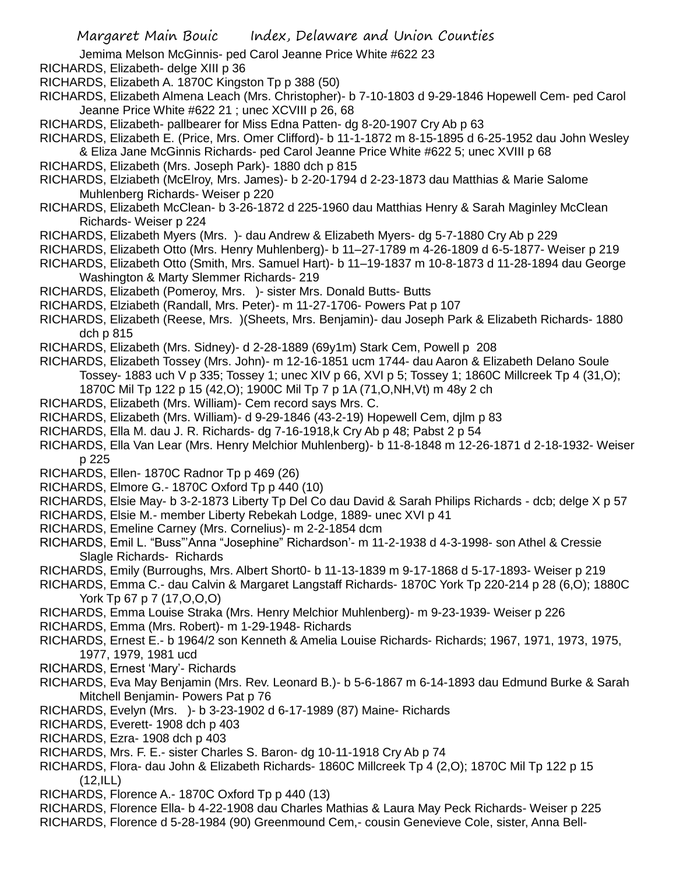Jemima Melson McGinnis- ped Carol Jeanne Price White #622 23

- RICHARDS, Elizabeth- delge XIII p 36
- RICHARDS, Elizabeth A. 1870C Kingston Tp p 388 (50)
- RICHARDS, Elizabeth Almena Leach (Mrs. Christopher)- b 7-10-1803 d 9-29-1846 Hopewell Cem- ped Carol Jeanne Price White #622 21 ; unec XCVIII p 26, 68
- RICHARDS, Elizabeth- pallbearer for Miss Edna Patten- dg 8-20-1907 Cry Ab p 63
- RICHARDS, Elizabeth E. (Price, Mrs. Omer Clifford)- b 11-1-1872 m 8-15-1895 d 6-25-1952 dau John Wesley
- & Eliza Jane McGinnis Richards- ped Carol Jeanne Price White #622 5; unec XVIII p 68 RICHARDS, Elizabeth (Mrs. Joseph Park)- 1880 dch p 815
- RICHARDS, Elziabeth (McElroy, Mrs. James)- b 2-20-1794 d 2-23-1873 dau Matthias & Marie Salome Muhlenberg Richards- Weiser p 220
- RICHARDS, Elizabeth McClean- b 3-26-1872 d 225-1960 dau Matthias Henry & Sarah Maginley McClean Richards- Weiser p 224
- RICHARDS, Elizabeth Myers (Mrs. )- dau Andrew & Elizabeth Myers- dg 5-7-1880 Cry Ab p 229
- RICHARDS, Elizabeth Otto (Mrs. Henry Muhlenberg)- b 11–27-1789 m 4-26-1809 d 6-5-1877- Weiser p 219
- RICHARDS, Elizabeth Otto (Smith, Mrs. Samuel Hart)- b 11–19-1837 m 10-8-1873 d 11-28-1894 dau George Washington & Marty Slemmer Richards- 219
- RICHARDS, Elizabeth (Pomeroy, Mrs. )- sister Mrs. Donald Butts- Butts
- RICHARDS, Elziabeth (Randall, Mrs. Peter)- m 11-27-1706- Powers Pat p 107
- RICHARDS, Elizabeth (Reese, Mrs. )(Sheets, Mrs. Benjamin)- dau Joseph Park & Elizabeth Richards- 1880 dch p 815
- RICHARDS, Elizabeth (Mrs. Sidney)- d 2-28-1889 (69y1m) Stark Cem, Powell p 208
- RICHARDS, Elizabeth Tossey (Mrs. John)- m 12-16-1851 ucm 1744- dau Aaron & Elizabeth Delano Soule Tossey- 1883 uch V p 335; Tossey 1; unec XIV p 66, XVI p 5; Tossey 1; 1860C Millcreek Tp 4 (31,O); 1870C Mil Tp 122 p 15 (42,O); 1900C Mil Tp 7 p 1A (71,O,NH,Vt) m 48y 2 ch
- RICHARDS, Elizabeth (Mrs. William)- Cem record says Mrs. C.
- RICHARDS, Elizabeth (Mrs. William)- d 9-29-1846 (43-2-19) Hopewell Cem, djlm p 83
- RICHARDS, Ella M. dau J. R. Richards- dg 7-16-1918,k Cry Ab p 48; Pabst 2 p 54
- RICHARDS, Ella Van Lear (Mrs. Henry Melchior Muhlenberg)- b 11-8-1848 m 12-26-1871 d 2-18-1932- Weiser p 225
- RICHARDS, Ellen- 1870C Radnor Tp p 469 (26)
- RICHARDS, Elmore G.- 1870C Oxford Tp p 440 (10)
- RICHARDS, Elsie May- b 3-2-1873 Liberty Tp Del Co dau David & Sarah Philips Richards dcb; delge X p 57
- RICHARDS, Elsie M.- member Liberty Rebekah Lodge, 1889- unec XVI p 41
- RICHARDS, Emeline Carney (Mrs. Cornelius)- m 2-2-1854 dcm
- RICHARDS, Emil L. "Buss"'Anna "Josephine" Richardson'- m 11-2-1938 d 4-3-1998- son Athel & Cressie Slagle Richards- Richards
- RICHARDS, Emily (Burroughs, Mrs. Albert Short0- b 11-13-1839 m 9-17-1868 d 5-17-1893- Weiser p 219
- RICHARDS, Emma C.- dau Calvin & Margaret Langstaff Richards- 1870C York Tp 220-214 p 28 (6,O); 1880C York Tp 67 p 7 (17, O, O, O)
- RICHARDS, Emma Louise Straka (Mrs. Henry Melchior Muhlenberg)- m 9-23-1939- Weiser p 226
- RICHARDS, Emma (Mrs. Robert)- m 1-29-1948- Richards
- RICHARDS, Ernest E.- b 1964/2 son Kenneth & Amelia Louise Richards- Richards; 1967, 1971, 1973, 1975, 1977, 1979, 1981 ucd
- RICHARDS, Ernest 'Mary'- Richards
- RICHARDS, Eva May Benjamin (Mrs. Rev. Leonard B.)- b 5-6-1867 m 6-14-1893 dau Edmund Burke & Sarah Mitchell Benjamin- Powers Pat p 76
- RICHARDS, Evelyn (Mrs. )- b 3-23-1902 d 6-17-1989 (87) Maine- Richards
- RICHARDS, Everett- 1908 dch p 403
- RICHARDS, Ezra- 1908 dch p 403
- RICHARDS, Mrs. F. E.- sister Charles S. Baron- dg 10-11-1918 Cry Ab p 74
- RICHARDS, Flora- dau John & Elizabeth Richards- 1860C Millcreek Tp 4 (2,O); 1870C Mil Tp 122 p 15  $(12, ILL)$
- RICHARDS, Florence A.- 1870C Oxford Tp p 440 (13)
- RICHARDS, Florence Ella- b 4-22-1908 dau Charles Mathias & Laura May Peck Richards- Weiser p 225
- RICHARDS, Florence d 5-28-1984 (90) Greenmound Cem,- cousin Genevieve Cole, sister, Anna Bell-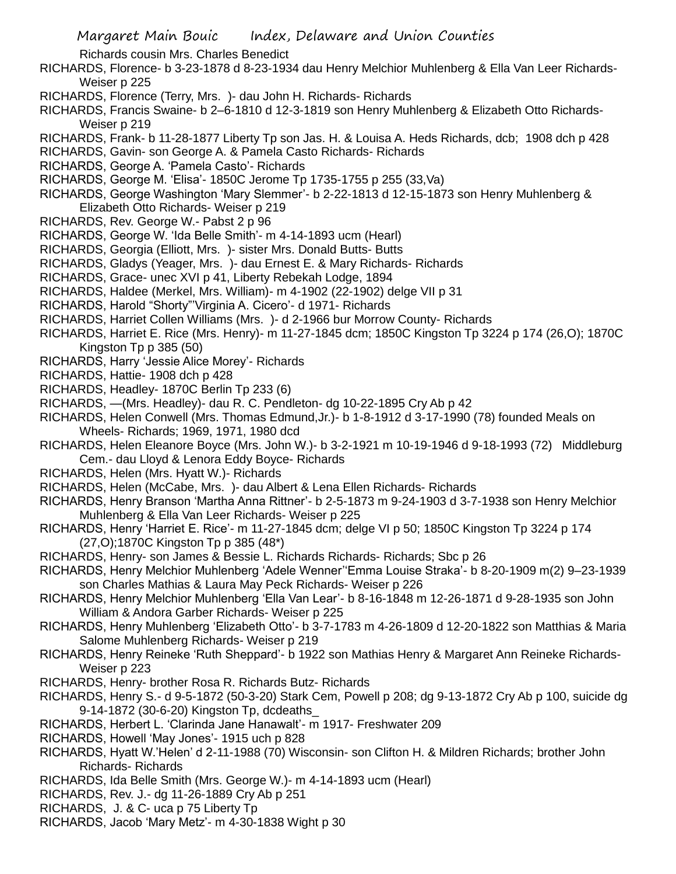Richards cousin Mrs. Charles Benedict

- RICHARDS, Florence- b 3-23-1878 d 8-23-1934 dau Henry Melchior Muhlenberg & Ella Van Leer Richards-Weiser p 225
- RICHARDS, Florence (Terry, Mrs. )- dau John H. Richards- Richards
- RICHARDS, Francis Swaine- b 2–6-1810 d 12-3-1819 son Henry Muhlenberg & Elizabeth Otto Richards-Weiser p 219
- RICHARDS, Frank- b 11-28-1877 Liberty Tp son Jas. H. & Louisa A. Heds Richards, dcb; 1908 dch p 428
- RICHARDS, Gavin- son George A. & Pamela Casto Richards- Richards
- RICHARDS, George A. 'Pamela Casto'- Richards
- RICHARDS, George M. 'Elisa'- 1850C Jerome Tp 1735-1755 p 255 (33,Va)
- RICHARDS, George Washington 'Mary Slemmer'- b 2-22-1813 d 12-15-1873 son Henry Muhlenberg & Elizabeth Otto Richards- Weiser p 219
- RICHARDS, Rev. George W.- Pabst 2 p 96
- RICHARDS, George W. 'Ida Belle Smith'- m 4-14-1893 ucm (Hearl)
- RICHARDS, Georgia (Elliott, Mrs. )- sister Mrs. Donald Butts- Butts
- RICHARDS, Gladys (Yeager, Mrs. )- dau Ernest E. & Mary Richards- Richards
- RICHARDS, Grace- unec XVI p 41, Liberty Rebekah Lodge, 1894
- RICHARDS, Haldee (Merkel, Mrs. William)- m 4-1902 (22-1902) delge VII p 31
- RICHARDS, Harold "Shorty"'Virginia A. Cicero'- d 1971- Richards
- RICHARDS, Harriet Collen Williams (Mrs. )- d 2-1966 bur Morrow County- Richards
- RICHARDS, Harriet E. Rice (Mrs. Henry)- m 11-27-1845 dcm; 1850C Kingston Tp 3224 p 174 (26,O); 1870C Kingston Tp p 385 (50)
- RICHARDS, Harry 'Jessie Alice Morey'- Richards
- RICHARDS, Hattie- 1908 dch p 428
- RICHARDS, Headley- 1870C Berlin Tp 233 (6)
- RICHARDS, —(Mrs. Headley)- dau R. C. Pendleton- dg 10-22-1895 Cry Ab p 42
- RICHARDS, Helen Conwell (Mrs. Thomas Edmund,Jr.)- b 1-8-1912 d 3-17-1990 (78) founded Meals on Wheels- Richards; 1969, 1971, 1980 dcd
- RICHARDS, Helen Eleanore Boyce (Mrs. John W.)- b 3-2-1921 m 10-19-1946 d 9-18-1993 (72) Middleburg Cem.- dau Lloyd & Lenora Eddy Boyce- Richards
- RICHARDS, Helen (Mrs. Hyatt W.)- Richards
- RICHARDS, Helen (McCabe, Mrs. )- dau Albert & Lena Ellen Richards- Richards
- RICHARDS, Henry Branson 'Martha Anna Rittner'- b 2-5-1873 m 9-24-1903 d 3-7-1938 son Henry Melchior Muhlenberg & Ella Van Leer Richards- Weiser p 225
- RICHARDS, Henry 'Harriet E. Rice'- m 11-27-1845 dcm; delge VI p 50; 1850C Kingston Tp 3224 p 174 (27,O);1870C Kingston Tp p 385 (48\*)
- RICHARDS, Henry- son James & Bessie L. Richards Richards- Richards; Sbc p 26
- RICHARDS, Henry Melchior Muhlenberg 'Adele Wenner''Emma Louise Straka'- b 8-20-1909 m(2) 9–23-1939 son Charles Mathias & Laura May Peck Richards- Weiser p 226
- RICHARDS, Henry Melchior Muhlenberg 'Ella Van Lear'- b 8-16-1848 m 12-26-1871 d 9-28-1935 son John William & Andora Garber Richards- Weiser p 225
- RICHARDS, Henry Muhlenberg 'Elizabeth Otto'- b 3-7-1783 m 4-26-1809 d 12-20-1822 son Matthias & Maria Salome Muhlenberg Richards- Weiser p 219
- RICHARDS, Henry Reineke 'Ruth Sheppard'- b 1922 son Mathias Henry & Margaret Ann Reineke Richards-Weiser p 223
- RICHARDS, Henry- brother Rosa R. Richards Butz- Richards
- RICHARDS, Henry S.- d 9-5-1872 (50-3-20) Stark Cem, Powell p 208; dg 9-13-1872 Cry Ab p 100, suicide dg 9-14-1872 (30-6-20) Kingston Tp, dcdeaths\_
- RICHARDS, Herbert L. 'Clarinda Jane Hanawalt'- m 1917- Freshwater 209
- RICHARDS, Howell 'May Jones'- 1915 uch p 828
- RICHARDS, Hyatt W.'Helen' d 2-11-1988 (70) Wisconsin- son Clifton H. & Mildren Richards; brother John Richards- Richards
- RICHARDS, Ida Belle Smith (Mrs. George W.)- m 4-14-1893 ucm (Hearl)
- RICHARDS, Rev. J.- dg 11-26-1889 Cry Ab p 251
- RICHARDS, J. & C- uca p 75 Liberty Tp
- RICHARDS, Jacob 'Mary Metz'- m 4-30-1838 Wight p 30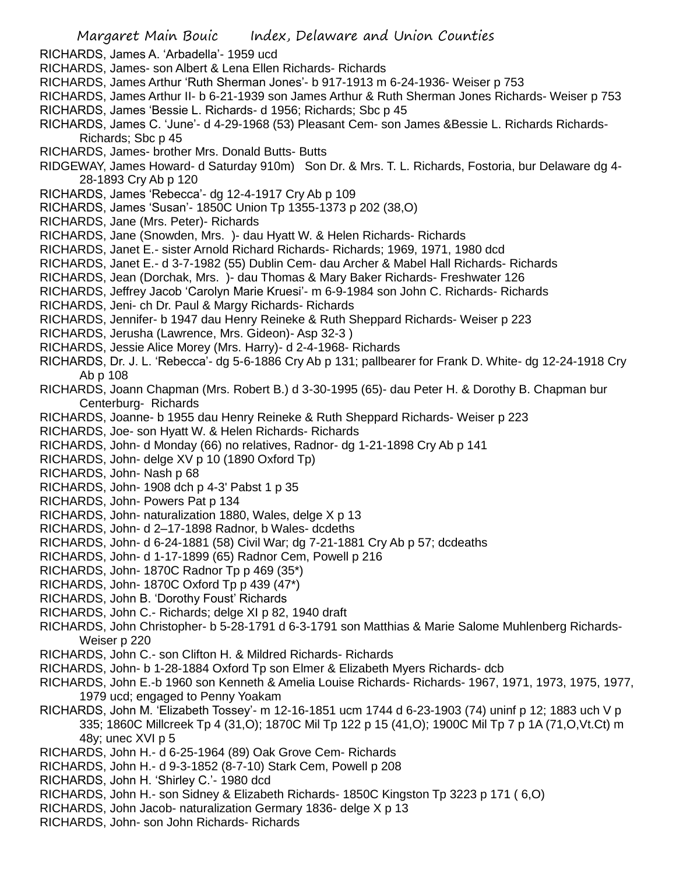- RICHARDS, James A. 'Arbadella'- 1959 ucd
- RICHARDS, James- son Albert & Lena Ellen Richards- Richards
- RICHARDS, James Arthur 'Ruth Sherman Jones'- b 917-1913 m 6-24-1936- Weiser p 753
- RICHARDS, James Arthur II- b 6-21-1939 son James Arthur & Ruth Sherman Jones Richards- Weiser p 753 RICHARDS, James 'Bessie L. Richards- d 1956; Richards; Sbc p 45
- RICHARDS, James C. 'June'- d 4-29-1968 (53) Pleasant Cem- son James &Bessie L. Richards Richards-Richards; Sbc p 45
- RICHARDS, James- brother Mrs. Donald Butts- Butts
- RIDGEWAY, James Howard- d Saturday 910m) Son Dr. & Mrs. T. L. Richards, Fostoria, bur Delaware dg 4- 28-1893 Cry Ab p 120
- RICHARDS, James 'Rebecca'- dg 12-4-1917 Cry Ab p 109
- RICHARDS, James 'Susan'- 1850C Union Tp 1355-1373 p 202 (38,O)
- RICHARDS, Jane (Mrs. Peter)- Richards
- RICHARDS, Jane (Snowden, Mrs. )- dau Hyatt W. & Helen Richards- Richards
- RICHARDS, Janet E.- sister Arnold Richard Richards- Richards; 1969, 1971, 1980 dcd
- RICHARDS, Janet E.- d 3-7-1982 (55) Dublin Cem- dau Archer & Mabel Hall Richards- Richards
- RICHARDS, Jean (Dorchak, Mrs. )- dau Thomas & Mary Baker Richards- Freshwater 126
- RICHARDS, Jeffrey Jacob 'Carolyn Marie Kruesi'- m 6-9-1984 son John C. Richards- Richards
- RICHARDS, Jeni- ch Dr. Paul & Margy Richards- Richards
- RICHARDS, Jennifer- b 1947 dau Henry Reineke & Ruth Sheppard Richards- Weiser p 223
- RICHARDS, Jerusha (Lawrence, Mrs. Gideon)- Asp 32-3 )
- RICHARDS, Jessie Alice Morey (Mrs. Harry)- d 2-4-1968- Richards
- RICHARDS, Dr. J. L. 'Rebecca'- dg 5-6-1886 Cry Ab p 131; pallbearer for Frank D. White- dg 12-24-1918 Cry Ab p 108
- RICHARDS, Joann Chapman (Mrs. Robert B.) d 3-30-1995 (65)- dau Peter H. & Dorothy B. Chapman bur Centerburg- Richards
- RICHARDS, Joanne- b 1955 dau Henry Reineke & Ruth Sheppard Richards- Weiser p 223
- RICHARDS, Joe- son Hyatt W. & Helen Richards- Richards
- RICHARDS, John- d Monday (66) no relatives, Radnor- dg 1-21-1898 Cry Ab p 141
- RICHARDS, John- delge XV p 10 (1890 Oxford Tp)
- RICHARDS, John- Nash p 68
- RICHARDS, John- 1908 dch p 4-3' Pabst 1 p 35
- RICHARDS, John- Powers Pat p 134
- RICHARDS, John- naturalization 1880, Wales, delge X p 13
- RICHARDS, John- d 2–17-1898 Radnor, b Wales- dcdeths
- RICHARDS, John- d 6-24-1881 (58) Civil War; dg 7-21-1881 Cry Ab p 57; dcdeaths
- RICHARDS, John- d 1-17-1899 (65) Radnor Cem, Powell p 216
- RICHARDS, John- 1870C Radnor Tp p 469 (35\*)
- RICHARDS, John- 1870C Oxford Tp p 439 (47\*)
- RICHARDS, John B. 'Dorothy Foust' Richards
- RICHARDS, John C.- Richards; delge XI p 82, 1940 draft
- RICHARDS, John Christopher- b 5-28-1791 d 6-3-1791 son Matthias & Marie Salome Muhlenberg Richards-Weiser p 220
- RICHARDS, John C.- son Clifton H. & Mildred Richards- Richards
- RICHARDS, John- b 1-28-1884 Oxford Tp son Elmer & Elizabeth Myers Richards- dcb
- RICHARDS, John E.-b 1960 son Kenneth & Amelia Louise Richards- Richards- 1967, 1971, 1973, 1975, 1977, 1979 ucd; engaged to Penny Yoakam
- RICHARDS, John M. 'Elizabeth Tossey'- m 12-16-1851 ucm 1744 d 6-23-1903 (74) uninf p 12; 1883 uch V p 335; 1860C Millcreek Tp 4 (31,O); 1870C Mil Tp 122 p 15 (41,O); 1900C Mil Tp 7 p 1A (71,O,Vt.Ct) m 48y; unec XVI p 5
- RICHARDS, John H.- d 6-25-1964 (89) Oak Grove Cem- Richards
- RICHARDS, John H.- d 9-3-1852 (8-7-10) Stark Cem, Powell p 208
- RICHARDS, John H. 'Shirley C.'- 1980 dcd
- RICHARDS, John H.- son Sidney & Elizabeth Richards- 1850C Kingston Tp 3223 p 171 ( 6,O)
- RICHARDS, John Jacob- naturalization Germary 1836- delge X p 13
- RICHARDS, John- son John Richards- Richards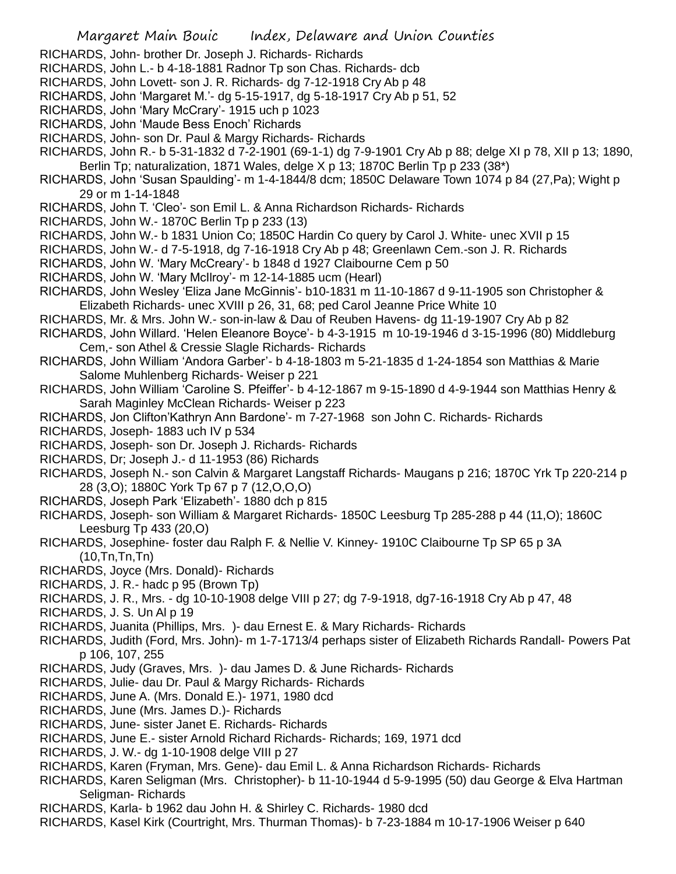- RICHARDS, John- brother Dr. Joseph J. Richards- Richards
- RICHARDS, John L.- b 4-18-1881 Radnor Tp son Chas. Richards- dcb
- RICHARDS, John Lovett- son J. R. Richards- dg 7-12-1918 Cry Ab p 48
- RICHARDS, John 'Margaret M.'- dg 5-15-1917, dg 5-18-1917 Cry Ab p 51, 52
- RICHARDS, John 'Mary McCrary'- 1915 uch p 1023
- RICHARDS, John 'Maude Bess Enoch' Richards
- RICHARDS, John- son Dr. Paul & Margy Richards- Richards
- RICHARDS, John R.- b 5-31-1832 d 7-2-1901 (69-1-1) dg 7-9-1901 Cry Ab p 88; delge XI p 78, XII p 13; 1890, Berlin Tp; naturalization, 1871 Wales, delge X p 13; 1870C Berlin Tp p 233 (38\*)
- RICHARDS, John 'Susan Spaulding'- m 1-4-1844/8 dcm; 1850C Delaware Town 1074 p 84 (27,Pa); Wight p 29 or m 1-14-1848
- RICHARDS, John T. 'Cleo'- son Emil L. & Anna Richardson Richards- Richards
- RICHARDS, John W.- 1870C Berlin Tp p 233 (13)
- RICHARDS, John W.- b 1831 Union Co; 1850C Hardin Co query by Carol J. White- unec XVII p 15
- RICHARDS, John W.- d 7-5-1918, dg 7-16-1918 Cry Ab p 48; Greenlawn Cem.-son J. R. Richards
- RICHARDS, John W. 'Mary McCreary'- b 1848 d 1927 Claibourne Cem p 50
- RICHARDS, John W. 'Mary McIlroy'- m 12-14-1885 ucm (Hearl)
- RICHARDS, John Wesley 'Eliza Jane McGinnis'- b10-1831 m 11-10-1867 d 9-11-1905 son Christopher & Elizabeth Richards- unec XVIII p 26, 31, 68; ped Carol Jeanne Price White 10
- RICHARDS, Mr. & Mrs. John W.- son-in-law & Dau of Reuben Havens- dg 11-19-1907 Cry Ab p 82
- RICHARDS, John Willard. 'Helen Eleanore Boyce'- b 4-3-1915 m 10-19-1946 d 3-15-1996 (80) Middleburg Cem,- son Athel & Cressie Slagle Richards- Richards
- RICHARDS, John William 'Andora Garber'- b 4-18-1803 m 5-21-1835 d 1-24-1854 son Matthias & Marie Salome Muhlenberg Richards- Weiser p 221
- RICHARDS, John William 'Caroline S. Pfeiffer'- b 4-12-1867 m 9-15-1890 d 4-9-1944 son Matthias Henry & Sarah Maginley McClean Richards- Weiser p 223
- RICHARDS, Jon Clifton'Kathryn Ann Bardone'- m 7-27-1968 son John C. Richards- Richards
- RICHARDS, Joseph- 1883 uch IV p 534
- RICHARDS, Joseph- son Dr. Joseph J. Richards- Richards
- RICHARDS, Dr; Joseph J.- d 11-1953 (86) Richards
- RICHARDS, Joseph N.- son Calvin & Margaret Langstaff Richards- Maugans p 216; 1870C Yrk Tp 220-214 p 28 (3,O); 1880C York Tp 67 p 7 (12,O,O,O)
- RICHARDS, Joseph Park 'Elizabeth'- 1880 dch p 815
- RICHARDS, Joseph- son William & Margaret Richards- 1850C Leesburg Tp 285-288 p 44 (11,O); 1860C Leesburg Tp 433 (20,O)
- RICHARDS, Josephine- foster dau Ralph F. & Nellie V. Kinney- 1910C Claibourne Tp SP 65 p 3A  $(10, \text{In}, \text{In}, \text{In})$
- RICHARDS, Joyce (Mrs. Donald)- Richards
- RICHARDS, J. R.- hadc p 95 (Brown Tp)
- RICHARDS, J. R., Mrs. dg 10-10-1908 delge VIII p 27; dg 7-9-1918, dg7-16-1918 Cry Ab p 47, 48
- RICHARDS, J. S. Un Al p 19
- RICHARDS, Juanita (Phillips, Mrs. )- dau Ernest E. & Mary Richards- Richards
- RICHARDS, Judith (Ford, Mrs. John)- m 1-7-1713/4 perhaps sister of Elizabeth Richards Randall- Powers Pat p 106, 107, 255
- RICHARDS, Judy (Graves, Mrs. )- dau James D. & June Richards- Richards
- RICHARDS, Julie- dau Dr. Paul & Margy Richards- Richards
- RICHARDS, June A. (Mrs. Donald E.)- 1971, 1980 dcd
- RICHARDS, June (Mrs. James D.)- Richards
- RICHARDS, June- sister Janet E. Richards- Richards
- RICHARDS, June E.- sister Arnold Richard Richards- Richards; 169, 1971 dcd
- RICHARDS, J. W.- dg 1-10-1908 delge VIII p 27
- RICHARDS, Karen (Fryman, Mrs. Gene)- dau Emil L. & Anna Richardson Richards- Richards
- RICHARDS, Karen Seligman (Mrs. Christopher)- b 11-10-1944 d 5-9-1995 (50) dau George & Elva Hartman Seligman- Richards
- RICHARDS, Karla- b 1962 dau John H. & Shirley C. Richards- 1980 dcd
- RICHARDS, Kasel Kirk (Courtright, Mrs. Thurman Thomas)- b 7-23-1884 m 10-17-1906 Weiser p 640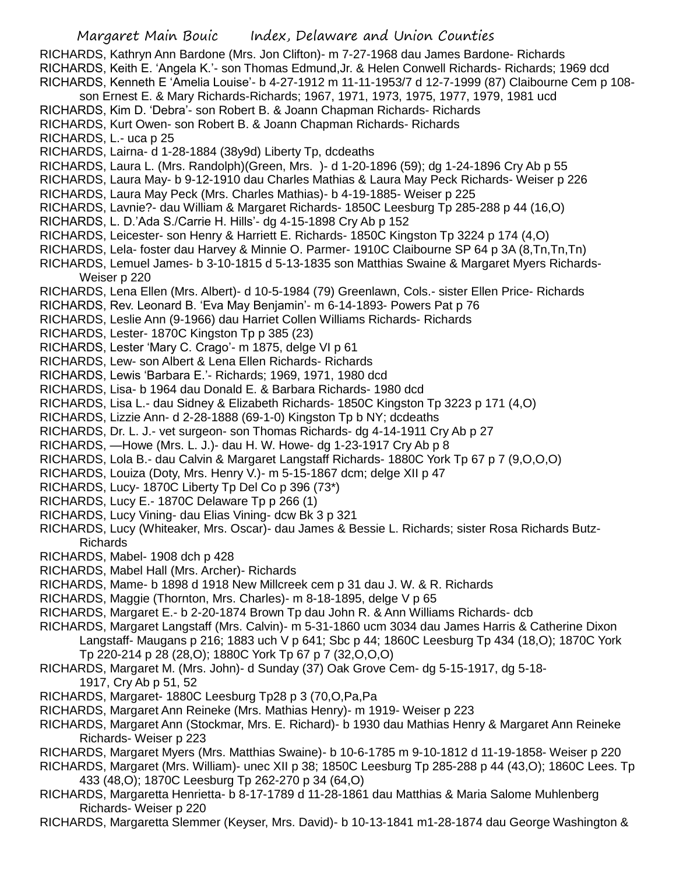## Margaret Main Bouic Index, Delaware and Union Counties

RICHARDS, Kathryn Ann Bardone (Mrs. Jon Clifton)- m 7-27-1968 dau James Bardone- Richards RICHARDS, Keith E. 'Angela K.'- son Thomas Edmund,Jr. & Helen Conwell Richards- Richards; 1969 dcd RICHARDS, Kenneth E 'Amelia Louise'- b 4-27-1912 m 11-11-1953/7 d 12-7-1999 (87) Claibourne Cem p 108 son Ernest E. & Mary Richards-Richards; 1967, 1971, 1973, 1975, 1977, 1979, 1981 ucd

RICHARDS, Kim D. 'Debra'- son Robert B. & Joann Chapman Richards- Richards

RICHARDS, Kurt Owen- son Robert B. & Joann Chapman Richards- Richards

RICHARDS, L.- uca p 25

RICHARDS, Lairna- d 1-28-1884 (38y9d) Liberty Tp, dcdeaths

- RICHARDS, Laura L. (Mrs. Randolph)(Green, Mrs. )- d 1-20-1896 (59); dg 1-24-1896 Cry Ab p 55
- RICHARDS, Laura May- b 9-12-1910 dau Charles Mathias & Laura May Peck Richards- Weiser p 226

RICHARDS, Laura May Peck (Mrs. Charles Mathias)- b 4-19-1885- Weiser p 225

- RICHARDS, Lavnie?- dau William & Margaret Richards- 1850C Leesburg Tp 285-288 p 44 (16,O)
- RICHARDS, L. D.'Ada S./Carrie H. Hills'- dg 4-15-1898 Cry Ab p 152
- RICHARDS, Leicester- son Henry & Harriett E. Richards- 1850C Kingston Tp 3224 p 174 (4,O)
- RICHARDS, Lela- foster dau Harvey & Minnie O. Parmer- 1910C Claibourne SP 64 p 3A (8,Tn,Tn,Tn)

RICHARDS, Lemuel James- b 3-10-1815 d 5-13-1835 son Matthias Swaine & Margaret Myers Richards-Weiser p 220

- RICHARDS, Lena Ellen (Mrs. Albert)- d 10-5-1984 (79) Greenlawn, Cols.- sister Ellen Price- Richards
- RICHARDS, Rev. Leonard B. 'Eva May Benjamin'- m 6-14-1893- Powers Pat p 76
- RICHARDS, Leslie Ann (9-1966) dau Harriet Collen Williams Richards- Richards
- RICHARDS, Lester- 1870C Kingston Tp p 385 (23)
- RICHARDS, Lester 'Mary C. Crago'- m 1875, delge VI p 61
- RICHARDS, Lew- son Albert & Lena Ellen Richards- Richards
- RICHARDS, Lewis 'Barbara E.'- Richards; 1969, 1971, 1980 dcd
- RICHARDS, Lisa- b 1964 dau Donald E. & Barbara Richards- 1980 dcd
- RICHARDS, Lisa L.- dau Sidney & Elizabeth Richards- 1850C Kingston Tp 3223 p 171 (4,O)
- RICHARDS, Lizzie Ann- d 2-28-1888 (69-1-0) Kingston Tp b NY; dcdeaths
- RICHARDS, Dr. L. J.- vet surgeon- son Thomas Richards- dg 4-14-1911 Cry Ab p 27
- RICHARDS, —Howe (Mrs. L. J.)- dau H. W. Howe- dg 1-23-1917 Cry Ab p 8
- RICHARDS, Lola B.- dau Calvin & Margaret Langstaff Richards- 1880C York Tp 67 p 7 (9,O,O,O)
- RICHARDS, Louiza (Doty, Mrs. Henry V.)- m 5-15-1867 dcm; delge XII p 47
- RICHARDS, Lucy- 1870C Liberty Tp Del Co p 396 (73\*)
- RICHARDS, Lucy E.- 1870C Delaware Tp p 266 (1)
- RICHARDS, Lucy Vining- dau Elias Vining- dcw Bk 3 p 321
- RICHARDS, Lucy (Whiteaker, Mrs. Oscar)- dau James & Bessie L. Richards; sister Rosa Richards Butz-Richards
- RICHARDS, Mabel- 1908 dch p 428
- RICHARDS, Mabel Hall (Mrs. Archer)- Richards
- RICHARDS, Mame- b 1898 d 1918 New Millcreek cem p 31 dau J. W. & R. Richards
- RICHARDS, Maggie (Thornton, Mrs. Charles)- m 8-18-1895, delge V p 65
- RICHARDS, Margaret E.- b 2-20-1874 Brown Tp dau John R. & Ann Williams Richards- dcb
- RICHARDS, Margaret Langstaff (Mrs. Calvin)- m 5-31-1860 ucm 3034 dau James Harris & Catherine Dixon Langstaff- Maugans p 216; 1883 uch V p 641; Sbc p 44; 1860C Leesburg Tp 434 (18,O); 1870C York Tp 220-214 p 28 (28,O); 1880C York Tp 67 p 7 (32,O,O,O)
- RICHARDS, Margaret M. (Mrs. John)- d Sunday (37) Oak Grove Cem- dg 5-15-1917, dg 5-18- 1917, Cry Ab p 51, 52
- RICHARDS, Margaret- 1880C Leesburg Tp28 p 3 (70,O,Pa,Pa
- RICHARDS, Margaret Ann Reineke (Mrs. Mathias Henry)- m 1919- Weiser p 223
- RICHARDS, Margaret Ann (Stockmar, Mrs. E. Richard)- b 1930 dau Mathias Henry & Margaret Ann Reineke Richards- Weiser p 223
- RICHARDS, Margaret Myers (Mrs. Matthias Swaine)- b 10-6-1785 m 9-10-1812 d 11-19-1858- Weiser p 220
- RICHARDS, Margaret (Mrs. William)- unec XII p 38; 1850C Leesburg Tp 285-288 p 44 (43,O); 1860C Lees. Tp 433 (48,O); 1870C Leesburg Tp 262-270 p 34 (64,O)
- RICHARDS, Margaretta Henrietta- b 8-17-1789 d 11-28-1861 dau Matthias & Maria Salome Muhlenberg Richards- Weiser p 220
- RICHARDS, Margaretta Slemmer (Keyser, Mrs. David)- b 10-13-1841 m1-28-1874 dau George Washington &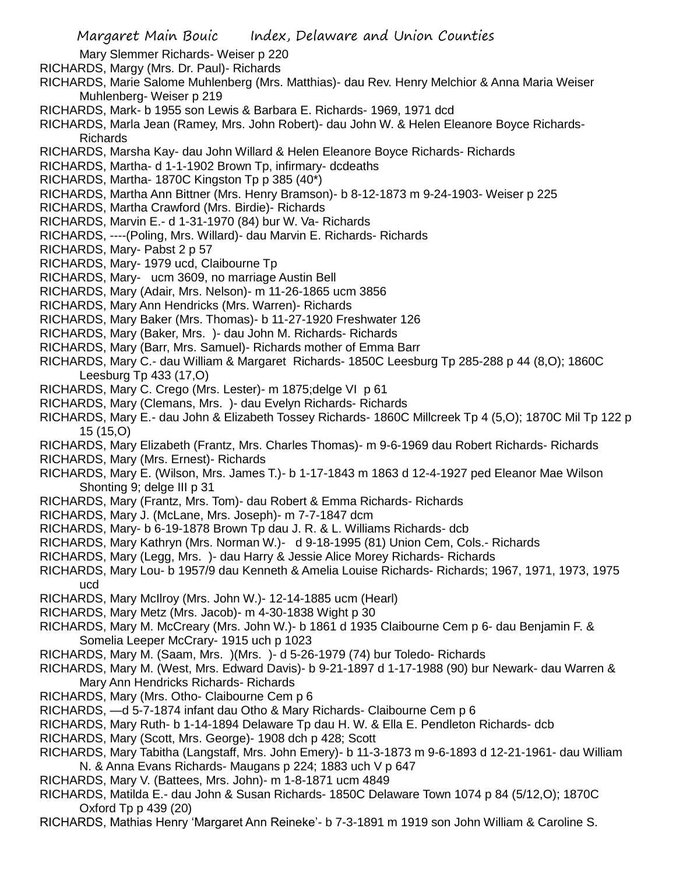- Mary Slemmer Richards- Weiser p 220
- RICHARDS, Margy (Mrs. Dr. Paul)- Richards
- RICHARDS, Marie Salome Muhlenberg (Mrs. Matthias)- dau Rev. Henry Melchior & Anna Maria Weiser Muhlenberg- Weiser p 219
- RICHARDS, Mark- b 1955 son Lewis & Barbara E. Richards- 1969, 1971 dcd
- RICHARDS, Marla Jean (Ramey, Mrs. John Robert)- dau John W. & Helen Eleanore Boyce Richards-Richards
- RICHARDS, Marsha Kay- dau John Willard & Helen Eleanore Boyce Richards- Richards
- RICHARDS, Martha- d 1-1-1902 Brown Tp, infirmary- dcdeaths
- RICHARDS, Martha- 1870C Kingston Tp p 385 (40\*)
- RICHARDS, Martha Ann Bittner (Mrs. Henry Bramson)- b 8-12-1873 m 9-24-1903- Weiser p 225
- RICHARDS, Martha Crawford (Mrs. Birdie)- Richards
- RICHARDS, Marvin E.- d 1-31-1970 (84) bur W. Va- Richards
- RICHARDS, ----(Poling, Mrs. Willard)- dau Marvin E. Richards- Richards
- RICHARDS, Mary- Pabst 2 p 57
- RICHARDS, Mary- 1979 ucd, Claibourne Tp
- RICHARDS, Mary- ucm 3609, no marriage Austin Bell
- RICHARDS, Mary (Adair, Mrs. Nelson)- m 11-26-1865 ucm 3856
- RICHARDS, Mary Ann Hendricks (Mrs. Warren)- Richards
- RICHARDS, Mary Baker (Mrs. Thomas)- b 11-27-1920 Freshwater 126
- RICHARDS, Mary (Baker, Mrs. )- dau John M. Richards- Richards
- RICHARDS, Mary (Barr, Mrs. Samuel)- Richards mother of Emma Barr
- RICHARDS, Mary C.- dau William & Margaret Richards- 1850C Leesburg Tp 285-288 p 44 (8,O); 1860C Leesburg Tp 433 (17,O)
- RICHARDS, Mary C. Crego (Mrs. Lester)- m 1875;delge VI p 61
- RICHARDS, Mary (Clemans, Mrs. )- dau Evelyn Richards- Richards
- RICHARDS, Mary E.- dau John & Elizabeth Tossey Richards- 1860C Millcreek Tp 4 (5,O); 1870C Mil Tp 122 p 15 (15,O)
- RICHARDS, Mary Elizabeth (Frantz, Mrs. Charles Thomas)- m 9-6-1969 dau Robert Richards- Richards
- RICHARDS, Mary (Mrs. Ernest)- Richards
- RICHARDS, Mary E. (Wilson, Mrs. James T.)- b 1-17-1843 m 1863 d 12-4-1927 ped Eleanor Mae Wilson Shonting 9; delge III p 31
- RICHARDS, Mary (Frantz, Mrs. Tom)- dau Robert & Emma Richards- Richards
- RICHARDS, Mary J. (McLane, Mrs. Joseph)- m 7-7-1847 dcm
- RICHARDS, Mary- b 6-19-1878 Brown Tp dau J. R. & L. Williams Richards- dcb
- RICHARDS, Mary Kathryn (Mrs. Norman W.)- d 9-18-1995 (81) Union Cem, Cols.- Richards
- RICHARDS, Mary (Legg, Mrs. )- dau Harry & Jessie Alice Morey Richards- Richards
- RICHARDS, Mary Lou- b 1957/9 dau Kenneth & Amelia Louise Richards- Richards; 1967, 1971, 1973, 1975 ucd
- RICHARDS, Mary McIlroy (Mrs. John W.)- 12-14-1885 ucm (Hearl)
- RICHARDS, Mary Metz (Mrs. Jacob)- m 4-30-1838 Wight p 30
- RICHARDS, Mary M. McCreary (Mrs. John W.)- b 1861 d 1935 Claibourne Cem p 6- dau Benjamin F. & Somelia Leeper McCrary- 1915 uch p 1023
- RICHARDS, Mary M. (Saam, Mrs. )(Mrs. )- d 5-26-1979 (74) bur Toledo- Richards
- RICHARDS, Mary M. (West, Mrs. Edward Davis)- b 9-21-1897 d 1-17-1988 (90) bur Newark- dau Warren & Mary Ann Hendricks Richards- Richards
- RICHARDS, Mary (Mrs. Otho- Claibourne Cem p 6
- RICHARDS, —d 5-7-1874 infant dau Otho & Mary Richards- Claibourne Cem p 6
- RICHARDS, Mary Ruth- b 1-14-1894 Delaware Tp dau H. W. & Ella E. Pendleton Richards- dcb
- RICHARDS, Mary (Scott, Mrs. George)- 1908 dch p 428; Scott
- RICHARDS, Mary Tabitha (Langstaff, Mrs. John Emery)- b 11-3-1873 m 9-6-1893 d 12-21-1961- dau William N. & Anna Evans Richards- Maugans p 224; 1883 uch V p 647
- RICHARDS, Mary V. (Battees, Mrs. John)- m 1-8-1871 ucm 4849
- RICHARDS, Matilda E.- dau John & Susan Richards- 1850C Delaware Town 1074 p 84 (5/12,O); 1870C Oxford Tp p 439 (20)
- RICHARDS, Mathias Henry 'Margaret Ann Reineke'- b 7-3-1891 m 1919 son John William & Caroline S.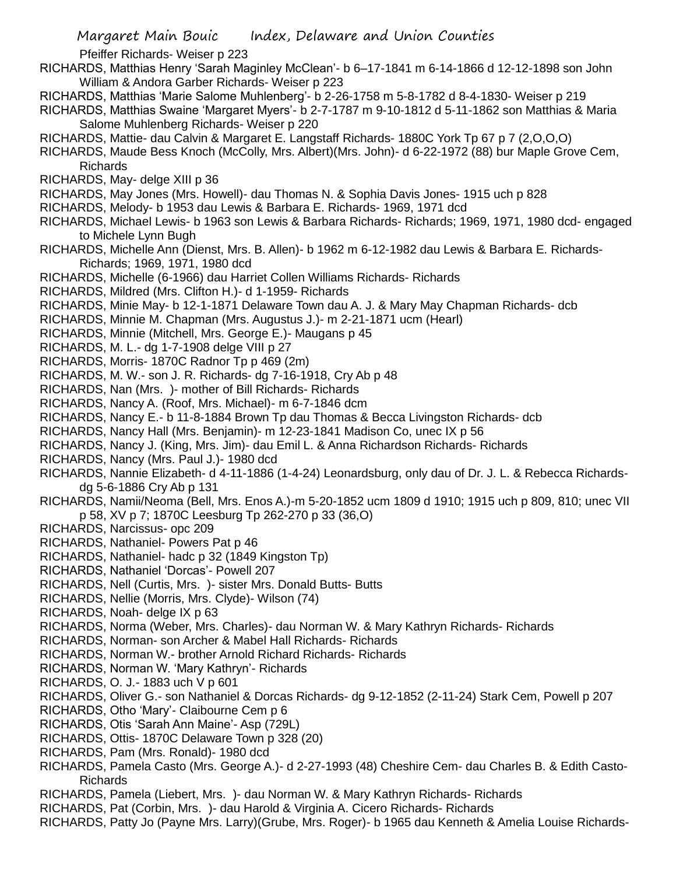Pfeiffer Richards- Weiser p 223

- RICHARDS, Matthias Henry 'Sarah Maginley McClean'- b 6–17-1841 m 6-14-1866 d 12-12-1898 son John William & Andora Garber Richards- Weiser p 223
- RICHARDS, Matthias 'Marie Salome Muhlenberg'- b 2-26-1758 m 5-8-1782 d 8-4-1830- Weiser p 219
- RICHARDS, Matthias Swaine 'Margaret Myers'- b 2-7-1787 m 9-10-1812 d 5-11-1862 son Matthias & Maria Salome Muhlenberg Richards- Weiser p 220
- RICHARDS, Mattie- dau Calvin & Margaret E. Langstaff Richards- 1880C York Tp 67 p 7 (2,O,O,O)
- RICHARDS, Maude Bess Knoch (McColly, Mrs. Albert)(Mrs. John)- d 6-22-1972 (88) bur Maple Grove Cem, Richards
- RICHARDS, May- delge XIII p 36
- RICHARDS, May Jones (Mrs. Howell)- dau Thomas N. & Sophia Davis Jones- 1915 uch p 828
- RICHARDS, Melody- b 1953 dau Lewis & Barbara E. Richards- 1969, 1971 dcd
- RICHARDS, Michael Lewis- b 1963 son Lewis & Barbara Richards- Richards; 1969, 1971, 1980 dcd- engaged to Michele Lynn Bugh
- RICHARDS, Michelle Ann (Dienst, Mrs. B. Allen)- b 1962 m 6-12-1982 dau Lewis & Barbara E. Richards-Richards; 1969, 1971, 1980 dcd
- RICHARDS, Michelle (6-1966) dau Harriet Collen Williams Richards- Richards
- RICHARDS, Mildred (Mrs. Clifton H.)- d 1-1959- Richards
- RICHARDS, Minie May- b 12-1-1871 Delaware Town dau A. J. & Mary May Chapman Richards- dcb
- RICHARDS, Minnie M. Chapman (Mrs. Augustus J.)- m 2-21-1871 ucm (Hearl)
- RICHARDS, Minnie (Mitchell, Mrs. George E.)- Maugans p 45
- RICHARDS, M. L.- dg 1-7-1908 delge VIII p 27
- RICHARDS, Morris- 1870C Radnor Tp p 469 (2m)
- RICHARDS, M. W.- son J. R. Richards- dg 7-16-1918, Cry Ab p 48
- RICHARDS, Nan (Mrs. )- mother of Bill Richards- Richards
- RICHARDS, Nancy A. (Roof, Mrs. Michael)- m 6-7-1846 dcm
- RICHARDS, Nancy E.- b 11-8-1884 Brown Tp dau Thomas & Becca Livingston Richards- dcb
- RICHARDS, Nancy Hall (Mrs. Benjamin)- m 12-23-1841 Madison Co, unec IX p 56
- RICHARDS, Nancy J. (King, Mrs. Jim)- dau Emil L. & Anna Richardson Richards- Richards
- RICHARDS, Nancy (Mrs. Paul J.)- 1980 dcd
- RICHARDS, Nannie Elizabeth- d 4-11-1886 (1-4-24) Leonardsburg, only dau of Dr. J. L. & Rebecca Richardsdg 5-6-1886 Cry Ab p 131
- RICHARDS, Namii/Neoma (Bell, Mrs. Enos A.)-m 5-20-1852 ucm 1809 d 1910; 1915 uch p 809, 810; unec VII p 58, XV p 7; 1870C Leesburg Tp 262-270 p 33 (36,O)
- RICHARDS, Narcissus- opc 209
- RICHARDS, Nathaniel- Powers Pat p 46
- RICHARDS, Nathaniel- hadc p 32 (1849 Kingston Tp)
- RICHARDS, Nathaniel 'Dorcas'- Powell 207
- RICHARDS, Nell (Curtis, Mrs. )- sister Mrs. Donald Butts- Butts
- RICHARDS, Nellie (Morris, Mrs. Clyde)- Wilson (74)
- RICHARDS, Noah- delge IX p 63
- RICHARDS, Norma (Weber, Mrs. Charles)- dau Norman W. & Mary Kathryn Richards- Richards
- RICHARDS, Norman- son Archer & Mabel Hall Richards- Richards
- RICHARDS, Norman W.- brother Arnold Richard Richards- Richards
- RICHARDS, Norman W. 'Mary Kathryn'- Richards
- RICHARDS, O. J.- 1883 uch V p 601
- RICHARDS, Oliver G.- son Nathaniel & Dorcas Richards- dg 9-12-1852 (2-11-24) Stark Cem, Powell p 207
- RICHARDS, Otho 'Mary'- Claibourne Cem p 6
- RICHARDS, Otis 'Sarah Ann Maine'- Asp (729L)
- RICHARDS, Ottis- 1870C Delaware Town p 328 (20)
- RICHARDS, Pam (Mrs. Ronald)- 1980 dcd
- RICHARDS, Pamela Casto (Mrs. George A.)- d 2-27-1993 (48) Cheshire Cem- dau Charles B. & Edith Casto-Richards
- RICHARDS, Pamela (Liebert, Mrs. )- dau Norman W. & Mary Kathryn Richards- Richards
- RICHARDS, Pat (Corbin, Mrs. )- dau Harold & Virginia A. Cicero Richards- Richards
- RICHARDS, Patty Jo (Payne Mrs. Larry)(Grube, Mrs. Roger)- b 1965 dau Kenneth & Amelia Louise Richards-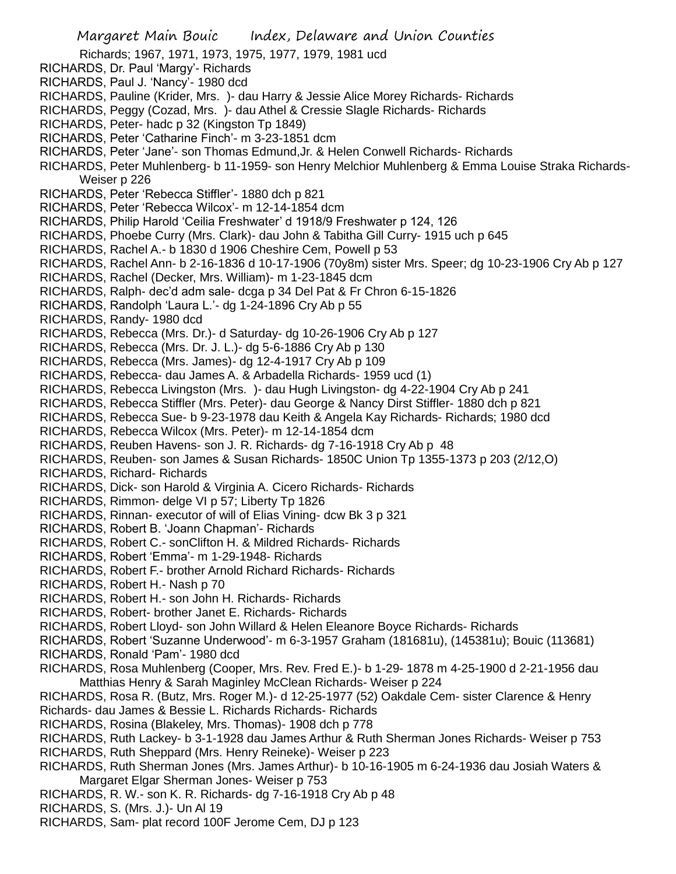Richards; 1967, 1971, 1973, 1975, 1977, 1979, 1981 ucd

- RICHARDS, Dr. Paul 'Margy'- Richards
- RICHARDS, Paul J. 'Nancy'- 1980 dcd
- RICHARDS, Pauline (Krider, Mrs. )- dau Harry & Jessie Alice Morey Richards- Richards
- RICHARDS, Peggy (Cozad, Mrs. )- dau Athel & Cressie Slagle Richards- Richards
- RICHARDS, Peter- hadc p 32 (Kingston Tp 1849)
- RICHARDS, Peter 'Catharine Finch'- m 3-23-1851 dcm
- RICHARDS, Peter 'Jane'- son Thomas Edmund,Jr. & Helen Conwell Richards- Richards
- RICHARDS, Peter Muhlenberg- b 11-1959- son Henry Melchior Muhlenberg & Emma Louise Straka Richards-Weiser p 226
- RICHARDS, Peter 'Rebecca Stiffler'- 1880 dch p 821
- RICHARDS, Peter 'Rebecca Wilcox'- m 12-14-1854 dcm
- RICHARDS, Philip Harold 'Ceilia Freshwater' d 1918/9 Freshwater p 124, 126
- RICHARDS, Phoebe Curry (Mrs. Clark)- dau John & Tabitha Gill Curry- 1915 uch p 645
- RICHARDS, Rachel A.- b 1830 d 1906 Cheshire Cem, Powell p 53
- RICHARDS, Rachel Ann- b 2-16-1836 d 10-17-1906 (70y8m) sister Mrs. Speer; dg 10-23-1906 Cry Ab p 127
- RICHARDS, Rachel (Decker, Mrs. William)- m 1-23-1845 dcm
- RICHARDS, Ralph- dec'd adm sale- dcga p 34 Del Pat & Fr Chron 6-15-1826
- RICHARDS, Randolph 'Laura L.'- dg 1-24-1896 Cry Ab p 55
- RICHARDS, Randy- 1980 dcd
- RICHARDS, Rebecca (Mrs. Dr.)- d Saturday- dg 10-26-1906 Cry Ab p 127
- RICHARDS, Rebecca (Mrs. Dr. J. L.)- dg 5-6-1886 Cry Ab p 130
- RICHARDS, Rebecca (Mrs. James)- dg 12-4-1917 Cry Ab p 109
- RICHARDS, Rebecca- dau James A. & Arbadella Richards- 1959 ucd (1)
- RICHARDS, Rebecca Livingston (Mrs. )- dau Hugh Livingston- dg 4-22-1904 Cry Ab p 241
- RICHARDS, Rebecca Stiffler (Mrs. Peter)- dau George & Nancy Dirst Stiffler- 1880 dch p 821
- RICHARDS, Rebecca Sue- b 9-23-1978 dau Keith & Angela Kay Richards- Richards; 1980 dcd
- RICHARDS, Rebecca Wilcox (Mrs. Peter)- m 12-14-1854 dcm
- RICHARDS, Reuben Havens- son J. R. Richards- dg 7-16-1918 Cry Ab p 48
- RICHARDS, Reuben- son James & Susan Richards- 1850C Union Tp 1355-1373 p 203 (2/12,O)
- RICHARDS, Richard- Richards
- RICHARDS, Dick- son Harold & Virginia A. Cicero Richards- Richards
- RICHARDS, Rimmon- delge VI p 57; Liberty Tp 1826
- RICHARDS, Rinnan- executor of will of Elias Vining- dcw Bk 3 p 321
- RICHARDS, Robert B. 'Joann Chapman'- Richards
- RICHARDS, Robert C.- sonClifton H. & Mildred Richards- Richards
- RICHARDS, Robert 'Emma'- m 1-29-1948- Richards
- RICHARDS, Robert F.- brother Arnold Richard Richards- Richards
- RICHARDS, Robert H.- Nash p 70
- RICHARDS, Robert H.- son John H. Richards- Richards
- RICHARDS, Robert- brother Janet E. Richards- Richards
- RICHARDS, Robert Lloyd- son John Willard & Helen Eleanore Boyce Richards- Richards
- RICHARDS, Robert 'Suzanne Underwood'- m 6-3-1957 Graham (181681u), (145381u); Bouic (113681)
- RICHARDS, Ronald 'Pam'- 1980 dcd
- RICHARDS, Rosa Muhlenberg (Cooper, Mrs. Rev. Fred E.)- b 1-29- 1878 m 4-25-1900 d 2-21-1956 dau Matthias Henry & Sarah Maginley McClean Richards- Weiser p 224
- RICHARDS, Rosa R. (Butz, Mrs. Roger M.)- d 12-25-1977 (52) Oakdale Cem- sister Clarence & Henry Richards- dau James & Bessie L. Richards Richards- Richards
- RICHARDS, Rosina (Blakeley, Mrs. Thomas)- 1908 dch p 778
- RICHARDS, Ruth Lackey- b 3-1-1928 dau James Arthur & Ruth Sherman Jones Richards- Weiser p 753 RICHARDS, Ruth Sheppard (Mrs. Henry Reineke)- Weiser p 223
- RICHARDS, Ruth Sherman Jones (Mrs. James Arthur)- b 10-16-1905 m 6-24-1936 dau Josiah Waters & Margaret Elgar Sherman Jones- Weiser p 753
- RICHARDS, R. W.- son K. R. Richards- dg 7-16-1918 Cry Ab p 48
- RICHARDS, S. (Mrs. J.)- Un Al 19
- RICHARDS, Sam- plat record 100F Jerome Cem, DJ p 123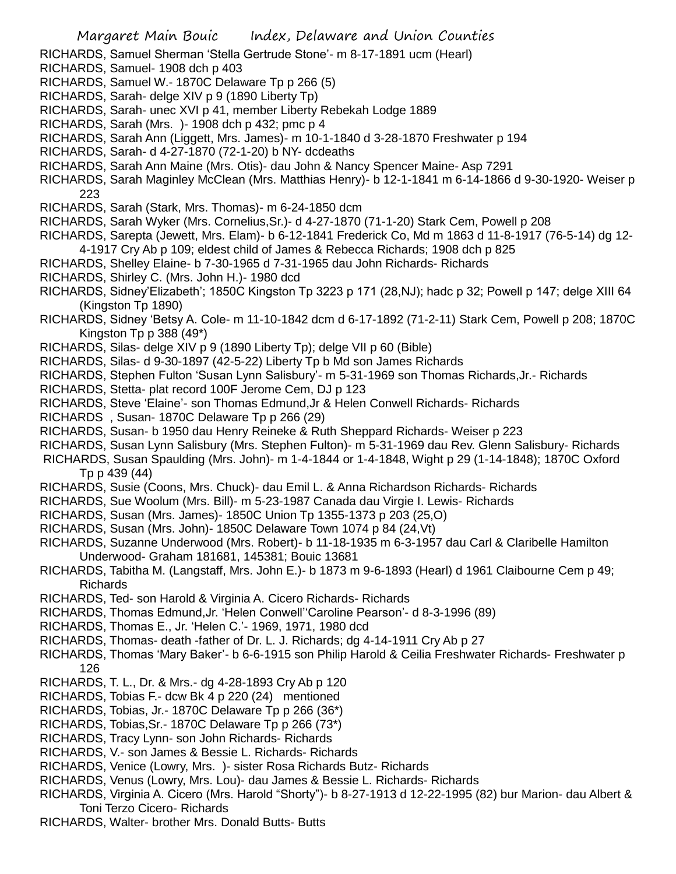RICHARDS, Samuel Sherman 'Stella Gertrude Stone'- m 8-17-1891 ucm (Hearl)

- RICHARDS, Samuel- 1908 dch p 403
- RICHARDS, Samuel W.- 1870C Delaware Tp p 266 (5)
- RICHARDS, Sarah- delge XIV p 9 (1890 Liberty Tp)
- RICHARDS, Sarah- unec XVI p 41, member Liberty Rebekah Lodge 1889
- RICHARDS, Sarah (Mrs. )- 1908 dch p 432; pmc p 4
- RICHARDS, Sarah Ann (Liggett, Mrs. James)- m 10-1-1840 d 3-28-1870 Freshwater p 194
- RICHARDS, Sarah- d 4-27-1870 (72-1-20) b NY- dcdeaths
- RICHARDS, Sarah Ann Maine (Mrs. Otis)- dau John & Nancy Spencer Maine- Asp 7291
- RICHARDS, Sarah Maginley McClean (Mrs. Matthias Henry)- b 12-1-1841 m 6-14-1866 d 9-30-1920- Weiser p 223
- RICHARDS, Sarah (Stark, Mrs. Thomas)- m 6-24-1850 dcm
- RICHARDS, Sarah Wyker (Mrs. Cornelius,Sr.)- d 4-27-1870 (71-1-20) Stark Cem, Powell p 208
- RICHARDS, Sarepta (Jewett, Mrs. Elam)- b 6-12-1841 Frederick Co, Md m 1863 d 11-8-1917 (76-5-14) dg 12- 4-1917 Cry Ab p 109; eldest child of James & Rebecca Richards; 1908 dch p 825
- RICHARDS, Shelley Elaine- b 7-30-1965 d 7-31-1965 dau John Richards- Richards
- RICHARDS, Shirley C. (Mrs. John H.)- 1980 dcd
- RICHARDS, Sidney'Elizabeth'; 1850C Kingston Tp 3223 p 171 (28,NJ); hadc p 32; Powell p 147; delge XIII 64 (Kingston Tp 1890)
- RICHARDS, Sidney 'Betsy A. Cole- m 11-10-1842 dcm d 6-17-1892 (71-2-11) Stark Cem, Powell p 208; 1870C Kingston  $Tp$   $p$  388 (49\*)
- RICHARDS, Silas- delge XIV p 9 (1890 Liberty Tp); delge VII p 60 (Bible)
- RICHARDS, Silas- d 9-30-1897 (42-5-22) Liberty Tp b Md son James Richards
- RICHARDS, Stephen Fulton 'Susan Lynn Salisbury'- m 5-31-1969 son Thomas Richards,Jr.- Richards
- RICHARDS, Stetta- plat record 100F Jerome Cem, DJ p 123
- RICHARDS, Steve 'Elaine'- son Thomas Edmund,Jr & Helen Conwell Richards- Richards
- RICHARDS , Susan- 1870C Delaware Tp p 266 (29)
- RICHARDS, Susan- b 1950 dau Henry Reineke & Ruth Sheppard Richards- Weiser p 223
- RICHARDS, Susan Lynn Salisbury (Mrs. Stephen Fulton)- m 5-31-1969 dau Rev. Glenn Salisbury- Richards
- RICHARDS, Susan Spaulding (Mrs. John)- m 1-4-1844 or 1-4-1848, Wight p 29 (1-14-1848); 1870C Oxford Tp p 439 (44)
- RICHARDS, Susie (Coons, Mrs. Chuck)- dau Emil L. & Anna Richardson Richards- Richards
- RICHARDS, Sue Woolum (Mrs. Bill)- m 5-23-1987 Canada dau Virgie I. Lewis- Richards
- RICHARDS, Susan (Mrs. James)- 1850C Union Tp 1355-1373 p 203 (25,O)
- RICHARDS, Susan (Mrs. John)- 1850C Delaware Town 1074 p 84 (24,Vt)
- RICHARDS, Suzanne Underwood (Mrs. Robert)- b 11-18-1935 m 6-3-1957 dau Carl & Claribelle Hamilton Underwood- Graham 181681, 145381; Bouic 13681
- RICHARDS, Tabitha M. (Langstaff, Mrs. John E.)- b 1873 m 9-6-1893 (Hearl) d 1961 Claibourne Cem p 49; Richards
- RICHARDS, Ted- son Harold & Virginia A. Cicero Richards- Richards
- RICHARDS, Thomas Edmund,Jr. 'Helen Conwell''Caroline Pearson'- d 8-3-1996 (89)
- RICHARDS, Thomas E., Jr. 'Helen C.'- 1969, 1971, 1980 dcd
- RICHARDS, Thomas- death -father of Dr. L. J. Richards; dg 4-14-1911 Cry Ab p 27
- RICHARDS, Thomas 'Mary Baker'- b 6-6-1915 son Philip Harold & Ceilia Freshwater Richards- Freshwater p 126
- RICHARDS, T. L., Dr. & Mrs.- dg 4-28-1893 Cry Ab p 120
- RICHARDS, Tobias F.- dcw Bk 4 p 220 (24) mentioned
- RICHARDS, Tobias, Jr.- 1870C Delaware Tp p 266 (36\*)
- RICHARDS, Tobias,Sr.- 1870C Delaware Tp p 266 (73\*)
- RICHARDS, Tracy Lynn- son John Richards- Richards
- RICHARDS, V.- son James & Bessie L. Richards- Richards
- RICHARDS, Venice (Lowry, Mrs. )- sister Rosa Richards Butz- Richards
- RICHARDS, Venus (Lowry, Mrs. Lou)- dau James & Bessie L. Richards- Richards
- RICHARDS, Virginia A. Cicero (Mrs. Harold "Shorty")- b 8-27-1913 d 12-22-1995 (82) bur Marion- dau Albert & Toni Terzo Cicero- Richards
- RICHARDS, Walter- brother Mrs. Donald Butts- Butts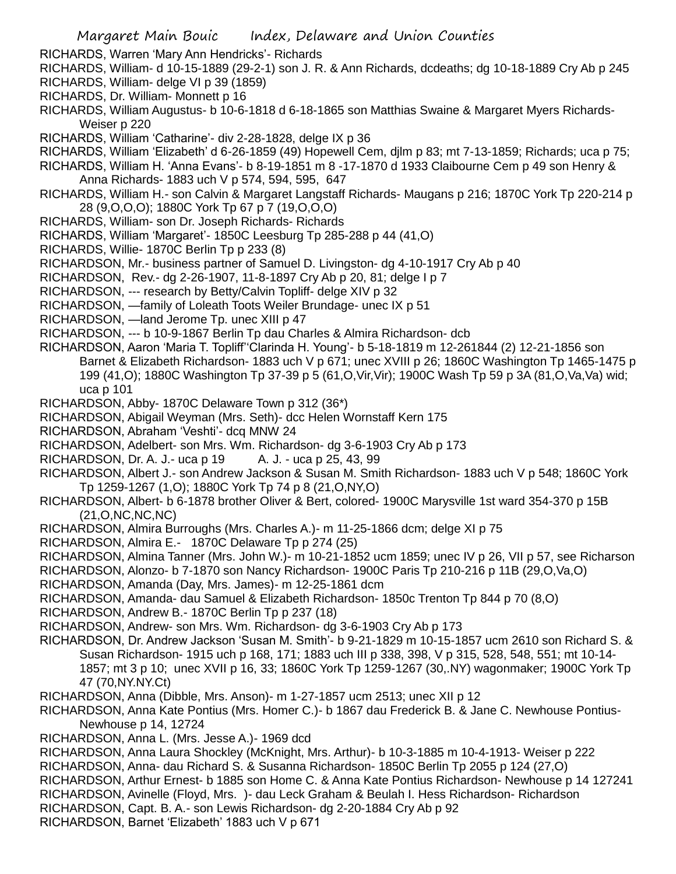- RICHARDS, Warren 'Mary Ann Hendricks'- Richards
- RICHARDS, William- d 10-15-1889 (29-2-1) son J. R. & Ann Richards, dcdeaths; dg 10-18-1889 Cry Ab p 245 RICHARDS, William- delge VI p 39 (1859)
- RICHARDS, Dr. William- Monnett p 16
- RICHARDS, William Augustus- b 10-6-1818 d 6-18-1865 son Matthias Swaine & Margaret Myers Richards-Weiser p 220
- RICHARDS, William 'Catharine'- div 2-28-1828, delge IX p 36
- RICHARDS, William 'Elizabeth' d 6-26-1859 (49) Hopewell Cem, djlm p 83; mt 7-13-1859; Richards; uca p 75;
- RICHARDS, William H. 'Anna Evans'- b 8-19-1851 m 8 -17-1870 d 1933 Claibourne Cem p 49 son Henry & Anna Richards- 1883 uch V p 574, 594, 595, 647
- RICHARDS, William H.- son Calvin & Margaret Langstaff Richards- Maugans p 216; 1870C York Tp 220-214 p 28 (9,O,O,O); 1880C York Tp 67 p 7 (19,O,O,O)
- RICHARDS, William- son Dr. Joseph Richards- Richards
- RICHARDS, William 'Margaret'- 1850C Leesburg Tp 285-288 p 44 (41,O)
- RICHARDS, Willie- 1870C Berlin Tp p 233 (8)
- RICHARDSON, Mr.- business partner of Samuel D. Livingston- dg 4-10-1917 Cry Ab p 40
- RICHARDSON, Rev.- dg 2-26-1907, 11-8-1897 Cry Ab p 20, 81; delge I p 7
- RICHARDSON, --- research by Betty/Calvin Topliff- delge XIV p 32
- RICHARDSON, —family of Loleath Toots Weiler Brundage- unec IX p 51
- RICHARDSON, —land Jerome Tp. unec XIII p 47
- RICHARDSON, --- b 10-9-1867 Berlin Tp dau Charles & Almira Richardson- dcb
- RICHARDSON, Aaron 'Maria T. Topliff''Clarinda H. Young'- b 5-18-1819 m 12-261844 (2) 12-21-1856 son Barnet & Elizabeth Richardson- 1883 uch V p 671; unec XVIII p 26; 1860C Washington Tp 1465-1475 p 199 (41,O); 1880C Washington Tp 37-39 p 5 (61,O,Vir,Vir); 1900C Wash Tp 59 p 3A (81,O,Va,Va) wid; uca p 101
- RICHARDSON, Abby- 1870C Delaware Town p 312 (36\*)
- RICHARDSON, Abigail Weyman (Mrs. Seth)- dcc Helen Wornstaff Kern 175
- RICHARDSON, Abraham 'Veshti'- dcq MNW 24
- RICHARDSON, Adelbert- son Mrs. Wm. Richardson- dg 3-6-1903 Cry Ab p 173
- RICHARDSON, Dr. A. J.- uca p 19 A. J. uca p 25, 43, 99
- RICHARDSON, Albert J.- son Andrew Jackson & Susan M. Smith Richardson- 1883 uch V p 548; 1860C York Tp 1259-1267 (1,O); 1880C York Tp 74 p 8 (21,O,NY,O)
- RICHARDSON, Albert- b 6-1878 brother Oliver & Bert, colored- 1900C Marysville 1st ward 354-370 p 15B (21,O,NC,NC,NC)
- RICHARDSON, Almira Burroughs (Mrs. Charles A.)- m 11-25-1866 dcm; delge XI p 75
- RICHARDSON, Almira E.- 1870C Delaware Tp p 274 (25)

RICHARDSON, Almina Tanner (Mrs. John W.)- m 10-21-1852 ucm 1859; unec IV p 26, VII p 57, see Richarson

- RICHARDSON, Alonzo- b 7-1870 son Nancy Richardson- 1900C Paris Tp 210-216 p 11B (29,O,Va,O)
- RICHARDSON, Amanda (Day, Mrs. James)- m 12-25-1861 dcm
- RICHARDSON, Amanda- dau Samuel & Elizabeth Richardson- 1850c Trenton Tp 844 p 70 (8,O)
- RICHARDSON, Andrew B.- 1870C Berlin Tp p 237 (18)
- RICHARDSON, Andrew- son Mrs. Wm. Richardson- dg 3-6-1903 Cry Ab p 173
- RICHARDSON, Dr. Andrew Jackson 'Susan M. Smith'- b 9-21-1829 m 10-15-1857 ucm 2610 son Richard S. & Susan Richardson- 1915 uch p 168, 171; 1883 uch III p 338, 398, V p 315, 528, 548, 551; mt 10-14- 1857; mt 3 p 10; unec XVII p 16, 33; 1860C York Tp 1259-1267 (30,.NY) wagonmaker; 1900C York Tp 47 (70,NY.NY.Ct)
- RICHARDSON, Anna (Dibble, Mrs. Anson)- m 1-27-1857 ucm 2513; unec XII p 12
- RICHARDSON, Anna Kate Pontius (Mrs. Homer C.)- b 1867 dau Frederick B. & Jane C. Newhouse Pontius-Newhouse p 14, 12724
- RICHARDSON, Anna L. (Mrs. Jesse A.)- 1969 dcd
- RICHARDSON, Anna Laura Shockley (McKnight, Mrs. Arthur)- b 10-3-1885 m 10-4-1913- Weiser p 222
- RICHARDSON, Anna- dau Richard S. & Susanna Richardson- 1850C Berlin Tp 2055 p 124 (27,O)
- RICHARDSON, Arthur Ernest- b 1885 son Home C. & Anna Kate Pontius Richardson- Newhouse p 14 127241
- RICHARDSON, Avinelle (Floyd, Mrs. )- dau Leck Graham & Beulah I. Hess Richardson- Richardson
- RICHARDSON, Capt. B. A.- son Lewis Richardson- dg 2-20-1884 Cry Ab p 92
- RICHARDSON, Barnet 'Elizabeth' 1883 uch V p 671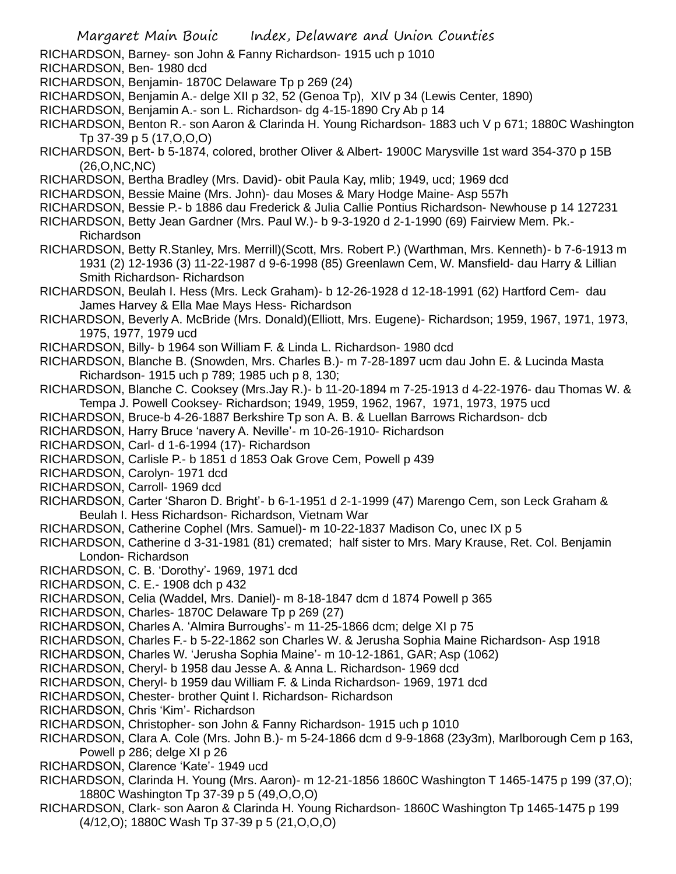- RICHARDSON, Barney- son John & Fanny Richardson- 1915 uch p 1010
- RICHARDSON, Ben- 1980 dcd
- RICHARDSON, Benjamin- 1870C Delaware Tp p 269 (24)
- RICHARDSON, Benjamin A.- delge XII p 32, 52 (Genoa Tp), XIV p 34 (Lewis Center, 1890)
- RICHARDSON, Benjamin A.- son L. Richardson- dg 4-15-1890 Cry Ab p 14
- RICHARDSON, Benton R.- son Aaron & Clarinda H. Young Richardson- 1883 uch V p 671; 1880C Washington Tp 37-39 p 5 (17,O,O,O)
- RICHARDSON, Bert- b 5-1874, colored, brother Oliver & Albert- 1900C Marysville 1st ward 354-370 p 15B  $(26, O, NC, NC)$
- RICHARDSON, Bertha Bradley (Mrs. David)- obit Paula Kay, mlib; 1949, ucd; 1969 dcd
- RICHARDSON, Bessie Maine (Mrs. John)- dau Moses & Mary Hodge Maine- Asp 557h
- RICHARDSON, Bessie P.- b 1886 dau Frederick & Julia Callie Pontius Richardson- Newhouse p 14 127231
- RICHARDSON, Betty Jean Gardner (Mrs. Paul W.)- b 9-3-1920 d 2-1-1990 (69) Fairview Mem. Pk.- Richardson
- RICHARDSON, Betty R.Stanley, Mrs. Merrill)(Scott, Mrs. Robert P.) (Warthman, Mrs. Kenneth)- b 7-6-1913 m 1931 (2) 12-1936 (3) 11-22-1987 d 9-6-1998 (85) Greenlawn Cem, W. Mansfield- dau Harry & Lillian Smith Richardson- Richardson
- RICHARDSON, Beulah I. Hess (Mrs. Leck Graham)- b 12-26-1928 d 12-18-1991 (62) Hartford Cem- dau James Harvey & Ella Mae Mays Hess- Richardson
- RICHARDSON, Beverly A. McBride (Mrs. Donald)(Elliott, Mrs. Eugene)- Richardson; 1959, 1967, 1971, 1973, 1975, 1977, 1979 ucd
- RICHARDSON, Billy- b 1964 son William F. & Linda L. Richardson- 1980 dcd
- RICHARDSON, Blanche B. (Snowden, Mrs. Charles B.)- m 7-28-1897 ucm dau John E. & Lucinda Masta Richardson- 1915 uch p 789; 1985 uch p 8, 130;
- RICHARDSON, Blanche C. Cooksey (Mrs.Jay R.)- b 11-20-1894 m 7-25-1913 d 4-22-1976- dau Thomas W. & Tempa J. Powell Cooksey- Richardson; 1949, 1959, 1962, 1967, 1971, 1973, 1975 ucd
- RICHARDSON, Bruce-b 4-26-1887 Berkshire Tp son A. B. & Luellan Barrows Richardson- dcb
- RICHARDSON, Harry Bruce 'navery A. Neville'- m 10-26-1910- Richardson
- RICHARDSON, Carl- d 1-6-1994 (17)- Richardson
- RICHARDSON, Carlisle P.- b 1851 d 1853 Oak Grove Cem, Powell p 439
- RICHARDSON, Carolyn- 1971 dcd
- RICHARDSON, Carroll- 1969 dcd
- RICHARDSON, Carter 'Sharon D. Bright'- b 6-1-1951 d 2-1-1999 (47) Marengo Cem, son Leck Graham & Beulah I. Hess Richardson- Richardson, Vietnam War
- RICHARDSON, Catherine Cophel (Mrs. Samuel)- m 10-22-1837 Madison Co, unec IX p 5
- RICHARDSON, Catherine d 3-31-1981 (81) cremated; half sister to Mrs. Mary Krause, Ret. Col. Benjamin London- Richardson
- RICHARDSON, C. B. 'Dorothy'- 1969, 1971 dcd
- RICHARDSON, C. E.- 1908 dch p 432
- RICHARDSON, Celia (Waddel, Mrs. Daniel)- m 8-18-1847 dcm d 1874 Powell p 365
- RICHARDSON, Charles- 1870C Delaware Tp p 269 (27)
- RICHARDSON, Charles A. 'Almira Burroughs'- m 11-25-1866 dcm; delge XI p 75
- RICHARDSON, Charles F.- b 5-22-1862 son Charles W. & Jerusha Sophia Maine Richardson- Asp 1918
- RICHARDSON, Charles W. 'Jerusha Sophia Maine'- m 10-12-1861, GAR; Asp (1062)
- RICHARDSON, Cheryl- b 1958 dau Jesse A. & Anna L. Richardson- 1969 dcd
- RICHARDSON, Cheryl- b 1959 dau William F. & Linda Richardson- 1969, 1971 dcd
- RICHARDSON, Chester- brother Quint I. Richardson- Richardson
- RICHARDSON, Chris 'Kim'- Richardson
- RICHARDSON, Christopher- son John & Fanny Richardson- 1915 uch p 1010
- RICHARDSON, Clara A. Cole (Mrs. John B.)- m 5-24-1866 dcm d 9-9-1868 (23y3m), Marlborough Cem p 163, Powell p 286; delge XI p 26
- RICHARDSON, Clarence 'Kate'- 1949 ucd
- RICHARDSON, Clarinda H. Young (Mrs. Aaron)- m 12-21-1856 1860C Washington T 1465-1475 p 199 (37,O); 1880C Washington Tp 37-39 p 5 (49,O,O,O)
- RICHARDSON, Clark- son Aaron & Clarinda H. Young Richardson- 1860C Washington Tp 1465-1475 p 199 (4/12,O); 1880C Wash Tp 37-39 p 5 (21,O,O,O)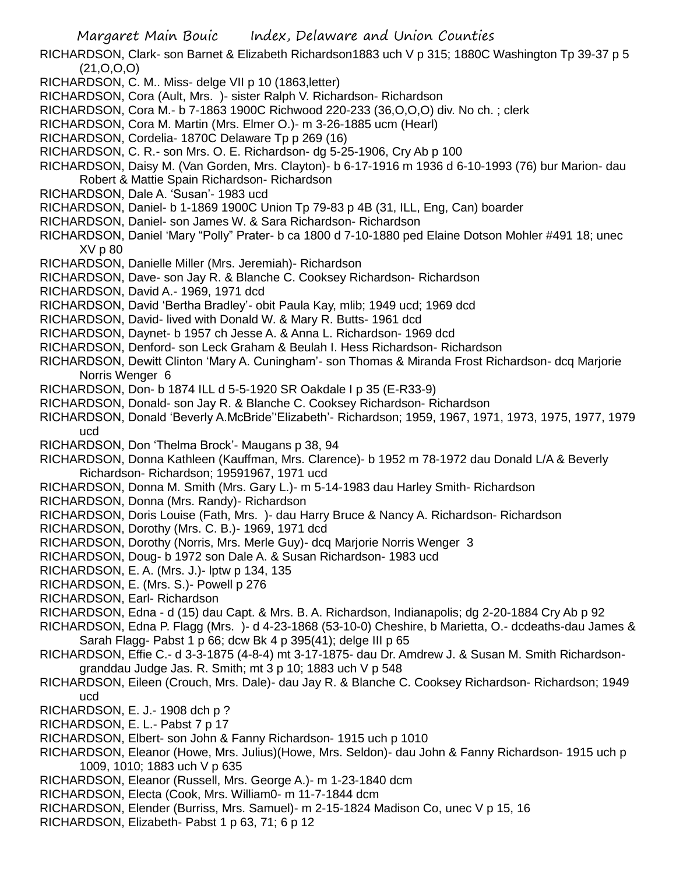Margaret Main Bouic Index, Delaware and Union Counties

- RICHARDSON, Clark- son Barnet & Elizabeth Richardson1883 uch V p 315; 1880C Washington Tp 39-37 p 5 (21,O,O,O)
- RICHARDSON, C. M.. Miss- delge VII p 10 (1863,letter)
- RICHARDSON, Cora (Ault, Mrs. )- sister Ralph V. Richardson- Richardson
- RICHARDSON, Cora M.- b 7-1863 1900C Richwood 220-233 (36,O,O,O) div. No ch. ; clerk
- RICHARDSON, Cora M. Martin (Mrs. Elmer O.)- m 3-26-1885 ucm (Hearl)
- RICHARDSON, Cordelia- 1870C Delaware Tp p 269 (16)
- RICHARDSON, C. R.- son Mrs. O. E. Richardson- dg 5-25-1906, Cry Ab p 100
- RICHARDSON, Daisy M. (Van Gorden, Mrs. Clayton)- b 6-17-1916 m 1936 d 6-10-1993 (76) bur Marion- dau Robert & Mattie Spain Richardson- Richardson
- RICHARDSON, Dale A. 'Susan'- 1983 ucd
- RICHARDSON, Daniel- b 1-1869 1900C Union Tp 79-83 p 4B (31, ILL, Eng, Can) boarder
- RICHARDSON, Daniel- son James W. & Sara Richardson- Richardson
- RICHARDSON, Daniel 'Mary "Polly" Prater- b ca 1800 d 7-10-1880 ped Elaine Dotson Mohler #491 18; unec XV p 80
- RICHARDSON, Danielle Miller (Mrs. Jeremiah)- Richardson
- RICHARDSON, Dave- son Jay R. & Blanche C. Cooksey Richardson- Richardson
- RICHARDSON, David A.- 1969, 1971 dcd
- RICHARDSON, David 'Bertha Bradley'- obit Paula Kay, mlib; 1949 ucd; 1969 dcd
- RICHARDSON, David- lived with Donald W. & Mary R. Butts- 1961 dcd
- RICHARDSON, Daynet- b 1957 ch Jesse A. & Anna L. Richardson- 1969 dcd
- RICHARDSON, Denford- son Leck Graham & Beulah I. Hess Richardson- Richardson
- RICHARDSON, Dewitt Clinton 'Mary A. Cuningham'- son Thomas & Miranda Frost Richardson- dcq Marjorie Norris Wenger 6
- RICHARDSON, Don- b 1874 ILL d 5-5-1920 SR Oakdale I p 35 (E-R33-9)
- RICHARDSON, Donald- son Jay R. & Blanche C. Cooksey Richardson- Richardson
- RICHARDSON, Donald 'Beverly A.McBride''Elizabeth'- Richardson; 1959, 1967, 1971, 1973, 1975, 1977, 1979 ucd
- RICHARDSON, Don 'Thelma Brock'- Maugans p 38, 94
- RICHARDSON, Donna Kathleen (Kauffman, Mrs. Clarence)- b 1952 m 78-1972 dau Donald L/A & Beverly Richardson- Richardson; 19591967, 1971 ucd
- RICHARDSON, Donna M. Smith (Mrs. Gary L.)- m 5-14-1983 dau Harley Smith- Richardson
- RICHARDSON, Donna (Mrs. Randy)- Richardson
- RICHARDSON, Doris Louise (Fath, Mrs. )- dau Harry Bruce & Nancy A. Richardson- Richardson
- RICHARDSON, Dorothy (Mrs. C. B.)- 1969, 1971 dcd
- RICHARDSON, Dorothy (Norris, Mrs. Merle Guy)- dcq Marjorie Norris Wenger 3
- RICHARDSON, Doug- b 1972 son Dale A. & Susan Richardson- 1983 ucd
- RICHARDSON, E. A. (Mrs. J.)- lptw p 134, 135
- RICHARDSON, E. (Mrs. S.)- Powell p 276
- RICHARDSON, Earl- Richardson
- RICHARDSON, Edna d (15) dau Capt. & Mrs. B. A. Richardson, Indianapolis; dg 2-20-1884 Cry Ab p 92
- RICHARDSON, Edna P. Flagg (Mrs. )- d 4-23-1868 (53-10-0) Cheshire, b Marietta, O.- dcdeaths-dau James & Sarah Flagg- Pabst 1 p 66; dcw Bk 4 p 395(41); delge III p 65
- RICHARDSON, Effie C.- d 3-3-1875 (4-8-4) mt 3-17-1875- dau Dr. Amdrew J. & Susan M. Smith Richardsongranddau Judge Jas. R. Smith; mt 3 p 10; 1883 uch V p 548
- RICHARDSON, Eileen (Crouch, Mrs. Dale)- dau Jay R. & Blanche C. Cooksey Richardson- Richardson; 1949 ucd
- RICHARDSON, E. J.- 1908 dch p ?
- RICHARDSON, E. L.- Pabst 7 p 17
- RICHARDSON, Elbert- son John & Fanny Richardson- 1915 uch p 1010
- RICHARDSON, Eleanor (Howe, Mrs. Julius)(Howe, Mrs. Seldon)- dau John & Fanny Richardson- 1915 uch p 1009, 1010; 1883 uch V p 635
- RICHARDSON, Eleanor (Russell, Mrs. George A.)- m 1-23-1840 dcm
- RICHARDSON, Electa (Cook, Mrs. William0- m 11-7-1844 dcm
- RICHARDSON, Elender (Burriss, Mrs. Samuel)- m 2-15-1824 Madison Co, unec V p 15, 16
- RICHARDSON, Elizabeth- Pabst 1 p 63, 71; 6 p 12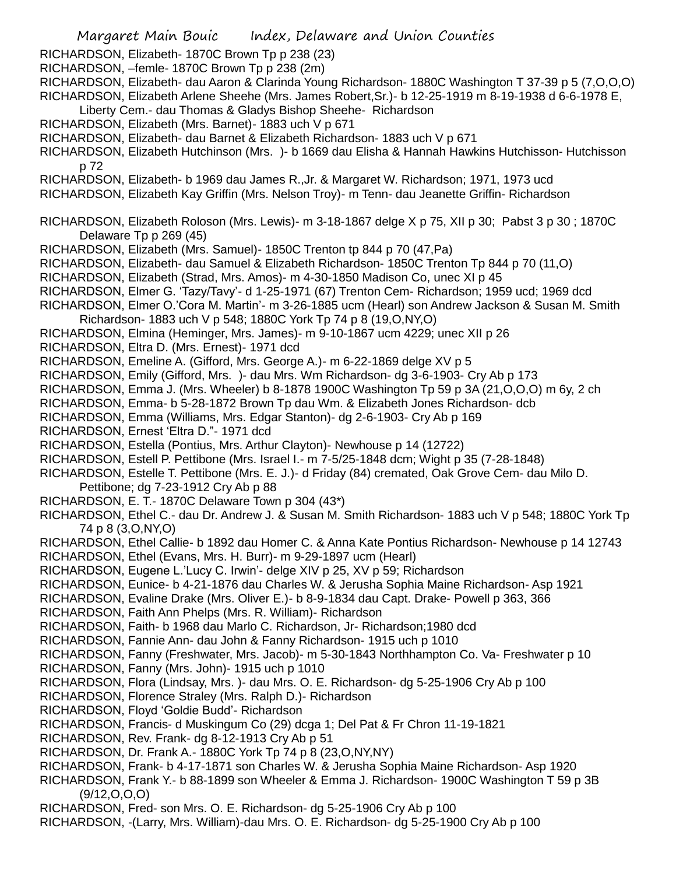Margaret Main Bouic Index, Delaware and Union Counties RICHARDSON, Elizabeth- 1870C Brown Tp p 238 (23) RICHARDSON, –femle- 1870C Brown Tp p 238 (2m) RICHARDSON, Elizabeth- dau Aaron & Clarinda Young Richardson- 1880C Washington T 37-39 p 5 (7,O,O,O) RICHARDSON, Elizabeth Arlene Sheehe (Mrs. James Robert,Sr.)- b 12-25-1919 m 8-19-1938 d 6-6-1978 E, Liberty Cem.- dau Thomas & Gladys Bishop Sheehe- Richardson RICHARDSON, Elizabeth (Mrs. Barnet)- 1883 uch V p 671 RICHARDSON, Elizabeth- dau Barnet & Elizabeth Richardson- 1883 uch V p 671 RICHARDSON, Elizabeth Hutchinson (Mrs. )- b 1669 dau Elisha & Hannah Hawkins Hutchisson- Hutchisson p 72 RICHARDSON, Elizabeth- b 1969 dau James R.,Jr. & Margaret W. Richardson; 1971, 1973 ucd RICHARDSON, Elizabeth Kay Griffin (Mrs. Nelson Troy)- m Tenn- dau Jeanette Griffin- Richardson RICHARDSON, Elizabeth Roloson (Mrs. Lewis)- m 3-18-1867 delge X p 75, XII p 30; Pabst 3 p 30 ; 1870C Delaware Tp p 269 (45) RICHARDSON, Elizabeth (Mrs. Samuel)- 1850C Trenton tp 844 p 70 (47,Pa) RICHARDSON, Elizabeth- dau Samuel & Elizabeth Richardson- 1850C Trenton Tp 844 p 70 (11,O) RICHARDSON, Elizabeth (Strad, Mrs. Amos)- m 4-30-1850 Madison Co, unec XI p 45 RICHARDSON, Elmer G. 'Tazy/Tavy'- d 1-25-1971 (67) Trenton Cem- Richardson; 1959 ucd; 1969 dcd RICHARDSON, Elmer O.'Cora M. Martin'- m 3-26-1885 ucm (Hearl) son Andrew Jackson & Susan M. Smith Richardson- 1883 uch V p 548; 1880C York Tp 74 p 8 (19,O,NY,O) RICHARDSON, Elmina (Heminger, Mrs. James)- m 9-10-1867 ucm 4229; unec XII p 26 RICHARDSON, Eltra D. (Mrs. Ernest)- 1971 dcd RICHARDSON, Emeline A. (Gifford, Mrs. George A.)- m 6-22-1869 delge XV p 5 RICHARDSON, Emily (Gifford, Mrs. )- dau Mrs. Wm Richardson- dg 3-6-1903- Cry Ab p 173 RICHARDSON, Emma J. (Mrs. Wheeler) b 8-1878 1900C Washington Tp 59 p 3A (21,O,O,O) m 6y, 2 ch RICHARDSON, Emma- b 5-28-1872 Brown Tp dau Wm. & Elizabeth Jones Richardson- dcb RICHARDSON, Emma (Williams, Mrs. Edgar Stanton)- dg 2-6-1903- Cry Ab p 169 RICHARDSON, Ernest 'Eltra D."- 1971 dcd RICHARDSON, Estella (Pontius, Mrs. Arthur Clayton)- Newhouse p 14 (12722) RICHARDSON, Estell P. Pettibone (Mrs. Israel I.- m 7-5/25-1848 dcm; Wight p 35 (7-28-1848) RICHARDSON, Estelle T. Pettibone (Mrs. E. J.)- d Friday (84) cremated, Oak Grove Cem- dau Milo D. Pettibone; dg 7-23-1912 Cry Ab p 88 RICHARDSON, E. T.- 1870C Delaware Town p 304 (43\*) RICHARDSON, Ethel C.- dau Dr. Andrew J. & Susan M. Smith Richardson- 1883 uch V p 548; 1880C York Tp 74 p 8 (3,O,NY,O) RICHARDSON, Ethel Callie- b 1892 dau Homer C. & Anna Kate Pontius Richardson- Newhouse p 14 12743 RICHARDSON, Ethel (Evans, Mrs. H. Burr)- m 9-29-1897 ucm (Hearl) RICHARDSON, Eugene L.'Lucy C. Irwin'- delge XIV p 25, XV p 59; Richardson RICHARDSON, Eunice- b 4-21-1876 dau Charles W. & Jerusha Sophia Maine Richardson- Asp 1921 RICHARDSON, Evaline Drake (Mrs. Oliver E.)- b 8-9-1834 dau Capt. Drake- Powell p 363, 366 RICHARDSON, Faith Ann Phelps (Mrs. R. William)- Richardson RICHARDSON, Faith- b 1968 dau Marlo C. Richardson, Jr- Richardson;1980 dcd RICHARDSON, Fannie Ann- dau John & Fanny Richardson- 1915 uch p 1010 RICHARDSON, Fanny (Freshwater, Mrs. Jacob)- m 5-30-1843 Northhampton Co. Va- Freshwater p 10 RICHARDSON, Fanny (Mrs. John)- 1915 uch p 1010 RICHARDSON, Flora (Lindsay, Mrs. )- dau Mrs. O. E. Richardson- dg 5-25-1906 Cry Ab p 100 RICHARDSON, Florence Straley (Mrs. Ralph D.)- Richardson RICHARDSON, Floyd 'Goldie Budd'- Richardson RICHARDSON, Francis- d Muskingum Co (29) dcga 1; Del Pat & Fr Chron 11-19-1821 RICHARDSON, Rev. Frank- dg 8-12-1913 Cry Ab p 51 RICHARDSON, Dr. Frank A.- 1880C York Tp 74 p 8 (23,O,NY,NY) RICHARDSON, Frank- b 4-17-1871 son Charles W. & Jerusha Sophia Maine Richardson- Asp 1920 RICHARDSON, Frank Y.- b 88-1899 son Wheeler & Emma J. Richardson- 1900C Washington T 59 p 3B (9/12,O,O,O) RICHARDSON, Fred- son Mrs. O. E. Richardson- dg 5-25-1906 Cry Ab p 100 RICHARDSON, -(Larry, Mrs. William)-dau Mrs. O. E. Richardson- dg 5-25-1900 Cry Ab p 100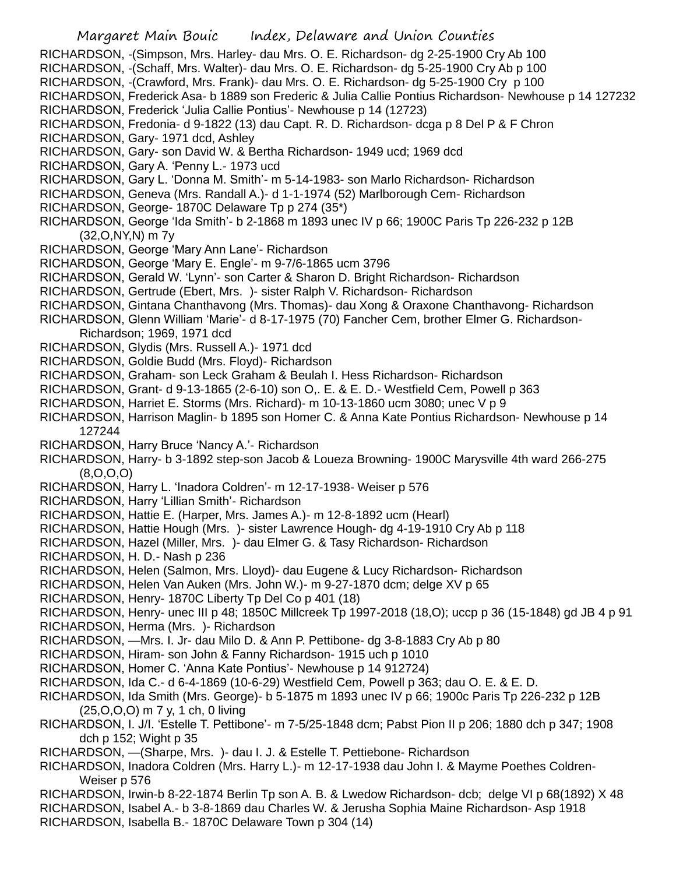Margaret Main Bouic Index, Delaware and Union Counties RICHARDSON, -(Simpson, Mrs. Harley- dau Mrs. O. E. Richardson- dg 2-25-1900 Cry Ab 100 RICHARDSON, -(Schaff, Mrs. Walter)- dau Mrs. O. E. Richardson- dg 5-25-1900 Cry Ab p 100 RICHARDSON, -(Crawford, Mrs. Frank)- dau Mrs. O. E. Richardson- dg 5-25-1900 Cry p 100 RICHARDSON, Frederick Asa- b 1889 son Frederic & Julia Callie Pontius Richardson- Newhouse p 14 127232 RICHARDSON, Frederick 'Julia Callie Pontius'- Newhouse p 14 (12723) RICHARDSON, Fredonia- d 9-1822 (13) dau Capt. R. D. Richardson- dcga p 8 Del P & F Chron RICHARDSON, Gary- 1971 dcd, Ashley RICHARDSON, Gary- son David W. & Bertha Richardson- 1949 ucd; 1969 dcd RICHARDSON, Gary A. 'Penny L.- 1973 ucd RICHARDSON, Gary L. 'Donna M. Smith'- m 5-14-1983- son Marlo Richardson- Richardson RICHARDSON, Geneva (Mrs. Randall A.)- d 1-1-1974 (52) Marlborough Cem- Richardson RICHARDSON, George- 1870C Delaware Tp p 274 (35\*) RICHARDSON, George 'Ida Smith'- b 2-1868 m 1893 unec IV p 66; 1900C Paris Tp 226-232 p 12B (32,O,NY,N) m 7y RICHARDSON, George 'Mary Ann Lane'- Richardson RICHARDSON, George 'Mary E. Engle'- m 9-7/6-1865 ucm 3796 RICHARDSON, Gerald W. 'Lynn'- son Carter & Sharon D. Bright Richardson- Richardson RICHARDSON, Gertrude (Ebert, Mrs. )- sister Ralph V. Richardson- Richardson RICHARDSON, Gintana Chanthavong (Mrs. Thomas)- dau Xong & Oraxone Chanthavong- Richardson RICHARDSON, Glenn William 'Marie'- d 8-17-1975 (70) Fancher Cem, brother Elmer G. Richardson-Richardson; 1969, 1971 dcd RICHARDSON, Glydis (Mrs. Russell A.)- 1971 dcd RICHARDSON, Goldie Budd (Mrs. Floyd)- Richardson RICHARDSON, Graham- son Leck Graham & Beulah I. Hess Richardson- Richardson RICHARDSON, Grant- d 9-13-1865 (2-6-10) son O,. E. & E. D.- Westfield Cem, Powell p 363 RICHARDSON, Harriet E. Storms (Mrs. Richard)- m 10-13-1860 ucm 3080; unec V p 9 RICHARDSON, Harrison Maglin- b 1895 son Homer C. & Anna Kate Pontius Richardson- Newhouse p 14 127244 RICHARDSON, Harry Bruce 'Nancy A.'- Richardson RICHARDSON, Harry- b 3-1892 step-son Jacob & Loueza Browning- 1900C Marysville 4th ward 266-275 (8,O,O,O) RICHARDSON, Harry L. 'Inadora Coldren'- m 12-17-1938- Weiser p 576 RICHARDSON, Harry 'Lillian Smith'- Richardson RICHARDSON, Hattie E. (Harper, Mrs. James A.)- m 12-8-1892 ucm (Hearl) RICHARDSON, Hattie Hough (Mrs. )- sister Lawrence Hough- dg 4-19-1910 Cry Ab p 118 RICHARDSON, Hazel (Miller, Mrs. )- dau Elmer G. & Tasy Richardson- Richardson RICHARDSON, H. D.- Nash p 236 RICHARDSON, Helen (Salmon, Mrs. Lloyd)- dau Eugene & Lucy Richardson- Richardson RICHARDSON, Helen Van Auken (Mrs. John W.)- m 9-27-1870 dcm; delge XV p 65 RICHARDSON, Henry- 1870C Liberty Tp Del Co p 401 (18) RICHARDSON, Henry- unec III p 48; 1850C Millcreek Tp 1997-2018 (18,O); uccp p 36 (15-1848) gd JB 4 p 91 RICHARDSON, Herma (Mrs. )- Richardson RICHARDSON, —Mrs. I. Jr- dau Milo D. & Ann P. Pettibone- dg 3-8-1883 Cry Ab p 80 RICHARDSON, Hiram- son John & Fanny Richardson- 1915 uch p 1010 RICHARDSON, Homer C. 'Anna Kate Pontius'- Newhouse p 14 912724) RICHARDSON, Ida C.- d 6-4-1869 (10-6-29) Westfield Cem, Powell p 363; dau O. E. & E. D. RICHARDSON, Ida Smith (Mrs. George)- b 5-1875 m 1893 unec IV p 66; 1900c Paris Tp 226-232 p 12B (25,O,O,O) m 7 y, 1 ch, 0 living RICHARDSON, I. J/I. 'Estelle T. Pettibone'- m 7-5/25-1848 dcm; Pabst Pion II p 206; 1880 dch p 347; 1908 dch p 152; Wight p 35 RICHARDSON, —(Sharpe, Mrs. )- dau I. J. & Estelle T. Pettiebone- Richardson RICHARDSON, Inadora Coldren (Mrs. Harry L.)- m 12-17-1938 dau John I. & Mayme Poethes Coldren-Weiser p 576 RICHARDSON, Irwin-b 8-22-1874 Berlin Tp son A. B. & Lwedow Richardson- dcb; delge VI p 68(1892) X 48 RICHARDSON, Isabel A.- b 3-8-1869 dau Charles W. & Jerusha Sophia Maine Richardson- Asp 1918 RICHARDSON, Isabella B.- 1870C Delaware Town p 304 (14)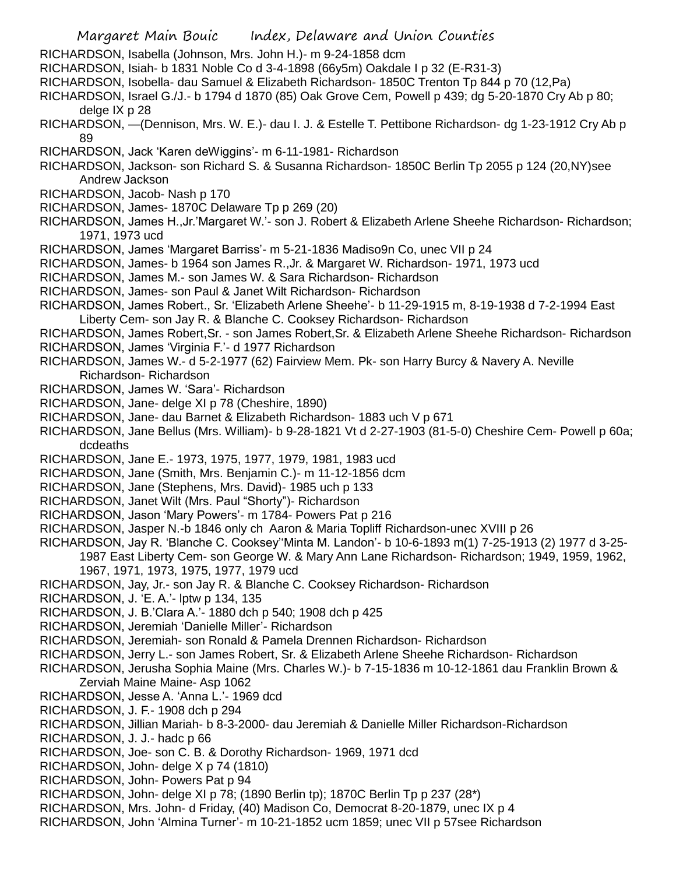- RICHARDSON, Isabella (Johnson, Mrs. John H.)- m 9-24-1858 dcm
- RICHARDSON, Isiah- b 1831 Noble Co d 3-4-1898 (66y5m) Oakdale I p 32 (E-R31-3)
- RICHARDSON, Isobella- dau Samuel & Elizabeth Richardson- 1850C Trenton Tp 844 p 70 (12,Pa)
- RICHARDSON, Israel G./J.- b 1794 d 1870 (85) Oak Grove Cem, Powell p 439; dg 5-20-1870 Cry Ab p 80; delge IX p 28
- RICHARDSON, —(Dennison, Mrs. W. E.)- dau I. J. & Estelle T. Pettibone Richardson- dg 1-23-1912 Cry Ab p 89
- RICHARDSON, Jack 'Karen deWiggins'- m 6-11-1981- Richardson
- RICHARDSON, Jackson- son Richard S. & Susanna Richardson- 1850C Berlin Tp 2055 p 124 (20,NY)see Andrew Jackson
- RICHARDSON, Jacob- Nash p 170
- RICHARDSON, James- 1870C Delaware Tp p 269 (20)
- RICHARDSON, James H.,Jr.'Margaret W.'- son J. Robert & Elizabeth Arlene Sheehe Richardson- Richardson; 1971, 1973 ucd
- RICHARDSON, James 'Margaret Barriss'- m 5-21-1836 Madiso9n Co, unec VII p 24
- RICHARDSON, James- b 1964 son James R.,Jr. & Margaret W. Richardson- 1971, 1973 ucd
- RICHARDSON, James M.- son James W. & Sara Richardson- Richardson
- RICHARDSON, James- son Paul & Janet Wilt Richardson- Richardson
- RICHARDSON, James Robert., Sr. 'Elizabeth Arlene Sheehe'- b 11-29-1915 m, 8-19-1938 d 7-2-1994 East
- Liberty Cem- son Jay R. & Blanche C. Cooksey Richardson- Richardson
- RICHARDSON, James Robert,Sr. son James Robert,Sr. & Elizabeth Arlene Sheehe Richardson- Richardson
- RICHARDSON, James 'Virginia F.'- d 1977 Richardson
- RICHARDSON, James W.- d 5-2-1977 (62) Fairview Mem. Pk- son Harry Burcy & Navery A. Neville
- Richardson- Richardson
- RICHARDSON, James W. 'Sara'- Richardson
- RICHARDSON, Jane- delge XI p 78 (Cheshire, 1890)
- RICHARDSON, Jane- dau Barnet & Elizabeth Richardson- 1883 uch V p 671
- RICHARDSON, Jane Bellus (Mrs. William)- b 9-28-1821 Vt d 2-27-1903 (81-5-0) Cheshire Cem- Powell p 60a; dcdeaths
- RICHARDSON, Jane E.- 1973, 1975, 1977, 1979, 1981, 1983 ucd
- RICHARDSON, Jane (Smith, Mrs. Benjamin C.)- m 11-12-1856 dcm
- RICHARDSON, Jane (Stephens, Mrs. David)- 1985 uch p 133
- RICHARDSON, Janet Wilt (Mrs. Paul "Shorty")- Richardson
- RICHARDSON, Jason 'Mary Powers'- m 1784- Powers Pat p 216
- RICHARDSON, Jasper N.-b 1846 only ch Aaron & Maria Topliff Richardson-unec XVIII p 26
- RICHARDSON, Jay R. 'Blanche C. Cooksey''Minta M. Landon'- b 10-6-1893 m(1) 7-25-1913 (2) 1977 d 3-25- 1987 East Liberty Cem- son George W. & Mary Ann Lane Richardson- Richardson; 1949, 1959, 1962, 1967, 1971, 1973, 1975, 1977, 1979 ucd
- RICHARDSON, Jay, Jr.- son Jay R. & Blanche C. Cooksey Richardson- Richardson
- RICHARDSON, J. 'E. A.'- lptw p 134, 135
- RICHARDSON, J. B.'Clara A.'- 1880 dch p 540; 1908 dch p 425
- RICHARDSON, Jeremiah 'Danielle Miller'- Richardson
- RICHARDSON, Jeremiah- son Ronald & Pamela Drennen Richardson- Richardson
- RICHARDSON, Jerry L.- son James Robert, Sr. & Elizabeth Arlene Sheehe Richardson- Richardson
- RICHARDSON, Jerusha Sophia Maine (Mrs. Charles W.)- b 7-15-1836 m 10-12-1861 dau Franklin Brown & Zerviah Maine Maine- Asp 1062
- RICHARDSON, Jesse A. 'Anna L.'- 1969 dcd
- RICHARDSON, J. F.- 1908 dch p 294
- RICHARDSON, Jillian Mariah- b 8-3-2000- dau Jeremiah & Danielle Miller Richardson-Richardson
- RICHARDSON, J. J.- hadc p 66
- RICHARDSON, Joe- son C. B. & Dorothy Richardson- 1969, 1971 dcd
- RICHARDSON, John- delge X p 74 (1810)
- RICHARDSON, John- Powers Pat p 94
- RICHARDSON, John- delge XI p 78; (1890 Berlin tp); 1870C Berlin Tp p 237 (28\*)
- RICHARDSON, Mrs. John- d Friday, (40) Madison Co, Democrat 8-20-1879, unec IX p 4
- RICHARDSON, John 'Almina Turner'- m 10-21-1852 ucm 1859; unec VII p 57see Richardson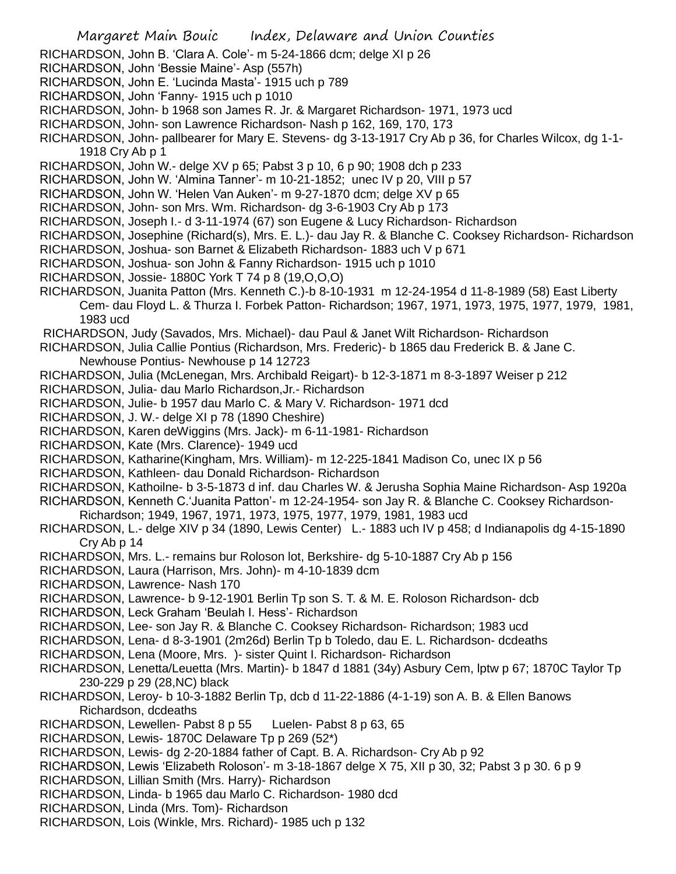- Margaret Main Bouic Index, Delaware and Union Counties
- RICHARDSON, John B. 'Clara A. Cole'- m 5-24-1866 dcm; delge XI p 26
- RICHARDSON, John 'Bessie Maine'- Asp (557h)
- RICHARDSON, John E. 'Lucinda Masta'- 1915 uch p 789
- RICHARDSON, John 'Fanny- 1915 uch p 1010
- RICHARDSON, John- b 1968 son James R. Jr. & Margaret Richardson- 1971, 1973 ucd
- RICHARDSON, John- son Lawrence Richardson- Nash p 162, 169, 170, 173
- RICHARDSON, John- pallbearer for Mary E. Stevens- dg 3-13-1917 Cry Ab p 36, for Charles Wilcox, dg 1-1- 1918 Cry Ab p 1
- RICHARDSON, John W.- delge XV p 65; Pabst 3 p 10, 6 p 90; 1908 dch p 233
- RICHARDSON, John W. 'Almina Tanner'- m 10-21-1852; unec IV p 20, VIII p 57
- RICHARDSON, John W. 'Helen Van Auken'- m 9-27-1870 dcm; delge XV p 65
- RICHARDSON, John- son Mrs. Wm. Richardson- dg 3-6-1903 Cry Ab p 173
- RICHARDSON, Joseph I.- d 3-11-1974 (67) son Eugene & Lucy Richardson- Richardson
- RICHARDSON, Josephine (Richard(s), Mrs. E. L.)- dau Jay R. & Blanche C. Cooksey Richardson- Richardson
- RICHARDSON, Joshua- son Barnet & Elizabeth Richardson- 1883 uch V p 671
- RICHARDSON, Joshua- son John & Fanny Richardson- 1915 uch p 1010
- RICHARDSON, Jossie- 1880C York T 74 p 8 (19,O,O,O)
- RICHARDSON, Juanita Patton (Mrs. Kenneth C.)-b 8-10-1931 m 12-24-1954 d 11-8-1989 (58) East Liberty Cem- dau Floyd L. & Thurza I. Forbek Patton- Richardson; 1967, 1971, 1973, 1975, 1977, 1979, 1981, 1983 ucd
- RICHARDSON, Judy (Savados, Mrs. Michael)- dau Paul & Janet Wilt Richardson- Richardson
- RICHARDSON, Julia Callie Pontius (Richardson, Mrs. Frederic)- b 1865 dau Frederick B. & Jane C. Newhouse Pontius- Newhouse p 14 12723
- RICHARDSON, Julia (McLenegan, Mrs. Archibald Reigart)- b 12-3-1871 m 8-3-1897 Weiser p 212
- RICHARDSON, Julia- dau Marlo Richardson,Jr.- Richardson
- RICHARDSON, Julie- b 1957 dau Marlo C. & Mary V. Richardson- 1971 dcd
- RICHARDSON, J. W.- delge XI p 78 (1890 Cheshire)
- RICHARDSON, Karen deWiggins (Mrs. Jack)- m 6-11-1981- Richardson
- RICHARDSON, Kate (Mrs. Clarence)- 1949 ucd
- RICHARDSON, Katharine(Kingham, Mrs. William)- m 12-225-1841 Madison Co, unec IX p 56
- RICHARDSON, Kathleen- dau Donald Richardson- Richardson
- RICHARDSON, Kathoilne- b 3-5-1873 d inf. dau Charles W. & Jerusha Sophia Maine Richardson- Asp 1920a
- RICHARDSON, Kenneth C.'Juanita Patton'- m 12-24-1954- son Jay R. & Blanche C. Cooksey Richardson-
- Richardson; 1949, 1967, 1971, 1973, 1975, 1977, 1979, 1981, 1983 ucd
- RICHARDSON, L.- delge XIV p 34 (1890, Lewis Center) L.- 1883 uch IV p 458; d Indianapolis dg 4-15-1890 Cry Ab p 14
- RICHARDSON, Mrs. L.- remains bur Roloson lot, Berkshire- dg 5-10-1887 Cry Ab p 156
- RICHARDSON, Laura (Harrison, Mrs. John)- m 4-10-1839 dcm
- RICHARDSON, Lawrence- Nash 170
- RICHARDSON, Lawrence- b 9-12-1901 Berlin Tp son S. T. & M. E. Roloson Richardson- dcb
- RICHARDSON, Leck Graham 'Beulah I. Hess'- Richardson
- RICHARDSON, Lee- son Jay R. & Blanche C. Cooksey Richardson- Richardson; 1983 ucd
- RICHARDSON, Lena- d 8-3-1901 (2m26d) Berlin Tp b Toledo, dau E. L. Richardson- dcdeaths
- RICHARDSON, Lena (Moore, Mrs. )- sister Quint I. Richardson- Richardson
- RICHARDSON, Lenetta/Leuetta (Mrs. Martin)- b 1847 d 1881 (34y) Asbury Cem, lptw p 67; 1870C Taylor Tp 230-229 p 29 (28,NC) black
- RICHARDSON, Leroy- b 10-3-1882 Berlin Tp, dcb d 11-22-1886 (4-1-19) son A. B. & Ellen Banows Richardson, dcdeaths
- RICHARDSON, Lewellen- Pabst 8 p 55 Luelen- Pabst 8 p 63, 65
- RICHARDSON, Lewis- 1870C Delaware Tp p 269 (52\*)
- RICHARDSON, Lewis- dg 2-20-1884 father of Capt. B. A. Richardson- Cry Ab p 92
- RICHARDSON, Lewis 'Elizabeth Roloson'- m 3-18-1867 delge X 75, XII p 30, 32; Pabst 3 p 30. 6 p 9
- RICHARDSON, Lillian Smith (Mrs. Harry)- Richardson
- RICHARDSON, Linda- b 1965 dau Marlo C. Richardson- 1980 dcd
- RICHARDSON, Linda (Mrs. Tom)- Richardson
- RICHARDSON, Lois (Winkle, Mrs. Richard)- 1985 uch p 132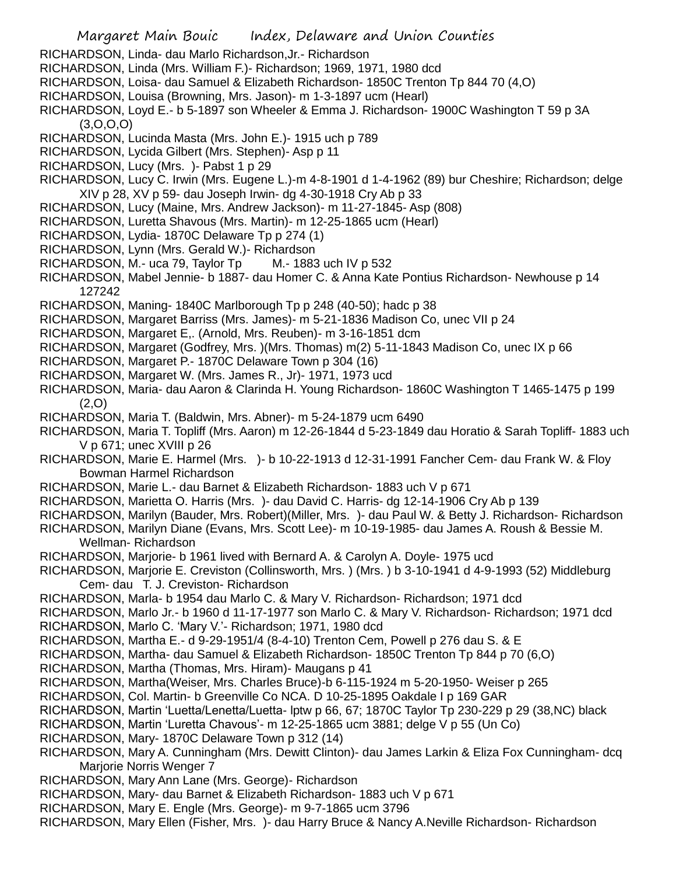- RICHARDSON, Linda- dau Marlo Richardson,Jr.- Richardson
- RICHARDSON, Linda (Mrs. William F.)- Richardson; 1969, 1971, 1980 dcd
- RICHARDSON, Loisa- dau Samuel & Elizabeth Richardson- 1850C Trenton Tp 844 70 (4,O)
- RICHARDSON, Louisa (Browning, Mrs. Jason)- m 1-3-1897 ucm (Hearl)
- RICHARDSON, Loyd E.- b 5-1897 son Wheeler & Emma J. Richardson- 1900C Washington T 59 p 3A (3,O,O,O)
- RICHARDSON, Lucinda Masta (Mrs. John E.)- 1915 uch p 789
- RICHARDSON, Lycida Gilbert (Mrs. Stephen)- Asp p 11
- RICHARDSON, Lucy (Mrs. )- Pabst 1 p 29
- RICHARDSON, Lucy C. Irwin (Mrs. Eugene L.)-m 4-8-1901 d 1-4-1962 (89) bur Cheshire; Richardson; delge XIV p 28, XV p 59- dau Joseph Irwin- dg 4-30-1918 Cry Ab p 33
- RICHARDSON, Lucy (Maine, Mrs. Andrew Jackson)- m 11-27-1845- Asp (808)
- RICHARDSON, Luretta Shavous (Mrs. Martin)- m 12-25-1865 ucm (Hearl)
- RICHARDSON, Lydia- 1870C Delaware Tp p 274 (1)
- RICHARDSON, Lynn (Mrs. Gerald W.)- Richardson
- RICHARDSON, M.- uca 79, Taylor Tp M.- 1883 uch IV p 532
- RICHARDSON, Mabel Jennie- b 1887- dau Homer C. & Anna Kate Pontius Richardson- Newhouse p 14 127242
- RICHARDSON, Maning- 1840C Marlborough Tp p 248 (40-50); hadc p 38
- RICHARDSON, Margaret Barriss (Mrs. James)- m 5-21-1836 Madison Co, unec VII p 24
- RICHARDSON, Margaret E,. (Arnold, Mrs. Reuben)- m 3-16-1851 dcm
- RICHARDSON, Margaret (Godfrey, Mrs. )(Mrs. Thomas) m(2) 5-11-1843 Madison Co, unec IX p 66
- RICHARDSON, Margaret P.- 1870C Delaware Town p 304 (16)
- RICHARDSON, Margaret W. (Mrs. James R., Jr)- 1971, 1973 ucd
- RICHARDSON, Maria- dau Aaron & Clarinda H. Young Richardson- 1860C Washington T 1465-1475 p 199 (2,O)
- RICHARDSON, Maria T. (Baldwin, Mrs. Abner)- m 5-24-1879 ucm 6490
- RICHARDSON, Maria T. Topliff (Mrs. Aaron) m 12-26-1844 d 5-23-1849 dau Horatio & Sarah Topliff- 1883 uch V p 671; unec XVIII p 26
- RICHARDSON, Marie E. Harmel (Mrs. )- b 10-22-1913 d 12-31-1991 Fancher Cem- dau Frank W. & Floy Bowman Harmel Richardson
- RICHARDSON, Marie L.- dau Barnet & Elizabeth Richardson- 1883 uch V p 671
- RICHARDSON, Marietta O. Harris (Mrs. )- dau David C. Harris- dg 12-14-1906 Cry Ab p 139
- RICHARDSON, Marilyn (Bauder, Mrs. Robert)(Miller, Mrs. )- dau Paul W. & Betty J. Richardson- Richardson
- RICHARDSON, Marilyn Diane (Evans, Mrs. Scott Lee)- m 10-19-1985- dau James A. Roush & Bessie M. Wellman- Richardson
- RICHARDSON, Marjorie- b 1961 lived with Bernard A. & Carolyn A. Doyle- 1975 ucd
- RICHARDSON, Marjorie E. Creviston (Collinsworth, Mrs. ) (Mrs. ) b 3-10-1941 d 4-9-1993 (52) Middleburg Cem- dau T. J. Creviston- Richardson
- RICHARDSON, Marla- b 1954 dau Marlo C. & Mary V. Richardson- Richardson; 1971 dcd
- RICHARDSON, Marlo Jr.- b 1960 d 11-17-1977 son Marlo C. & Mary V. Richardson- Richardson; 1971 dcd
- RICHARDSON, Marlo C. 'Mary V.'- Richardson; 1971, 1980 dcd
- RICHARDSON, Martha E.- d 9-29-1951/4 (8-4-10) Trenton Cem, Powell p 276 dau S. & E
- RICHARDSON, Martha- dau Samuel & Elizabeth Richardson- 1850C Trenton Tp 844 p 70 (6,O)
- RICHARDSON, Martha (Thomas, Mrs. Hiram)- Maugans p 41
- RICHARDSON, Martha(Weiser, Mrs. Charles Bruce)-b 6-115-1924 m 5-20-1950- Weiser p 265
- RICHARDSON, Col. Martin- b Greenville Co NCA. D 10-25-1895 Oakdale I p 169 GAR
- RICHARDSON, Martin 'Luetta/Lenetta/Luetta- lptw p 66, 67; 1870C Taylor Tp 230-229 p 29 (38,NC) black
- RICHARDSON, Martin 'Luretta Chavous'- m 12-25-1865 ucm 3881; delge V p 55 (Un Co)
- RICHARDSON, Mary- 1870C Delaware Town p 312 (14)
- RICHARDSON, Mary A. Cunningham (Mrs. Dewitt Clinton)- dau James Larkin & Eliza Fox Cunningham- dcq Mariorie Norris Wenger 7
- RICHARDSON, Mary Ann Lane (Mrs. George)- Richardson
- RICHARDSON, Mary- dau Barnet & Elizabeth Richardson- 1883 uch V p 671
- RICHARDSON, Mary E. Engle (Mrs. George)- m 9-7-1865 ucm 3796
- RICHARDSON, Mary Ellen (Fisher, Mrs. )- dau Harry Bruce & Nancy A.Neville Richardson- Richardson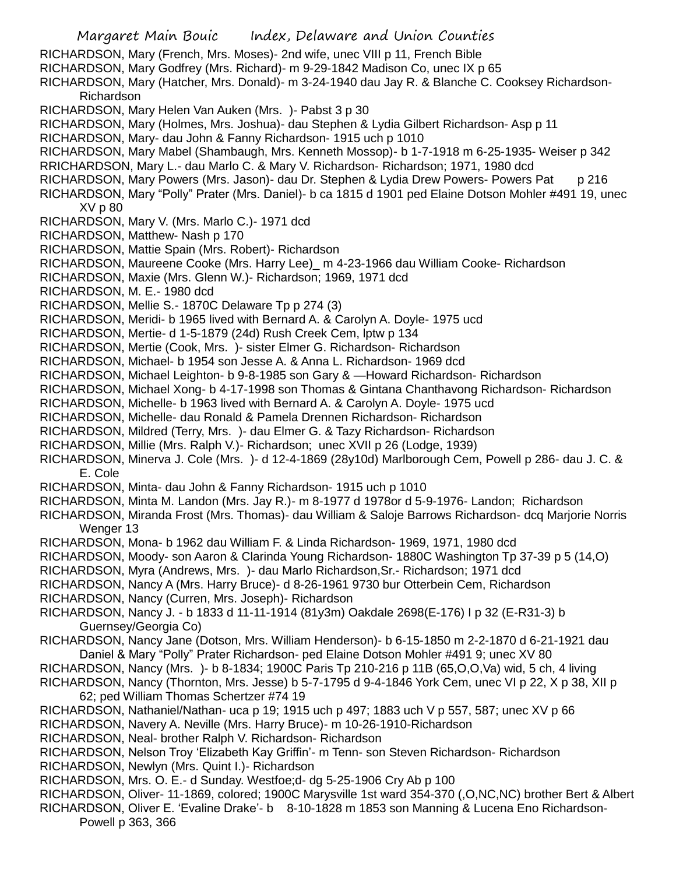Margaret Main Bouic Index, Delaware and Union Counties RICHARDSON, Mary (French, Mrs. Moses)- 2nd wife, unec VIII p 11, French Bible RICHARDSON, Mary Godfrey (Mrs. Richard)- m 9-29-1842 Madison Co, unec IX p 65 RICHARDSON, Mary (Hatcher, Mrs. Donald)- m 3-24-1940 dau Jay R. & Blanche C. Cooksey Richardson-Richardson RICHARDSON, Mary Helen Van Auken (Mrs. )- Pabst 3 p 30 RICHARDSON, Mary (Holmes, Mrs. Joshua)- dau Stephen & Lydia Gilbert Richardson- Asp p 11 RICHARDSON, Mary- dau John & Fanny Richardson- 1915 uch p 1010 RICHARDSON, Mary Mabel (Shambaugh, Mrs. Kenneth Mossop)- b 1-7-1918 m 6-25-1935- Weiser p 342 RRICHARDSON, Mary L.- dau Marlo C. & Mary V. Richardson- Richardson; 1971, 1980 dcd RICHARDSON, Mary Powers (Mrs. Jason)- dau Dr. Stephen & Lydia Drew Powers- Powers Pat p 216 RICHARDSON, Mary "Polly" Prater (Mrs. Daniel)- b ca 1815 d 1901 ped Elaine Dotson Mohler #491 19, unec XV p 80 RICHARDSON, Mary V. (Mrs. Marlo C.)- 1971 dcd RICHARDSON, Matthew- Nash p 170 RICHARDSON, Mattie Spain (Mrs. Robert)- Richardson RICHARDSON, Maureene Cooke (Mrs. Harry Lee)\_ m 4-23-1966 dau William Cooke- Richardson RICHARDSON, Maxie (Mrs. Glenn W.)- Richardson; 1969, 1971 dcd RICHARDSON, M. E.- 1980 dcd RICHARDSON, Mellie S.- 1870C Delaware Tp p 274 (3) RICHARDSON, Meridi- b 1965 lived with Bernard A. & Carolyn A. Doyle- 1975 ucd RICHARDSON, Mertie- d 1-5-1879 (24d) Rush Creek Cem, lptw p 134 RICHARDSON, Mertie (Cook, Mrs. )- sister Elmer G. Richardson- Richardson RICHARDSON, Michael- b 1954 son Jesse A. & Anna L. Richardson- 1969 dcd RICHARDSON, Michael Leighton- b 9-8-1985 son Gary & —Howard Richardson- Richardson RICHARDSON, Michael Xong- b 4-17-1998 son Thomas & Gintana Chanthavong Richardson- Richardson RICHARDSON, Michelle- b 1963 lived with Bernard A. & Carolyn A. Doyle- 1975 ucd RICHARDSON, Michelle- dau Ronald & Pamela Drennen Richardson- Richardson RICHARDSON, Mildred (Terry, Mrs. )- dau Elmer G. & Tazy Richardson- Richardson RICHARDSON, Millie (Mrs. Ralph V.)- Richardson; unec XVII p 26 (Lodge, 1939) RICHARDSON, Minerva J. Cole (Mrs. )- d 12-4-1869 (28y10d) Marlborough Cem, Powell p 286- dau J. C. & E. Cole RICHARDSON, Minta- dau John & Fanny Richardson- 1915 uch p 1010 RICHARDSON, Minta M. Landon (Mrs. Jay R.)- m 8-1977 d 1978or d 5-9-1976- Landon; Richardson RICHARDSON, Miranda Frost (Mrs. Thomas)- dau William & Saloje Barrows Richardson- dcq Marjorie Norris Wenger 13 RICHARDSON, Mona- b 1962 dau William F. & Linda Richardson- 1969, 1971, 1980 dcd RICHARDSON, Moody- son Aaron & Clarinda Young Richardson- 1880C Washington Tp 37-39 p 5 (14,O) RICHARDSON, Myra (Andrews, Mrs. )- dau Marlo Richardson,Sr.- Richardson; 1971 dcd RICHARDSON, Nancy A (Mrs. Harry Bruce)- d 8-26-1961 9730 bur Otterbein Cem, Richardson RICHARDSON, Nancy (Curren, Mrs. Joseph)- Richardson RICHARDSON, Nancy J. - b 1833 d 11-11-1914 (81y3m) Oakdale 2698(E-176) I p 32 (E-R31-3) b Guernsey/Georgia Co) RICHARDSON, Nancy Jane (Dotson, Mrs. William Henderson)- b 6-15-1850 m 2-2-1870 d 6-21-1921 dau Daniel & Mary "Polly" Prater Richardson- ped Elaine Dotson Mohler #491 9; unec XV 80 RICHARDSON, Nancy (Mrs. )- b 8-1834; 1900C Paris Tp 210-216 p 11B (65,O,O,Va) wid, 5 ch, 4 living RICHARDSON, Nancy (Thornton, Mrs. Jesse) b 5-7-1795 d 9-4-1846 York Cem, unec VI p 22, X p 38, XII p 62; ped William Thomas Schertzer #74 19 RICHARDSON, Nathaniel/Nathan- uca p 19; 1915 uch p 497; 1883 uch V p 557, 587; unec XV p 66 RICHARDSON, Navery A. Neville (Mrs. Harry Bruce)- m 10-26-1910-Richardson RICHARDSON, Neal- brother Ralph V. Richardson- Richardson RICHARDSON, Nelson Troy 'Elizabeth Kay Griffin'- m Tenn- son Steven Richardson- Richardson RICHARDSON, Newlyn (Mrs. Quint I.)- Richardson RICHARDSON, Mrs. O. E.- d Sunday. Westfoe;d- dg 5-25-1906 Cry Ab p 100 RICHARDSON, Oliver- 11-1869, colored; 1900C Marysville 1st ward 354-370 (,O,NC,NC) brother Bert & Albert RICHARDSON, Oliver E. 'Evaline Drake'- b 8-10-1828 m 1853 son Manning & Lucena Eno Richardson-Powell p 363, 366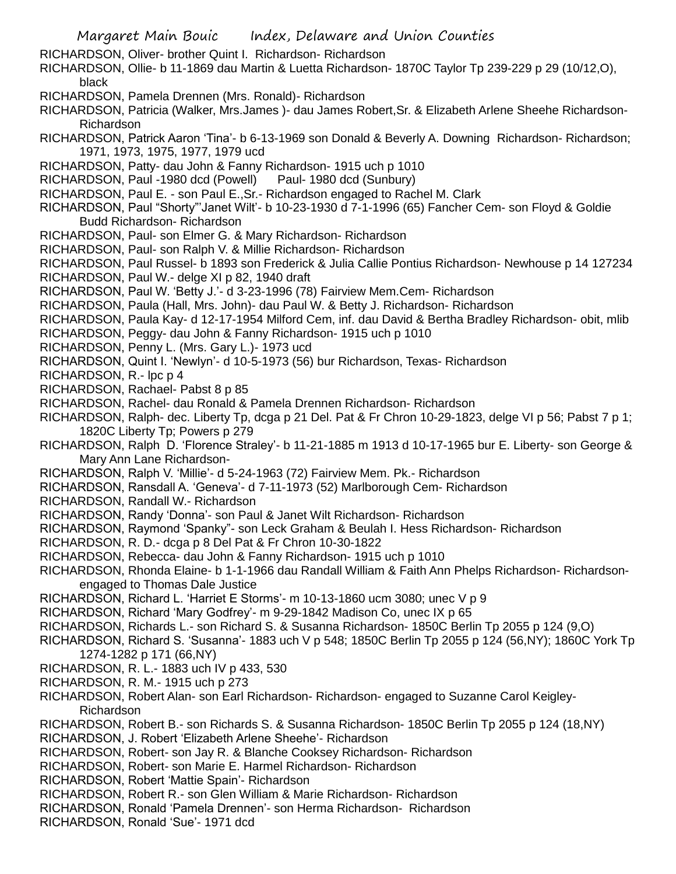Margaret Main Bouic Index, Delaware and Union Counties RICHARDSON, Oliver- brother Quint I. Richardson- Richardson RICHARDSON, Ollie- b 11-1869 dau Martin & Luetta Richardson- 1870C Taylor Tp 239-229 p 29 (10/12,O), black RICHARDSON, Pamela Drennen (Mrs. Ronald)- Richardson RICHARDSON, Patricia (Walker, Mrs.James )- dau James Robert,Sr. & Elizabeth Arlene Sheehe Richardson-Richardson RICHARDSON, Patrick Aaron 'Tina'- b 6-13-1969 son Donald & Beverly A. Downing Richardson- Richardson; 1971, 1973, 1975, 1977, 1979 ucd RICHARDSON, Patty- dau John & Fanny Richardson- 1915 uch p 1010 RICHARDSON, Paul -1980 dcd (Powell) Paul- 1980 dcd (Sunbury) RICHARDSON, Paul E. - son Paul E.,Sr.- Richardson engaged to Rachel M. Clark RICHARDSON, Paul "Shorty"'Janet Wilt'- b 10-23-1930 d 7-1-1996 (65) Fancher Cem- son Floyd & Goldie Budd Richardson- Richardson RICHARDSON, Paul- son Elmer G. & Mary Richardson- Richardson RICHARDSON, Paul- son Ralph V. & Millie Richardson- Richardson RICHARDSON, Paul Russel- b 1893 son Frederick & Julia Callie Pontius Richardson- Newhouse p 14 127234 RICHARDSON, Paul W.- delge XI p 82, 1940 draft RICHARDSON, Paul W. 'Betty J.'- d 3-23-1996 (78) Fairview Mem.Cem- Richardson RICHARDSON, Paula (Hall, Mrs. John)- dau Paul W. & Betty J. Richardson- Richardson RICHARDSON, Paula Kay- d 12-17-1954 Milford Cem, inf. dau David & Bertha Bradley Richardson- obit, mlib RICHARDSON, Peggy- dau John & Fanny Richardson- 1915 uch p 1010 RICHARDSON, Penny L. (Mrs. Gary L.)- 1973 ucd RICHARDSON, Quint I. 'Newlyn'- d 10-5-1973 (56) bur Richardson, Texas- Richardson RICHARDSON, R.- lpc p 4 RICHARDSON, Rachael- Pabst 8 p 85 RICHARDSON, Rachel- dau Ronald & Pamela Drennen Richardson- Richardson RICHARDSON, Ralph- dec. Liberty Tp, dcga p 21 Del. Pat & Fr Chron 10-29-1823, delge VI p 56; Pabst 7 p 1; 1820C Liberty Tp; Powers p 279 RICHARDSON, Ralph D. 'Florence Straley'- b 11-21-1885 m 1913 d 10-17-1965 bur E. Liberty- son George & Mary Ann Lane Richardson-RICHARDSON, Ralph V. 'Millie'- d 5-24-1963 (72) Fairview Mem. Pk.- Richardson RICHARDSON, Ransdall A. 'Geneva'- d 7-11-1973 (52) Marlborough Cem- Richardson RICHARDSON, Randall W.- Richardson RICHARDSON, Randy 'Donna'- son Paul & Janet Wilt Richardson- Richardson RICHARDSON, Raymond 'Spanky"- son Leck Graham & Beulah I. Hess Richardson- Richardson RICHARDSON, R. D.- dcga p 8 Del Pat & Fr Chron 10-30-1822 RICHARDSON, Rebecca- dau John & Fanny Richardson- 1915 uch p 1010 RICHARDSON, Rhonda Elaine- b 1-1-1966 dau Randall William & Faith Ann Phelps Richardson- Richardsonengaged to Thomas Dale Justice RICHARDSON, Richard L. 'Harriet E Storms'- m 10-13-1860 ucm 3080; unec V p 9 RICHARDSON, Richard 'Mary Godfrey'- m 9-29-1842 Madison Co, unec IX p 65 RICHARDSON, Richards L.- son Richard S. & Susanna Richardson- 1850C Berlin Tp 2055 p 124 (9,O) RICHARDSON, Richard S. 'Susanna'- 1883 uch V p 548; 1850C Berlin Tp 2055 p 124 (56,NY); 1860C York Tp 1274-1282 p 171 (66,NY) RICHARDSON, R. L.- 1883 uch IV p 433, 530 RICHARDSON, R. M.- 1915 uch p 273 RICHARDSON, Robert Alan- son Earl Richardson- Richardson- engaged to Suzanne Carol Keigley-Richardson RICHARDSON, Robert B.- son Richards S. & Susanna Richardson- 1850C Berlin Tp 2055 p 124 (18,NY) RICHARDSON, J. Robert 'Elizabeth Arlene Sheehe'- Richardson RICHARDSON, Robert- son Jay R. & Blanche Cooksey Richardson- Richardson RICHARDSON, Robert- son Marie E. Harmel Richardson- Richardson RICHARDSON, Robert 'Mattie Spain'- Richardson RICHARDSON, Robert R.- son Glen William & Marie Richardson- Richardson RICHARDSON, Ronald 'Pamela Drennen'- son Herma Richardson- Richardson RICHARDSON, Ronald 'Sue'- 1971 dcd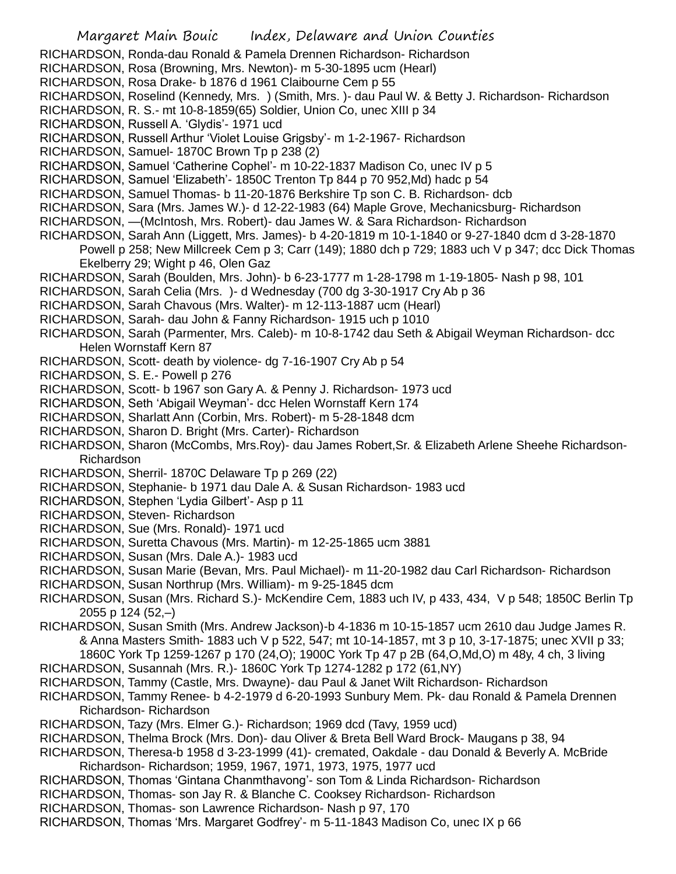- Margaret Main Bouic Index, Delaware and Union Counties RICHARDSON, Ronda-dau Ronald & Pamela Drennen Richardson- Richardson RICHARDSON, Rosa (Browning, Mrs. Newton)- m 5-30-1895 ucm (Hearl) RICHARDSON, Rosa Drake- b 1876 d 1961 Claibourne Cem p 55 RICHARDSON, Roselind (Kennedy, Mrs. ) (Smith, Mrs. )- dau Paul W. & Betty J. Richardson- Richardson RICHARDSON, R. S.- mt 10-8-1859(65) Soldier, Union Co, unec XIII p 34 RICHARDSON, Russell A. 'Glydis'- 1971 ucd RICHARDSON, Russell Arthur 'Violet Louise Grigsby'- m 1-2-1967- Richardson RICHARDSON, Samuel- 1870C Brown Tp p 238 (2) RICHARDSON, Samuel 'Catherine Cophel'- m 10-22-1837 Madison Co, unec IV p 5 RICHARDSON, Samuel 'Elizabeth'- 1850C Trenton Tp 844 p 70 952,Md) hadc p 54 RICHARDSON, Samuel Thomas- b 11-20-1876 Berkshire Tp son C. B. Richardson- dcb RICHARDSON, Sara (Mrs. James W.)- d 12-22-1983 (64) Maple Grove, Mechanicsburg- Richardson RICHARDSON, —(McIntosh, Mrs. Robert)- dau James W. & Sara Richardson- Richardson RICHARDSON, Sarah Ann (Liggett, Mrs. James)- b 4-20-1819 m 10-1-1840 or 9-27-1840 dcm d 3-28-1870 Powell p 258; New Millcreek Cem p 3; Carr (149); 1880 dch p 729; 1883 uch V p 347; dcc Dick Thomas Ekelberry 29; Wight p 46, Olen Gaz RICHARDSON, Sarah (Boulden, Mrs. John)- b 6-23-1777 m 1-28-1798 m 1-19-1805- Nash p 98, 101 RICHARDSON, Sarah Celia (Mrs. )- d Wednesday (700 dg 3-30-1917 Cry Ab p 36 RICHARDSON, Sarah Chavous (Mrs. Walter)- m 12-113-1887 ucm (Hearl) RICHARDSON, Sarah- dau John & Fanny Richardson- 1915 uch p 1010 RICHARDSON, Sarah (Parmenter, Mrs. Caleb)- m 10-8-1742 dau Seth & Abigail Weyman Richardson- dcc Helen Wornstaff Kern 87 RICHARDSON, Scott- death by violence- dg 7-16-1907 Cry Ab p 54 RICHARDSON, S. E.- Powell p 276 RICHARDSON, Scott- b 1967 son Gary A. & Penny J. Richardson- 1973 ucd RICHARDSON, Seth 'Abigail Weyman'- dcc Helen Wornstaff Kern 174 RICHARDSON, Sharlatt Ann (Corbin, Mrs. Robert)- m 5-28-1848 dcm RICHARDSON, Sharon D. Bright (Mrs. Carter)- Richardson RICHARDSON, Sharon (McCombs, Mrs.Roy)- dau James Robert,Sr. & Elizabeth Arlene Sheehe Richardson-Richardson RICHARDSON, Sherril- 1870C Delaware Tp p 269 (22) RICHARDSON, Stephanie- b 1971 dau Dale A. & Susan Richardson- 1983 ucd RICHARDSON, Stephen 'Lydia Gilbert'- Asp p 11 RICHARDSON, Steven- Richardson RICHARDSON, Sue (Mrs. Ronald)- 1971 ucd RICHARDSON, Suretta Chavous (Mrs. Martin)- m 12-25-1865 ucm 3881 RICHARDSON, Susan (Mrs. Dale A.)- 1983 ucd RICHARDSON, Susan Marie (Bevan, Mrs. Paul Michael)- m 11-20-1982 dau Carl Richardson- Richardson RICHARDSON, Susan Northrup (Mrs. William)- m 9-25-1845 dcm RICHARDSON, Susan (Mrs. Richard S.)- McKendire Cem, 1883 uch IV, p 433, 434, V p 548; 1850C Berlin Tp 2055 p 124 (52,–) RICHARDSON, Susan Smith (Mrs. Andrew Jackson)-b 4-1836 m 10-15-1857 ucm 2610 dau Judge James R. & Anna Masters Smith- 1883 uch V p 522, 547; mt 10-14-1857, mt 3 p 10, 3-17-1875; unec XVII p 33; 1860C York Tp 1259-1267 p 170 (24,O); 1900C York Tp 47 p 2B (64,O,Md,O) m 48y, 4 ch, 3 living RICHARDSON, Susannah (Mrs. R.)- 1860C York Tp 1274-1282 p 172 (61,NY) RICHARDSON, Tammy (Castle, Mrs. Dwayne)- dau Paul & Janet Wilt Richardson- Richardson
- RICHARDSON, Tammy Renee- b 4-2-1979 d 6-20-1993 Sunbury Mem. Pk- dau Ronald & Pamela Drennen Richardson- Richardson
- RICHARDSON, Tazy (Mrs. Elmer G.)- Richardson; 1969 dcd (Tavy, 1959 ucd)
- RICHARDSON, Thelma Brock (Mrs. Don)- dau Oliver & Breta Bell Ward Brock- Maugans p 38, 94
- RICHARDSON, Theresa-b 1958 d 3-23-1999 (41)- cremated, Oakdale dau Donald & Beverly A. McBride Richardson- Richardson; 1959, 1967, 1971, 1973, 1975, 1977 ucd
- RICHARDSON, Thomas 'Gintana Chanmthavong'- son Tom & Linda Richardson- Richardson
- RICHARDSON, Thomas- son Jay R. & Blanche C. Cooksey Richardson- Richardson
- RICHARDSON, Thomas- son Lawrence Richardson- Nash p 97, 170
- RICHARDSON, Thomas 'Mrs. Margaret Godfrey'- m 5-11-1843 Madison Co, unec IX p 66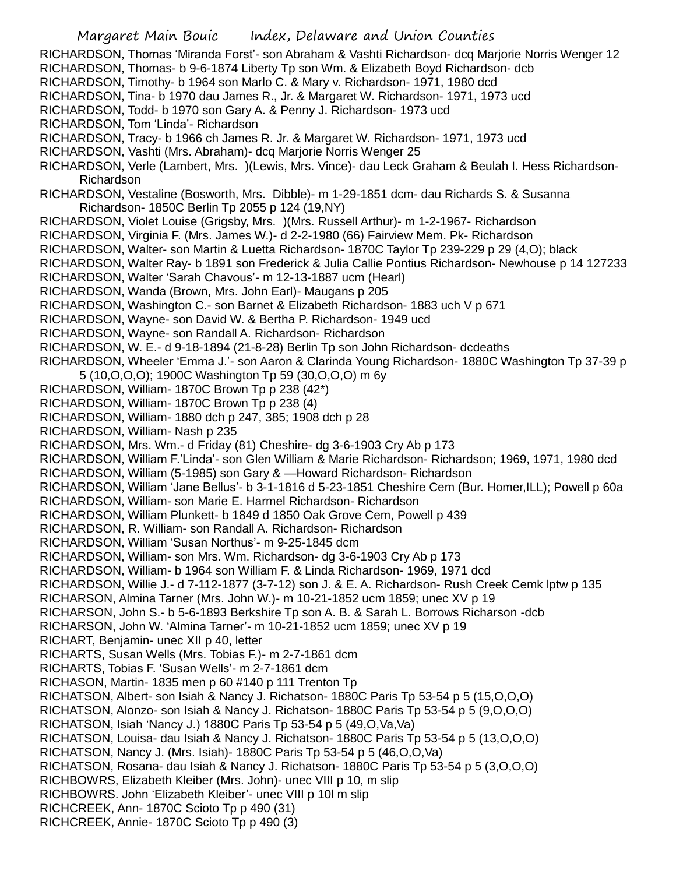Margaret Main Bouic Index, Delaware and Union Counties RICHARDSON, Thomas 'Miranda Forst'- son Abraham & Vashti Richardson- dcq Marjorie Norris Wenger 12 RICHARDSON, Thomas- b 9-6-1874 Liberty Tp son Wm. & Elizabeth Boyd Richardson- dcb RICHARDSON, Timothy- b 1964 son Marlo C. & Mary v. Richardson- 1971, 1980 dcd RICHARDSON, Tina- b 1970 dau James R., Jr. & Margaret W. Richardson- 1971, 1973 ucd RICHARDSON, Todd- b 1970 son Gary A. & Penny J. Richardson- 1973 ucd RICHARDSON, Tom 'Linda'- Richardson RICHARDSON, Tracy- b 1966 ch James R. Jr. & Margaret W. Richardson- 1971, 1973 ucd RICHARDSON, Vashti (Mrs. Abraham)- dcq Marjorie Norris Wenger 25 RICHARDSON, Verle (Lambert, Mrs. )(Lewis, Mrs. Vince)- dau Leck Graham & Beulah I. Hess Richardson-Richardson RICHARDSON, Vestaline (Bosworth, Mrs. Dibble)- m 1-29-1851 dcm- dau Richards S. & Susanna Richardson- 1850C Berlin Tp 2055 p 124 (19,NY) RICHARDSON, Violet Louise (Grigsby, Mrs. )(Mrs. Russell Arthur)- m 1-2-1967- Richardson RICHARDSON, Virginia F. (Mrs. James W.)- d 2-2-1980 (66) Fairview Mem. Pk- Richardson RICHARDSON, Walter- son Martin & Luetta Richardson- 1870C Taylor Tp 239-229 p 29 (4,O); black RICHARDSON, Walter Ray- b 1891 son Frederick & Julia Callie Pontius Richardson- Newhouse p 14 127233 RICHARDSON, Walter 'Sarah Chavous'- m 12-13-1887 ucm (Hearl) RICHARDSON, Wanda (Brown, Mrs. John Earl)- Maugans p 205 RICHARDSON, Washington C.- son Barnet & Elizabeth Richardson- 1883 uch V p 671 RICHARDSON, Wayne- son David W. & Bertha P. Richardson- 1949 ucd RICHARDSON, Wayne- son Randall A. Richardson- Richardson RICHARDSON, W. E.- d 9-18-1894 (21-8-28) Berlin Tp son John Richardson- dcdeaths RICHARDSON, Wheeler 'Emma J.'- son Aaron & Clarinda Young Richardson- 1880C Washington Tp 37-39 p 5 (10,O,O,O); 1900C Washington Tp 59 (30,O,O,O) m 6y RICHARDSON, William- 1870C Brown Tp p 238 (42\*) RICHARDSON, William- 1870C Brown Tp p 238 (4) RICHARDSON, William- 1880 dch p 247, 385; 1908 dch p 28 RICHARDSON, William- Nash p 235 RICHARDSON, Mrs. Wm.- d Friday (81) Cheshire- dg 3-6-1903 Cry Ab p 173 RICHARDSON, William F.'Linda'- son Glen William & Marie Richardson- Richardson; 1969, 1971, 1980 dcd RICHARDSON, William (5-1985) son Gary & —Howard Richardson- Richardson RICHARDSON, William 'Jane Bellus'- b 3-1-1816 d 5-23-1851 Cheshire Cem (Bur. Homer,ILL); Powell p 60a RICHARDSON, William- son Marie E. Harmel Richardson- Richardson RICHARDSON, William Plunkett- b 1849 d 1850 Oak Grove Cem, Powell p 439 RICHARDSON, R. William- son Randall A. Richardson- Richardson RICHARDSON, William 'Susan Northus'- m 9-25-1845 dcm RICHARDSON, William- son Mrs. Wm. Richardson- dg 3-6-1903 Cry Ab p 173 RICHARDSON, William- b 1964 son William F. & Linda Richardson- 1969, 1971 dcd RICHARDSON, Willie J.- d 7-112-1877 (3-7-12) son J. & E. A. Richardson- Rush Creek Cemk lptw p 135 RICHARSON, Almina Tarner (Mrs. John W.)- m 10-21-1852 ucm 1859; unec XV p 19 RICHARSON, John S.- b 5-6-1893 Berkshire Tp son A. B. & Sarah L. Borrows Richarson -dcb RICHARSON, John W. 'Almina Tarner'- m 10-21-1852 ucm 1859; unec XV p 19 RICHART, Benjamin- unec XII p 40, letter RICHARTS, Susan Wells (Mrs. Tobias F.)- m 2-7-1861 dcm RICHARTS, Tobias F. 'Susan Wells'- m 2-7-1861 dcm RICHASON, Martin- 1835 men p 60 #140 p 111 Trenton Tp RICHATSON, Albert- son Isiah & Nancy J. Richatson- 1880C Paris Tp 53-54 p 5 (15,O,O,O) RICHATSON, Alonzo- son Isiah & Nancy J. Richatson- 1880C Paris Tp 53-54 p 5 (9,O,O,O) RICHATSON, Isiah 'Nancy J.) 1880C Paris Tp 53-54 p 5 (49,O,Va,Va) RICHATSON, Louisa- dau Isiah & Nancy J. Richatson- 1880C Paris Tp 53-54 p 5 (13,O,O,O) RICHATSON, Nancy J. (Mrs. Isiah)- 1880C Paris Tp 53-54 p 5 (46,O,O,Va) RICHATSON, Rosana- dau Isiah & Nancy J. Richatson- 1880C Paris Tp 53-54 p 5 (3,O,O,O) RICHBOWRS, Elizabeth Kleiber (Mrs. John)- unec VIII p 10, m slip RICHBOWRS. John 'Elizabeth Kleiber'- unec VIII p 10l m slip RICHCREEK, Ann- 1870C Scioto Tp p 490 (31) RICHCREEK, Annie- 1870C Scioto Tp p 490 (3)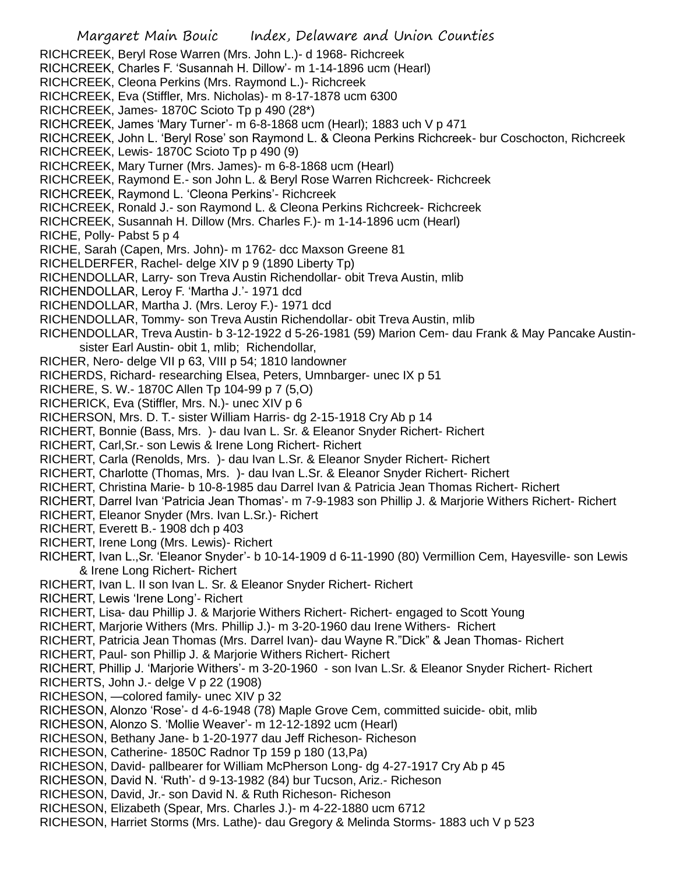Margaret Main Bouic Index, Delaware and Union Counties RICHCREEK, Beryl Rose Warren (Mrs. John L.)- d 1968- Richcreek RICHCREEK, Charles F. 'Susannah H. Dillow'- m 1-14-1896 ucm (Hearl) RICHCREEK, Cleona Perkins (Mrs. Raymond L.)- Richcreek RICHCREEK, Eva (Stiffler, Mrs. Nicholas)- m 8-17-1878 ucm 6300 RICHCREEK, James- 1870C Scioto Tp p 490 (28\*) RICHCREEK, James 'Mary Turner'- m 6-8-1868 ucm (Hearl); 1883 uch V p 471 RICHCREEK, John L. 'Beryl Rose' son Raymond L. & Cleona Perkins Richcreek- bur Coschocton, Richcreek RICHCREEK, Lewis- 1870C Scioto Tp p 490 (9) RICHCREEK, Mary Turner (Mrs. James)- m 6-8-1868 ucm (Hearl) RICHCREEK, Raymond E.- son John L. & Beryl Rose Warren Richcreek- Richcreek RICHCREEK, Raymond L. 'Cleona Perkins'- Richcreek RICHCREEK, Ronald J.- son Raymond L. & Cleona Perkins Richcreek- Richcreek RICHCREEK, Susannah H. Dillow (Mrs. Charles F.)- m 1-14-1896 ucm (Hearl) RICHE, Polly- Pabst 5 p 4 RICHE, Sarah (Capen, Mrs. John)- m 1762- dcc Maxson Greene 81 RICHELDERFER, Rachel- delge XIV p 9 (1890 Liberty Tp) RICHENDOLLAR, Larry- son Treva Austin Richendollar- obit Treva Austin, mlib RICHENDOLLAR, Leroy F. 'Martha J.'- 1971 dcd RICHENDOLLAR, Martha J. (Mrs. Leroy F.)- 1971 dcd RICHENDOLLAR, Tommy- son Treva Austin Richendollar- obit Treva Austin, mlib RICHENDOLLAR, Treva Austin- b 3-12-1922 d 5-26-1981 (59) Marion Cem- dau Frank & May Pancake Austinsister Earl Austin- obit 1, mlib; Richendollar, RICHER, Nero- delge VII p 63, VIII p 54; 1810 landowner RICHERDS, Richard- researching Elsea, Peters, Umnbarger- unec IX p 51 RICHERE, S. W.- 1870C Allen Tp 104-99 p 7 (5,O) RICHERICK, Eva (Stiffler, Mrs. N.)- unec XIV p 6 RICHERSON, Mrs. D. T.- sister William Harris- dg 2-15-1918 Cry Ab p 14 RICHERT, Bonnie (Bass, Mrs. )- dau Ivan L. Sr. & Eleanor Snyder Richert- Richert RICHERT, Carl,Sr.- son Lewis & Irene Long Richert- Richert RICHERT, Carla (Renolds, Mrs. )- dau Ivan L.Sr. & Eleanor Snyder Richert- Richert RICHERT, Charlotte (Thomas, Mrs. )- dau Ivan L.Sr. & Eleanor Snyder Richert- Richert RICHERT, Christina Marie- b 10-8-1985 dau Darrel Ivan & Patricia Jean Thomas Richert- Richert RICHERT, Darrel Ivan 'Patricia Jean Thomas'- m 7-9-1983 son Phillip J. & Marjorie Withers Richert- Richert RICHERT, Eleanor Snyder (Mrs. Ivan L.Sr.)- Richert RICHERT, Everett B.- 1908 dch p 403 RICHERT, Irene Long (Mrs. Lewis)- Richert RICHERT, Ivan L.,Sr. 'Eleanor Snyder'- b 10-14-1909 d 6-11-1990 (80) Vermillion Cem, Hayesville- son Lewis & Irene Long Richert- Richert RICHERT, Ivan L. II son Ivan L. Sr. & Eleanor Snyder Richert- Richert RICHERT, Lewis 'Irene Long'- Richert RICHERT, Lisa- dau Phillip J. & Marjorie Withers Richert- Richert- engaged to Scott Young RICHERT, Marjorie Withers (Mrs. Phillip J.)- m 3-20-1960 dau Irene Withers- Richert RICHERT, Patricia Jean Thomas (Mrs. Darrel Ivan)- dau Wayne R."Dick" & Jean Thomas- Richert RICHERT, Paul- son Phillip J. & Marjorie Withers Richert- Richert RICHERT, Phillip J. 'Marjorie Withers'- m 3-20-1960 - son Ivan L.Sr. & Eleanor Snyder Richert- Richert RICHERTS, John J.- delge V p 22 (1908) RICHESON, —colored family- unec XIV p 32 RICHESON, Alonzo 'Rose'- d 4-6-1948 (78) Maple Grove Cem, committed suicide- obit, mlib RICHESON, Alonzo S. 'Mollie Weaver'- m 12-12-1892 ucm (Hearl) RICHESON, Bethany Jane- b 1-20-1977 dau Jeff Richeson- Richeson RICHESON, Catherine- 1850C Radnor Tp 159 p 180 (13,Pa) RICHESON, David- pallbearer for William McPherson Long- dg 4-27-1917 Cry Ab p 45 RICHESON, David N. 'Ruth'- d 9-13-1982 (84) bur Tucson, Ariz.- Richeson RICHESON, David, Jr.- son David N. & Ruth Richeson- Richeson RICHESON, Elizabeth (Spear, Mrs. Charles J.)- m 4-22-1880 ucm 6712 RICHESON, Harriet Storms (Mrs. Lathe)- dau Gregory & Melinda Storms- 1883 uch V p 523